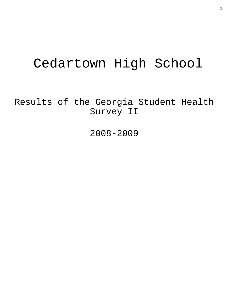# Cedartown High School

Results of the Georgia Student Health Survey II

2008-2009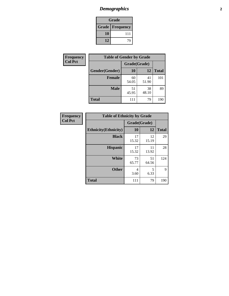### *Demographics* **2**

| Grade                    |     |  |  |  |
|--------------------------|-----|--|--|--|
| <b>Grade   Frequency</b> |     |  |  |  |
| 10                       | 111 |  |  |  |
| 12                       | 74  |  |  |  |

| Frequency      | <b>Table of Gender by Grade</b> |              |             |              |  |  |
|----------------|---------------------------------|--------------|-------------|--------------|--|--|
| <b>Col Pct</b> |                                 | Grade(Grade) |             |              |  |  |
|                | Gender(Gender)                  | 10           | 12          | <b>Total</b> |  |  |
|                | <b>Female</b>                   | 60<br>54.05  | 41<br>51.90 | 101          |  |  |
|                | <b>Male</b>                     | 51<br>45.95  | 38<br>48.10 | 89           |  |  |
|                | <b>Total</b>                    | 111          | 79          | 190          |  |  |

| <b>Frequency</b> |
|------------------|
| <b>Col Pct</b>   |

| <b>Table of Ethnicity by Grade</b> |              |             |              |  |  |  |
|------------------------------------|--------------|-------------|--------------|--|--|--|
|                                    | Grade(Grade) |             |              |  |  |  |
| <b>Ethnicity</b> (Ethnicity)       | 10           | 12          | <b>Total</b> |  |  |  |
| <b>Black</b>                       | 17<br>15.32  | 12<br>15.19 | 29           |  |  |  |
| <b>Hispanic</b>                    | 17<br>15.32  | 11<br>13.92 | 28           |  |  |  |
| White                              | 73<br>65.77  | 51<br>64.56 | 124          |  |  |  |
| <b>Other</b>                       | 4<br>3.60    | 5<br>6.33   | 9            |  |  |  |
| <b>Total</b>                       | 111          | 79          | 190          |  |  |  |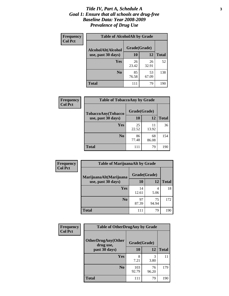#### *Title IV, Part A, Schedule A* **3** *Goal 1: Ensure that all schools are drug-free Baseline Data: Year 2008-2009 Prevalence of Drug Use*

| Frequency<br><b>Col Pct</b> | <b>Table of AlcoholAlt by Grade</b> |              |             |              |  |  |
|-----------------------------|-------------------------------------|--------------|-------------|--------------|--|--|
|                             | AlcoholAlt(Alcohol                  | Grade(Grade) |             |              |  |  |
|                             | use, past 30 days)                  | 10           | 12          | <b>Total</b> |  |  |
|                             | Yes                                 | 26<br>23.42  | 26<br>32.91 | 52           |  |  |
|                             | N <sub>0</sub>                      | 85<br>76.58  | 53<br>67.09 | 138          |  |  |
|                             | Total                               | 111          | 79          | 190          |  |  |

| Frequency<br><b>Col Pct</b> | <b>Table of TobaccoAny by Grade</b> |              |             |              |  |
|-----------------------------|-------------------------------------|--------------|-------------|--------------|--|
|                             | TobaccoAny(Tobacco                  | Grade(Grade) |             |              |  |
|                             | use, past 30 days)                  | 10           | 12          | <b>Total</b> |  |
|                             | <b>Yes</b>                          | 25<br>22.52  | 11<br>13.92 | 36           |  |
|                             | N <sub>0</sub>                      | 86<br>77.48  | 68<br>86.08 | 154          |  |
|                             | Total                               | 111          | 79          | 190          |  |

| Frequency      | <b>Table of MarijuanaAlt by Grade</b> |              |             |              |  |
|----------------|---------------------------------------|--------------|-------------|--------------|--|
| <b>Col Pct</b> | MarijuanaAlt(Marijuana                | Grade(Grade) |             |              |  |
|                | use, past 30 days)                    | 10           | 12          | <b>Total</b> |  |
|                | Yes                                   | 14<br>12.61  | 4<br>5.06   | 18           |  |
|                | N <sub>0</sub>                        | 97<br>87.39  | 75<br>94.94 | 172          |  |
|                | <b>Total</b>                          | 111          | 79          | 190          |  |

| <b>Frequency</b> | <b>Table of OtherDrugAny by Grade</b>  |              |             |              |  |  |
|------------------|----------------------------------------|--------------|-------------|--------------|--|--|
| <b>Col Pct</b>   | <b>OtherDrugAny(Other</b><br>drug use, | Grade(Grade) |             |              |  |  |
|                  | past 30 days)                          | 10           | 12          | <b>Total</b> |  |  |
|                  | Yes                                    | 8<br>7.21    | 3<br>3.80   | 11           |  |  |
|                  | N <sub>0</sub>                         | 103<br>92.79 | 76<br>96.20 | 179          |  |  |
|                  | <b>Total</b>                           | 111          | 79          | 190          |  |  |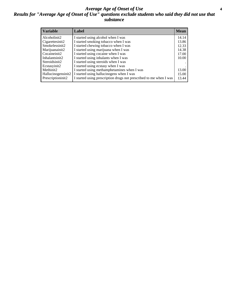#### *Average Age of Onset of Use* **4** *Results for "Average Age of Onset of Use" questions exclude students who said they did not use that substance*

| <b>Variable</b>    | Label                                                              | <b>Mean</b> |
|--------------------|--------------------------------------------------------------------|-------------|
| Alcoholinit2       | I started using alcohol when I was                                 | 14.14       |
| Cigarettesinit2    | I started smoking tobacco when I was                               | 13.86       |
| Smokelessinit2     | I started chewing tobacco when I was                               | 12.33       |
| Marijuanainit2     | I started using marijuana when I was                               | 14.38       |
| Cocaineinit2       | I started using cocaine when I was                                 | 17.00       |
| Inhalantsinit2     | I started using inhalants when I was                               | 10.00       |
| Steroidsinit2      | I started using steroids when I was                                |             |
| Ecstasyinit2       | I started using ecstasy when I was                                 |             |
| Methinit2          | I started using methamphetamines when I was                        | 13.00       |
| Hallucinogensinit2 | I started using hallucinogens when I was                           | 15.00       |
| Prescriptioninit2  | I started using prescription drugs not prescribed to me when I was | 13.44       |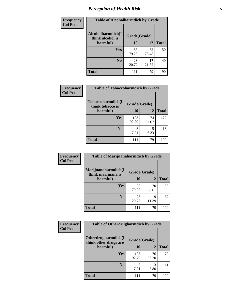### *Perception of Health Risk* **5**

| <b>Frequency</b> | <b>Table of Alcoholharmdich by Grade</b> |              |             |              |  |
|------------------|------------------------------------------|--------------|-------------|--------------|--|
| <b>Col Pct</b>   | Alcoholharmdich(I<br>think alcohol is    | Grade(Grade) |             |              |  |
|                  | harmful)                                 | 10           | 12          | <b>Total</b> |  |
|                  | Yes                                      | 88<br>79.28  | 62<br>78.48 | 150          |  |
|                  | N <sub>0</sub>                           | 23<br>20.72  | 17<br>21.52 | 40           |  |
|                  | <b>Total</b>                             | 111          | 79          | 190          |  |

| Frequency      | <b>Table of Tobaccoharmdich by Grade</b> |              |             |              |  |
|----------------|------------------------------------------|--------------|-------------|--------------|--|
| <b>Col Pct</b> | Tobaccoharmdich(I<br>think tobacco is    | Grade(Grade) |             |              |  |
|                | harmful)                                 | 10           | 12          | <b>Total</b> |  |
|                | Yes                                      | 103<br>92.79 | 74<br>93.67 | 177          |  |
|                | N <sub>0</sub>                           | 7.21         | 5<br>6.33   | 13           |  |
|                | <b>Total</b>                             | 111          | 79          | 190          |  |

| <b>Frequency</b> | <b>Table of Marijuanaharmdich by Grade</b>                |             |             |              |  |  |
|------------------|-----------------------------------------------------------|-------------|-------------|--------------|--|--|
| <b>Col Pct</b>   | Marijuanaharmdich(I<br>Grade(Grade)<br>think marijuana is |             |             |              |  |  |
|                  | harmful)                                                  | 10          | 12          | <b>Total</b> |  |  |
|                  | Yes                                                       | 88<br>79.28 | 70<br>88.61 | 158          |  |  |
|                  | N <sub>0</sub>                                            | 23<br>20.72 | 9<br>11.39  | 32           |  |  |
|                  | <b>Total</b>                                              | 111         | 79          | 190          |  |  |

| <b>Frequency</b> | <b>Table of Otherdrugharmdich by Grade</b>   |              |             |              |  |  |
|------------------|----------------------------------------------|--------------|-------------|--------------|--|--|
| <b>Col Pct</b>   | Otherdrugharmdich(I<br>think other drugs are | Grade(Grade) |             |              |  |  |
|                  | harmful)                                     | 10           | 12          | <b>Total</b> |  |  |
|                  | <b>Yes</b>                                   | 103<br>92.79 | 76<br>96.20 | 179          |  |  |
|                  | N <sub>0</sub>                               | 8<br>7.21    | 3<br>3.80   | 11           |  |  |
|                  | <b>Total</b>                                 | 111          | 79          | 190          |  |  |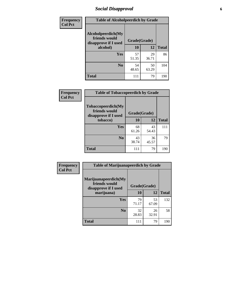### *Social Disapproval* **6**

| Frequency      | <b>Table of Alcoholpeerdich by Grade</b>                    |              |             |              |  |  |  |
|----------------|-------------------------------------------------------------|--------------|-------------|--------------|--|--|--|
| <b>Col Pct</b> | Alcoholpeerdich(My<br>friends would<br>disapprove if I used | Grade(Grade) |             |              |  |  |  |
|                | alcohol)                                                    | 10           | 12          | <b>Total</b> |  |  |  |
|                | <b>Yes</b>                                                  | 57<br>51.35  | 29<br>36.71 | 86           |  |  |  |
|                | N <sub>0</sub>                                              | 54<br>48.65  | 50<br>63.29 | 104          |  |  |  |
|                | <b>Total</b>                                                | 111          | 79          | 190          |  |  |  |

| <b>Frequency</b> |
|------------------|
| <b>Col Pct</b>   |

| <b>Table of Tobaccopeerdich by Grade</b>                                    |             |             |              |  |  |
|-----------------------------------------------------------------------------|-------------|-------------|--------------|--|--|
| Tobaccopeerdich(My<br>friends would<br>Grade(Grade)<br>disapprove if I used |             |             |              |  |  |
| tobacco)                                                                    | 10          | 12          | <b>Total</b> |  |  |
| Yes                                                                         | 68<br>61.26 | 43<br>54.43 | 111          |  |  |
| N <sub>0</sub>                                                              | 43<br>38.74 | 36<br>45.57 | 79           |  |  |
| <b>Total</b>                                                                | 111         | 79          | 190          |  |  |

| Frequency      | <b>Table of Marijuanapeerdich by Grade</b>                    |              |             |              |  |  |
|----------------|---------------------------------------------------------------|--------------|-------------|--------------|--|--|
| <b>Col Pct</b> | Marijuanapeerdich(My<br>friends would<br>disapprove if I used | Grade(Grade) |             |              |  |  |
|                | marijuana)                                                    | 10           | 12          | <b>Total</b> |  |  |
|                | <b>Yes</b>                                                    | 79<br>71.17  | 53<br>67.09 | 132          |  |  |
|                | N <sub>0</sub>                                                | 32<br>28.83  | 26<br>32.91 | 58           |  |  |
|                | <b>Total</b>                                                  | 111          | 79          | 190          |  |  |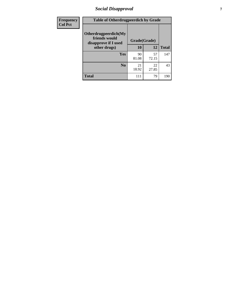### *Social Disapproval* **7**

| Frequency      | <b>Table of Otherdrugpeerdich by Grade</b>                    |              |             |              |  |  |
|----------------|---------------------------------------------------------------|--------------|-------------|--------------|--|--|
| <b>Col Pct</b> | Otherdrugpeerdich(My<br>friends would<br>disapprove if I used | Grade(Grade) |             |              |  |  |
|                | other drugs)                                                  | 10           | 12          | <b>Total</b> |  |  |
|                | <b>Yes</b>                                                    | 90<br>81.08  | 57<br>72.15 | 147          |  |  |
|                | N <sub>0</sub>                                                | 21<br>18.92  | 22<br>27.85 | 43           |  |  |
|                | <b>Total</b>                                                  | 111          | 79          | 190          |  |  |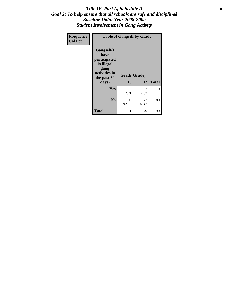#### Title IV, Part A, Schedule A **8** *Goal 2: To help ensure that all schools are safe and disciplined Baseline Data: Year 2008-2009 Student Involvement in Gang Activity*

| Frequency      | <b>Table of Gangself by Grade</b>                                                                 |                    |             |              |  |
|----------------|---------------------------------------------------------------------------------------------------|--------------------|-------------|--------------|--|
| <b>Col Pct</b> | Gangself(I<br>have<br>participated<br>in illegal<br>gang<br>activities in<br>the past 30<br>days) | Grade(Grade)<br>10 | 12          | <b>Total</b> |  |
|                | Yes                                                                                               | 8<br>7.21          | 2<br>2.53   | 10           |  |
|                | N <sub>0</sub>                                                                                    | 103<br>92.79       | 77<br>97.47 | 180          |  |
|                | Total                                                                                             | 111                | 79          | 190          |  |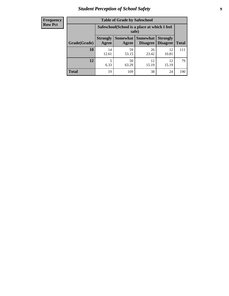### *Student Perception of School Safety* **9**

| <b>Frequency</b><br>Row Pct |
|-----------------------------|
|                             |

| <b>Table of Grade by Safeschool</b> |                                                                                                                          |                                                        |             |             |     |  |
|-------------------------------------|--------------------------------------------------------------------------------------------------------------------------|--------------------------------------------------------|-------------|-------------|-----|--|
|                                     |                                                                                                                          | Safeschool (School is a place at which I feel<br>safe) |             |             |     |  |
| Grade(Grade)                        | Somewhat Somewhat<br><b>Strongly</b><br><b>Strongly</b><br><b>Disagree</b><br>Agree<br>Disagree<br><b>Total</b><br>Agree |                                                        |             |             |     |  |
| 10                                  | 14<br>12.61                                                                                                              | 59<br>53.15                                            | 26<br>23.42 | 12<br>10.81 | 111 |  |
| 12                                  | 5<br>6.33                                                                                                                | 50<br>63.29                                            | 12<br>15.19 | 12<br>15.19 | 79  |  |
| <b>Total</b>                        | 19                                                                                                                       | 109                                                    | 38          | 24          | 190 |  |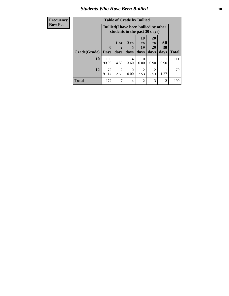### *Students Who Have Been Bullied* **10**

| <b>Frequency</b> | <b>Table of Grade by Bullied</b>                                              |              |                        |                      |                        |                       |                |              |
|------------------|-------------------------------------------------------------------------------|--------------|------------------------|----------------------|------------------------|-----------------------|----------------|--------------|
| <b>Row Pct</b>   | <b>Bullied</b> (I have been bullied by other<br>students in the past 30 days) |              |                        |                      |                        |                       |                |              |
|                  |                                                                               | $\mathbf{0}$ | 1 or<br>2              | 3 <sub>to</sub><br>5 | 10<br>to  <br>19       | <b>20</b><br>to<br>29 | All<br>30      |              |
|                  | Grade(Grade)                                                                  | <b>Days</b>  | days                   | days                 | days                   | days                  | days           | <b>Total</b> |
|                  | 10                                                                            | 100<br>90.09 | 5<br>4.50              | 4<br>3.60            | $\Omega$<br>0.00       | 0.90                  | 0.90           | 111          |
|                  | 12                                                                            | 72<br>91.14  | $\overline{2}$<br>2.53 | $\Omega$<br>0.00     | $\mathfrak{D}$<br>2.53 | $\mathcal{D}$<br>2.53 | 1.27           | 79           |
|                  | <b>Total</b>                                                                  | 172          | 7                      | 4                    | $\overline{2}$         | 3                     | $\overline{2}$ | 190          |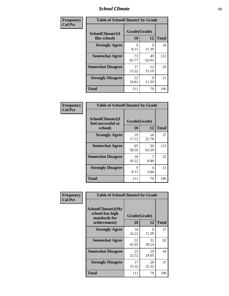#### *School Climate* **11**

| Frequency      | <b>Table of SchoolClimate1 by Grade</b> |                    |             |              |  |  |
|----------------|-----------------------------------------|--------------------|-------------|--------------|--|--|
| <b>Col Pct</b> | SchoolClimate1(I<br>like school)        | Grade(Grade)<br>10 | 12          | <b>Total</b> |  |  |
|                | <b>Strongly Agree</b>                   | 9<br>8.11          | 9<br>11.39  | 18           |  |  |
|                | <b>Somewhat Agree</b>                   | 73<br>65.77        | 49<br>62.03 | 122          |  |  |
|                | <b>Somewhat Disagree</b>                | 17<br>15.32        | 12<br>15.19 | 29           |  |  |
|                | <b>Strongly Disagree</b>                | 12<br>10.81        | 9<br>11.39  | 21           |  |  |
|                | <b>Total</b>                            | 111                | 79          | 190          |  |  |

| <b>Frequency</b> |
|------------------|
| <b>Col Pct</b>   |

| <b>Table of SchoolClimate2 by Grade</b>           |                    |             |              |  |
|---------------------------------------------------|--------------------|-------------|--------------|--|
| SchoolClimate2(I<br>feel successful at<br>school) | Grade(Grade)<br>10 | 12          | <b>Total</b> |  |
| <b>Strongly Agree</b>                             | 19<br>17.12        | 18<br>22.78 | 37           |  |
| <b>Somewhat Agree</b>                             | 65<br>58.56        | 50<br>63.29 | 115          |  |
| <b>Somewhat Disagree</b>                          | 18<br>16.22        | 7<br>8.86   | 25           |  |
| <b>Strongly Disagree</b>                          | 9<br>8.11          | 4<br>5.06   | 13           |  |
| Total                                             | 111                | 79          | 190          |  |

| Frequency      | <b>Table of SchoolClimate3 by Grade</b>                                      |                    |             |              |
|----------------|------------------------------------------------------------------------------|--------------------|-------------|--------------|
| <b>Col Pct</b> | <b>SchoolClimate3(My</b><br>school has high<br>standards for<br>achievement) | Grade(Grade)<br>10 | 12          | <b>Total</b> |
|                | <b>Strongly Agree</b>                                                        | 18                 | 9           | 27           |
|                |                                                                              | 16.22              | 11.39       |              |
|                | <b>Somewhat Agree</b>                                                        | 51<br>45.95        | 31<br>39.24 | 82           |
|                | <b>Somewhat Disagree</b>                                                     | 25<br>22.52        | 19<br>24.05 | 44           |
|                | <b>Strongly Disagree</b>                                                     | 17<br>15.32        | 20<br>25.32 | 37           |
|                | Total                                                                        | 111                | 79          | 190          |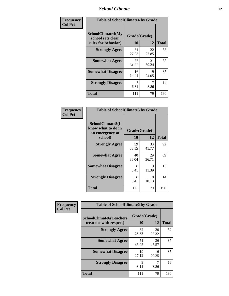#### *School Climate* **12**

| Frequency      | <b>Table of SchoolClimate4 by Grade</b>                              |                    |             |              |
|----------------|----------------------------------------------------------------------|--------------------|-------------|--------------|
| <b>Col Pct</b> | <b>SchoolClimate4(My</b><br>school sets clear<br>rules for behavior) | Grade(Grade)<br>10 | 12          | <b>Total</b> |
|                | <b>Strongly Agree</b>                                                | 31<br>27.93        | 22<br>27.85 | 53           |
|                | <b>Somewhat Agree</b>                                                | 57<br>51.35        | 31<br>39.24 | 88           |
|                | <b>Somewhat Disagree</b>                                             | 16<br>14.41        | 19<br>24.05 | 35           |
|                | <b>Strongly Disagree</b>                                             | 7<br>6.31          | 8.86        | 14           |
|                | <b>Total</b>                                                         | 111                | 79          | 190          |

| <b>Table of SchoolClimate5 by Grade</b>                   |              |             |              |
|-----------------------------------------------------------|--------------|-------------|--------------|
| SchoolClimate5(I<br>know what to do in<br>an emergency at | Grade(Grade) |             |              |
| school)                                                   | 10           | 12          | <b>Total</b> |
| <b>Strongly Agree</b>                                     | 59<br>53.15  | 33<br>41.77 | 92           |
| <b>Somewhat Agree</b>                                     | 40<br>36.04  | 29<br>36.71 | 69           |
| <b>Somewhat Disagree</b>                                  | 6<br>5.41    | 9<br>11.39  | 15           |
| <b>Strongly Disagree</b>                                  | 6<br>5.41    | 8<br>10.13  | 14           |
| <b>Total</b>                                              | 111          | 79          | 190          |

| Frequency      | <b>Table of SchoolClimate6 by Grade</b>                  |                    |             |              |
|----------------|----------------------------------------------------------|--------------------|-------------|--------------|
| <b>Col Pct</b> | <b>SchoolClimate6(Teachers</b><br>treat me with respect) | Grade(Grade)<br>10 | 12          | <b>Total</b> |
|                | <b>Strongly Agree</b>                                    | 32<br>28.83        | 20<br>25.32 | 52           |
|                | <b>Somewhat Agree</b>                                    | 51<br>45.95        | 36<br>45.57 | 87           |
|                | <b>Somewhat Disagree</b>                                 | 19<br>17.12        | 16<br>20.25 | 35           |
|                | <b>Strongly Disagree</b>                                 | 9<br>8.11          | 8.86        | 16           |
|                | <b>Total</b>                                             | 111                | 79          | 190          |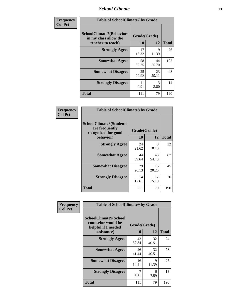#### *School Climate* **13**

| Frequency      | <b>Table of SchoolClimate7 by Grade</b>                                       |                           |             |              |
|----------------|-------------------------------------------------------------------------------|---------------------------|-------------|--------------|
| <b>Col Pct</b> | <b>SchoolClimate7(Behaviors</b><br>in my class allow the<br>teacher to teach) | Grade(Grade)<br><b>10</b> | 12          | <b>Total</b> |
|                | <b>Strongly Agree</b>                                                         | 17<br>15.32               | 9<br>11.39  | 26           |
|                | <b>Somewhat Agree</b>                                                         | 58<br>52.25               | 44<br>55.70 | 102          |
|                | <b>Somewhat Disagree</b>                                                      | 25<br>22.52               | 23<br>29.11 | 48           |
|                | <b>Strongly Disagree</b>                                                      | 11<br>9.91                | 3<br>3.80   | 14           |
|                | <b>Total</b>                                                                  | 111                       | 79          | 190          |

| Frequency      | <b>Table of SchoolClimate8 by Grade</b>                                 |              |             |              |
|----------------|-------------------------------------------------------------------------|--------------|-------------|--------------|
| <b>Col Pct</b> | <b>SchoolClimate8(Students</b><br>are frequently<br>recognized for good | Grade(Grade) |             |              |
|                | behavior)                                                               | 10           | 12          | <b>Total</b> |
|                | <b>Strongly Agree</b>                                                   | 24<br>21.62  | 8<br>10.13  | 32           |
|                | <b>Somewhat Agree</b>                                                   | 44<br>39.64  | 43<br>54.43 | 87           |
|                | <b>Somewhat Disagree</b>                                                | 29<br>26.13  | 16<br>20.25 | 45           |
|                | <b>Strongly Disagree</b>                                                | 14<br>12.61  | 12<br>15.19 | 26           |
|                | <b>Total</b>                                                            | 111          | 79          | 190          |

| Frequency<br><b>Col Pct</b> | <b>Table of SchoolClimate9 by Grade</b>                                           |                    |                      |              |
|-----------------------------|-----------------------------------------------------------------------------------|--------------------|----------------------|--------------|
|                             | SchoolClimate9(School<br>counselor would be<br>helpful if I needed<br>assistance) | Grade(Grade)<br>10 | 12                   | <b>Total</b> |
|                             | <b>Strongly Agree</b>                                                             | 42<br>37.84        | 32<br>40.51          | 74           |
|                             | <b>Somewhat Agree</b>                                                             | 46<br>41.44        | 32<br>40.51          | 78           |
|                             | <b>Somewhat Disagree</b>                                                          | 16<br>14.41        | $\mathbf Q$<br>11.39 | 25           |
|                             | <b>Strongly Disagree</b>                                                          | 6.31               | 6<br>7.59            | 13           |
|                             | <b>Total</b>                                                                      | 111                | 79                   | 190          |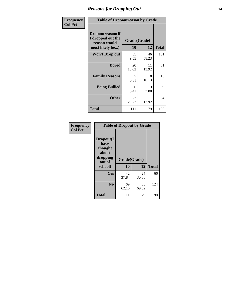### *Reasons for Dropping Out* **14**

| Frequency      | <b>Table of Dropoutreason by Grade</b>                                   |             |                    |              |
|----------------|--------------------------------------------------------------------------|-------------|--------------------|--------------|
| <b>Col Pct</b> | Dropoutreason(If<br>I dropped out the<br>reason would<br>most likely be) | 10          | Grade(Grade)<br>12 | <b>Total</b> |
|                | Won't Drop out                                                           | 55<br>49.55 | 46<br>58.23        | 101          |
|                | <b>Bored</b>                                                             | 20<br>18.02 | 11<br>13.92        | 31           |
|                | <b>Family Reasons</b>                                                    | 7<br>6.31   | 8<br>10.13         | 15           |
|                | <b>Being Bullied</b>                                                     | 6<br>5.41   | 3<br>3.80          | 9            |
|                | <b>Other</b>                                                             | 23<br>20.72 | 11<br>13.92        | 34           |
|                | <b>Total</b>                                                             | 111         | 79                 | 190          |

| Frequency      | <b>Table of Dropout by Grade</b>                                       |                    |             |              |  |
|----------------|------------------------------------------------------------------------|--------------------|-------------|--------------|--|
| <b>Col Pct</b> | Dropout(I<br>have<br>thought<br>about<br>dropping<br>out of<br>school) | Grade(Grade)<br>10 | 12          | <b>Total</b> |  |
|                |                                                                        |                    |             |              |  |
|                | Yes                                                                    | 42<br>37.84        | 24<br>30.38 | 66           |  |
|                | N <sub>0</sub>                                                         | 69<br>62.16        | 55<br>69.62 | 124          |  |
|                | <b>Total</b>                                                           | 111                | 79          | 190          |  |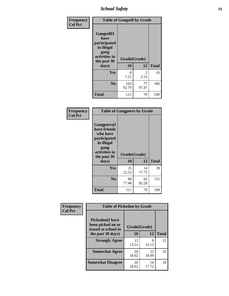*School Safety* **15**

| Frequency      |                                                                                                   | <b>Table of Gangself by Grade</b> |                       |              |  |
|----------------|---------------------------------------------------------------------------------------------------|-----------------------------------|-----------------------|--------------|--|
| <b>Col Pct</b> | Gangself(I<br>have<br>participated<br>in illegal<br>gang<br>activities in<br>the past 30<br>days) | Grade(Grade)<br>10                | 12                    | <b>Total</b> |  |
|                | Yes                                                                                               | 8<br>7.21                         | $\mathcal{L}$<br>2.53 | 10           |  |
|                | N <sub>0</sub>                                                                                    | 103<br>92.79                      | 77<br>97.47           | 180          |  |
|                | Total                                                                                             | 111                               | 79                    | 190          |  |

| Frequency<br><b>Col Pct</b> | <b>Table of Gangpeers by Grade</b>                                                                                             |                    |             |              |
|-----------------------------|--------------------------------------------------------------------------------------------------------------------------------|--------------------|-------------|--------------|
|                             | <b>Gangpeers</b> (I<br>have friends<br>who have<br>participated<br>in illegal<br>gang<br>activities in<br>the past 30<br>days) | Grade(Grade)<br>10 | 12          | <b>Total</b> |
|                             | <b>Yes</b>                                                                                                                     | 25<br>22.52        | 14<br>17.72 | 39           |
|                             | N <sub>0</sub>                                                                                                                 | 86<br>77.48        | 65<br>82.28 | 151          |
|                             | <b>Total</b>                                                                                                                   | 111                | 79          | 190          |

| Frequency      | <b>Table of Pickedon by Grade</b>                                  |              |             |              |
|----------------|--------------------------------------------------------------------|--------------|-------------|--------------|
| <b>Col Pct</b> | <b>Pickedon(I have</b><br>been picked on or<br>teased at school in | Grade(Grade) |             |              |
|                | the past 30 days)                                                  | 10           | 12          | <b>Total</b> |
|                | <b>Strongly Agree</b>                                              | 15<br>13.51  | 8<br>10.13  | 23           |
|                | <b>Somewhat Agree</b>                                              | 20<br>18.02  | 15<br>18.99 | 35           |
|                | <b>Somewhat Disagree</b>                                           | 20<br>18.02  | 14<br>17.72 | 34           |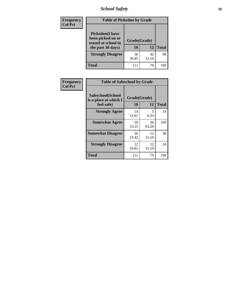*School Safety* **16**

| <b>Frequency</b> | <b>Table of Pickedon by Grade</b>                                                        |                    |             |              |
|------------------|------------------------------------------------------------------------------------------|--------------------|-------------|--------------|
| <b>Col Pct</b>   | <b>Pickedon</b> (I have<br>been picked on or<br>teased at school in<br>the past 30 days) | Grade(Grade)<br>10 | 12          | <b>Total</b> |
|                  | <b>Strongly Disagree</b>                                                                 | 56<br>50.45        | 42<br>53.16 | 98           |
|                  | Total                                                                                    | 111                | 79          | 190          |

| Frequency      | <b>Table of Safeschool by Grade</b>                      |                    |              |     |
|----------------|----------------------------------------------------------|--------------------|--------------|-----|
| <b>Col Pct</b> | Safeschool(School<br>is a place at which I<br>feel safe) | Grade(Grade)<br>10 | <b>Total</b> |     |
|                | <b>Strongly Agree</b>                                    | 14<br>12.61        | 5<br>6.33    | 19  |
|                | <b>Somewhat Agree</b>                                    | 59<br>53.15        | 50<br>63.29  | 109 |
|                | <b>Somewhat Disagree</b>                                 | 26<br>23.42        | 12<br>15.19  | 38  |
|                | <b>Strongly Disagree</b>                                 | 12<br>10.81        | 12<br>15.19  | 24  |
|                | <b>Total</b>                                             | 111                | 79           | 190 |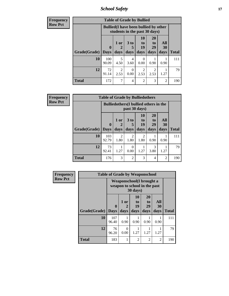*School Safety* **17**

| <b>Frequency</b> |              |              | <b>Table of Grade by Bullied</b>                                              |                      |                        |                       |                  |              |  |
|------------------|--------------|--------------|-------------------------------------------------------------------------------|----------------------|------------------------|-----------------------|------------------|--------------|--|
| <b>Row Pct</b>   |              |              | <b>Bullied</b> (I have been bullied by other<br>students in the past 30 days) |                      |                        |                       |                  |              |  |
|                  |              | $\mathbf 0$  | 1 or                                                                          | 3 <sub>to</sub><br>5 | 10<br>to<br>19         | <b>20</b><br>to<br>29 | All<br><b>30</b> |              |  |
|                  | Grade(Grade) | $\vert$ Days | days                                                                          | days                 | days                   | days                  | days             | <b>Total</b> |  |
|                  | 10           | 100<br>90.09 | 5<br>4.50                                                                     | 4<br>3.60            | $\Omega$<br>0.00       | 0.90                  | 0.90             | 111          |  |
|                  | 12           | 72<br>91.14  | $\overline{c}$<br>2.53                                                        | $\Omega$<br>0.00     | $\mathfrak{D}$<br>2.53 | 2<br>2.53             | 1.27             | 79           |  |
|                  | <b>Total</b> | 172          | 7                                                                             | 4                    | $\overline{2}$         | 3                     | $\overline{2}$   | 190          |  |

| <b>Frequency</b> |              | <b>Table of Grade by Bulliedothers</b> |                                                                |                        |                        |                               |                   |              |  |  |
|------------------|--------------|----------------------------------------|----------------------------------------------------------------|------------------------|------------------------|-------------------------------|-------------------|--------------|--|--|
| <b>Row Pct</b>   |              |                                        | <b>Bulliedothers</b> (I bullied others in the<br>past 30 days) |                        |                        |                               |                   |              |  |  |
|                  | Grade(Grade) | $\mathbf{0}$<br><b>Days</b>            | 1 or<br>days                                                   | 3 to<br>5<br>days      | 10<br>to<br>19<br>days | <b>20</b><br>to<br>29<br>days | All<br>30<br>days | <b>Total</b> |  |  |
|                  | 10           | 103<br>92.79                           | $\overline{2}$<br>1.80                                         | $\overline{2}$<br>1.80 | 2<br>1.80              | 0.90                          | 0.90              | 111          |  |  |
|                  | 12           | 73<br>92.41                            | 1.27                                                           | 0<br>0.00              | 1.27                   | 3<br>3.80                     | 1.27              | 79           |  |  |
|                  | <b>Total</b> | 176                                    | 3                                                              | $\overline{c}$         | 3                      | $\overline{4}$                | $\overline{2}$    | 190          |  |  |

| <b>Frequency</b> |              | <b>Table of Grade by Weaponschool</b>                     |                   |                               |                        |                          |              |
|------------------|--------------|-----------------------------------------------------------|-------------------|-------------------------------|------------------------|--------------------------|--------------|
| <b>Row Pct</b>   |              | Weaponschool (I brought a<br>weapon to school in the past |                   |                               |                        |                          |              |
|                  | Grade(Grade) | $\bf{0}$<br><b>Days</b>                                   | 1 or<br>2<br>days | <b>10</b><br>to<br>19<br>days | 20<br>to<br>29<br>days | All<br><b>30</b><br>days | <b>Total</b> |
|                  | 10           | 107<br>96.40                                              | 0.90              | 0.90                          | 0.90                   | 0.90                     | 111          |
|                  | 12           | 76<br>96.20                                               | 0<br>0.00         | 1.27                          | 1.27                   | 1.27                     | 79           |
|                  | <b>Total</b> | 183                                                       | 1                 | $\overline{2}$                | $\mathfrak{D}$         | $\mathfrak{D}$           | 190          |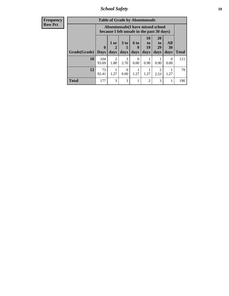*School Safety* **18**

| <b>Frequency</b> |              |              |                        |                      |                  | <b>Table of Grade by Absentunsafe</b>                                           |                       |           |              |
|------------------|--------------|--------------|------------------------|----------------------|------------------|---------------------------------------------------------------------------------|-----------------------|-----------|--------------|
| <b>Row Pct</b>   |              |              |                        |                      |                  | Absentunsafe(I have missed school<br>because I felt unsafe in the past 30 days) |                       |           |              |
|                  |              | $\mathbf{0}$ | 1 or<br>2              | 3 <sub>to</sub><br>5 | 6 to<br>g        | 10<br>to<br>19                                                                  | <b>20</b><br>to<br>29 | All<br>30 |              |
|                  | Grade(Grade) | <b>Days</b>  | days                   | days                 | days             | days                                                                            | days                  | days      | <b>Total</b> |
|                  | <b>10</b>    | 104<br>93.69 | $\mathfrak{D}$<br>1.80 | 3<br>2.70            | $\Omega$<br>0.00 | 0.90                                                                            | 0.90                  | 0<br>0.00 | 111          |
|                  | 12           | 73<br>92.41  | 1<br>1.27              | $\Omega$<br>0.00     | 1.27             | 1.27                                                                            | 2<br>2.53             | 1.27      | 79           |
|                  | <b>Total</b> | 177          | 3                      | 3                    |                  | $\mathfrak{D}$                                                                  | 3                     |           | 190          |
|                  |              |              |                        |                      |                  |                                                                                 |                       |           |              |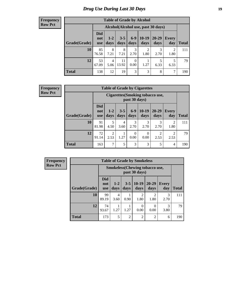### *Drug Use During Last 30 Days* **19**

#### **Frequency Row Pct**

| <b>Table of Grade by Alcohol</b> |                                 |                 |                 |               |                                    |               |                     |              |  |  |  |
|----------------------------------|---------------------------------|-----------------|-----------------|---------------|------------------------------------|---------------|---------------------|--------------|--|--|--|
|                                  |                                 |                 |                 |               | Alcohol(Alcohol use, past 30 days) |               |                     |              |  |  |  |
| Grade(Grade)                     | <b>Did</b><br>not<br><b>use</b> | $1 - 2$<br>days | $3 - 5$<br>days | $6-9$<br>days | $10-19$<br>days                    | 20-29<br>days | <b>Every</b><br>day | <b>Total</b> |  |  |  |
| 10                               | 85<br>76.58                     | 8<br>7.21       | 8<br>7.21       | 3<br>2.70     | 2<br>1.80                          | 3<br>2.70     | 2<br>1.80           | 111          |  |  |  |
| 12                               | 53<br>67.09                     | 4<br>5.06       | 11<br>13.92     | 0<br>0.00     | 1.27                               | 5<br>6.33     | 5<br>6.33           | 79           |  |  |  |
| <b>Total</b>                     | 138                             | 12              | 19              | 3             | 3                                  | 8             | 7                   | 190          |  |  |  |

| <b>Frequency</b> |  |
|------------------|--|
| <b>Row Pct</b>   |  |

| <b>Table of Grade by Cigarettes</b> |                                 |                                                   |                 |                  |                 |                        |                        |              |  |  |  |
|-------------------------------------|---------------------------------|---------------------------------------------------|-----------------|------------------|-----------------|------------------------|------------------------|--------------|--|--|--|
|                                     |                                 | Cigarettes (Smoking tobacco use,<br>past 30 days) |                 |                  |                 |                        |                        |              |  |  |  |
| Grade(Grade)                        | <b>Did</b><br>not<br><b>use</b> | $1-2$<br>days                                     | $3 - 5$<br>days | $6 - 9$<br>days  | $10-19$<br>days | 20-29<br>days          | Every<br>day           | <b>Total</b> |  |  |  |
| 10                                  | 91<br>81.98                     | 5<br>4.50                                         | 4<br>3.60       | 3<br>2.70        | 3<br>2.70       | 3<br>2.70              | $\mathfrak{D}$<br>1.80 | 111          |  |  |  |
| 12                                  | 72<br>91.14                     | $\overline{2}$<br>2.53                            | 1.27            | $\theta$<br>0.00 | 0<br>0.00       | $\overline{2}$<br>2.53 | 2<br>2.53              | 79           |  |  |  |
| <b>Total</b>                        | 163                             | $\mathcal{I}$                                     | 5               | 3                | 3               | 5                      | 4                      | 190          |  |  |  |

**Frequency Row Pct**

| <b>Table of Grade by Smokeless</b> |                                 |                                                        |                 |                        |                        |                     |              |  |  |  |  |
|------------------------------------|---------------------------------|--------------------------------------------------------|-----------------|------------------------|------------------------|---------------------|--------------|--|--|--|--|
|                                    |                                 | <b>Smokeless</b> (Chewing tobaccouse,<br>past 30 days) |                 |                        |                        |                     |              |  |  |  |  |
| Grade(Grade)                       | <b>Did</b><br>not<br><b>use</b> | $1-2$<br>days                                          | $3 - 5$<br>days | $10-19$<br>days        | $20 - 29$<br>days      | <b>Every</b><br>day | <b>Total</b> |  |  |  |  |
| 10                                 | 99<br>89.19                     | 4<br>3.60                                              | 0.90            | $\mathfrak{D}$<br>1.80 | $\mathfrak{D}$<br>1.80 | 3<br>2.70           | 111          |  |  |  |  |
| 12                                 | 74<br>93.67                     | 1.27                                                   | 1.27            | 0<br>0.00              | 0.00                   | 3<br>3.80           | 79           |  |  |  |  |
| <b>Total</b>                       | 173                             | 5                                                      | $\overline{2}$  | $\overline{2}$         | $\overline{2}$         | 6                   | 190          |  |  |  |  |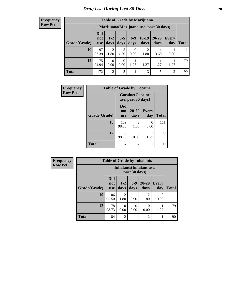#### **Frequency Row Pct**

| <b>Table of Grade by Marijuana</b> |                                 |                        |                 |               |                                         |               |                |       |  |  |  |
|------------------------------------|---------------------------------|------------------------|-----------------|---------------|-----------------------------------------|---------------|----------------|-------|--|--|--|
|                                    |                                 |                        |                 |               | Marijuana (Marijuana use, past 30 days) |               |                |       |  |  |  |
| Grade(Grade)                       | <b>Did</b><br>not<br><b>use</b> | $1 - 2$<br>days        | $3 - 5$<br>days | $6-9$<br>days | $10-19$<br>days                         | 20-29<br>days | Every<br>day   | Total |  |  |  |
| 10                                 | 97<br>87.39                     | $\overline{2}$<br>1.80 | 4.50            | 0<br>0.00     | $\mathfrak{D}$<br>1.80                  | 4<br>3.60     | 0.90           | 111   |  |  |  |
| 12                                 | 75<br>94.94                     | $\Omega$<br>0.00       | 0<br>0.00       | 1.27          | 1.27                                    | 1.27          | 1.27           | 79    |  |  |  |
| <b>Total</b>                       | 172                             | $\overline{2}$         | 5               |               | 3                                       | 5             | $\overline{2}$ | 190   |  |  |  |

| Frequency      | <b>Table of Grade by Cocaine</b> |                                 |                                               |                     |              |  |  |  |  |
|----------------|----------------------------------|---------------------------------|-----------------------------------------------|---------------------|--------------|--|--|--|--|
| <b>Row Pct</b> |                                  |                                 | <b>Cocaine</b> (Cocaine<br>use, past 30 days) |                     |              |  |  |  |  |
|                | Grade(Grade)                     | <b>Did</b><br>not<br><b>use</b> | $20 - 29$<br>days                             | <b>Every</b><br>day | <b>Total</b> |  |  |  |  |
|                | 10                               | 109<br>98.20                    | $\mathfrak{D}$<br>1.80                        | 0<br>0.00           | 111          |  |  |  |  |
|                | 12                               | 78<br>98.73                     | 0<br>0.00                                     | 1.27                | 79           |  |  |  |  |
|                | <b>Total</b>                     | 187                             | $\overline{c}$                                | 1                   | 190          |  |  |  |  |

| Frequency      | <b>Table of Grade by Inhalants</b>               |                                 |                        |                 |                        |                     |              |
|----------------|--------------------------------------------------|---------------------------------|------------------------|-----------------|------------------------|---------------------|--------------|
| <b>Row Pct</b> | <b>Inhalants</b> (Inhalant use,<br>past 30 days) |                                 |                        |                 |                        |                     |              |
|                | Grade(Grade)                                     | <b>Did</b><br>not<br><b>use</b> | $1-2$<br>days          | $6 - 9$<br>days | $20 - 29$<br>days      | <b>Every</b><br>day | <b>Total</b> |
|                | 10                                               | 106<br>95.50                    | $\mathfrak{D}$<br>1.80 | 0.90            | $\mathfrak{D}$<br>1.80 | 0<br>0.00           | 111          |
|                | 12                                               | 78<br>98.73                     | $\Omega$<br>0.00       | 0<br>0.00       | 0.00                   | 1.27                | 79           |
|                | <b>Total</b>                                     | 184                             | $\overline{2}$         |                 | $\overline{c}$         |                     | 190          |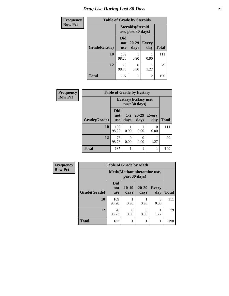| <b>Frequency</b> |              | <b>Table of Grade by Steroids</b> |                                                |                |              |
|------------------|--------------|-----------------------------------|------------------------------------------------|----------------|--------------|
| <b>Row Pct</b>   |              |                                   | <b>Steroids</b> (Steroid<br>use, past 30 days) |                |              |
|                  | Grade(Grade) | Did<br>not<br><b>use</b>          | 20-29<br>days                                  | Every<br>day   | <b>Total</b> |
|                  | 10           | 109<br>98.20                      | 0.90                                           | 0.90           | 111          |
|                  | 12           | 78<br>98.73                       | 0.00                                           | 1.27           | 79           |
|                  | <b>Total</b> | 187                               |                                                | $\mathfrak{D}$ | 190          |

| <b>Frequency</b> | <b>Table of Grade by Ecstasy</b> |                                 |               |                                        |                     |              |  |  |  |
|------------------|----------------------------------|---------------------------------|---------------|----------------------------------------|---------------------|--------------|--|--|--|
| <b>Row Pct</b>   |                                  |                                 |               | Ecstasy (Ecstasy use,<br>past 30 days) |                     |              |  |  |  |
|                  | Grade(Grade)                     | <b>Did</b><br>not<br><b>use</b> | $1-2$<br>days | 20-29<br>days                          | <b>Every</b><br>day | <b>Total</b> |  |  |  |
|                  | 10                               | 109<br>98.20                    | 0.90          | 0.90                                   | 0<br>0.00           | 111          |  |  |  |
|                  | 12                               | 78<br>98.73                     | 0<br>0.00     | 0<br>0.00                              | 1.27                | 79           |  |  |  |
|                  | <b>Total</b>                     | 187                             |               |                                        |                     | 190          |  |  |  |

| <b>Frequency</b> | <b>Table of Grade by Meth</b>               |                                 |                  |                  |                     |              |  |
|------------------|---------------------------------------------|---------------------------------|------------------|------------------|---------------------|--------------|--|
| <b>Row Pct</b>   | Meth (Methamphetamine use,<br>past 30 days) |                                 |                  |                  |                     |              |  |
|                  | Grade(Grade)                                | <b>Did</b><br>not<br><b>use</b> | 10-19<br>days    | 20-29<br>days    | <b>Every</b><br>day | <b>Total</b> |  |
|                  | 10                                          | 109<br>98.20                    | 0.90             | 0.90             | $\Omega$<br>0.00    | 111          |  |
|                  | 12                                          | 78<br>98.73                     | $\Omega$<br>0.00 | $\Omega$<br>0.00 | 1.27                | 79           |  |
|                  | <b>Total</b>                                | 187                             |                  |                  |                     | 190          |  |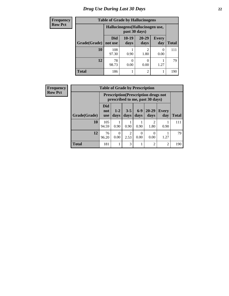### *Drug Use During Last 30 Days* **22**

| <b>Frequency</b> | <b>Table of Grade by Hallucinogens</b> |                                  |                 |                   |                     |              |  |  |
|------------------|----------------------------------------|----------------------------------|-----------------|-------------------|---------------------|--------------|--|--|
| <b>Row Pct</b>   |                                        | Hallucinogens (Hallucinogen use, |                 |                   |                     |              |  |  |
|                  | Grade(Grade)                           | <b>Did</b><br>not use            | $10-19$<br>days | $20 - 29$<br>days | <b>Every</b><br>day | <b>Total</b> |  |  |
|                  | 10                                     | 108<br>97.30                     | 0.90            | 2<br>1.80         | 0<br>0.00           | 111          |  |  |
|                  | 12                                     | 78<br>98.73                      | 0.00            | 0<br>0.00         | 1.27                | 79           |  |  |
|                  | <b>Total</b>                           | 186                              |                 | $\overline{2}$    |                     | 190          |  |  |

| <b>Frequency</b> | <b>Table of Grade by Prescription</b> |                                 |                  |                        |                  |                                                                                |                |              |  |
|------------------|---------------------------------------|---------------------------------|------------------|------------------------|------------------|--------------------------------------------------------------------------------|----------------|--------------|--|
| <b>Row Pct</b>   |                                       |                                 |                  |                        |                  | <b>Prescription</b> (Prescription drugs not<br>prescribed to me, past 30 days) |                |              |  |
|                  | Grade(Grade)                          | <b>Did</b><br>not<br><b>use</b> | $1 - 2$<br>days  | $3 - 5$<br>days        | $6-9$<br>days    | $20 - 29$<br>days                                                              | Every<br>day   | <b>Total</b> |  |
|                  | 10                                    | 105<br>94.59                    | 0.90             | 0.90                   | 0.90             | 2<br>1.80                                                                      | 0.90           | 111          |  |
|                  | 12                                    | 76<br>96.20                     | $\Omega$<br>0.00 | $\overline{c}$<br>2.53 | $\Omega$<br>0.00 | 0<br>0.00                                                                      | 1.27           | 79           |  |
|                  | <b>Total</b>                          | 181                             |                  | 3                      |                  | 2                                                                              | $\overline{c}$ | 190          |  |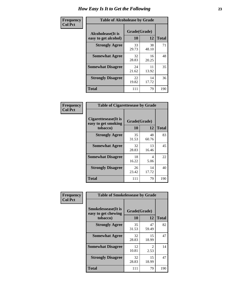| Frequency      | <b>Table of Alcoholease by Grade</b>              |                    |             |              |  |  |
|----------------|---------------------------------------------------|--------------------|-------------|--------------|--|--|
| <b>Col Pct</b> | <b>Alcoholease</b> (It is<br>easy to get alcohol) | Grade(Grade)<br>10 | 12          | <b>Total</b> |  |  |
|                | <b>Strongly Agree</b>                             | 33<br>29.73        | 38<br>48.10 | 71           |  |  |
|                | <b>Somewhat Agree</b>                             | 32<br>28.83        | 16<br>20.25 | 48           |  |  |
|                | <b>Somewhat Disagree</b>                          | 24<br>21.62        | 11<br>13.92 | 35           |  |  |
|                | <b>Strongly Disagree</b>                          | 22<br>19.82        | 14<br>17.72 | 36           |  |  |
|                | <b>Total</b>                                      | 111                | 79          | 190          |  |  |

| Frequency<br><b>Col Pct</b> | <b>Table of Cigarettesease by Grade</b>                 |                           |             |              |  |  |  |
|-----------------------------|---------------------------------------------------------|---------------------------|-------------|--------------|--|--|--|
|                             | Cigarettesease(It is<br>easy to get smoking<br>tobacco) | Grade(Grade)<br><b>10</b> | 12          | <b>Total</b> |  |  |  |
|                             | <b>Strongly Agree</b>                                   | 35<br>31.53               | 48<br>60.76 | 83           |  |  |  |
|                             | <b>Somewhat Agree</b>                                   | 32<br>28.83               | 13<br>16.46 | 45           |  |  |  |
|                             | <b>Somewhat Disagree</b>                                | 18<br>16.22               | 4<br>5.06   | 22           |  |  |  |
|                             | <b>Strongly Disagree</b>                                | 26<br>23.42               | 14<br>17.72 | 40           |  |  |  |
|                             | <b>Total</b>                                            | 111                       | 79          | 190          |  |  |  |

| Frequency      | <b>Table of Smokelessease by Grade</b>                         |                    |                       |              |  |  |  |  |
|----------------|----------------------------------------------------------------|--------------------|-----------------------|--------------|--|--|--|--|
| <b>Col Pct</b> | <b>Smokelessease</b> (It is<br>easy to get chewing<br>tobacco) | Grade(Grade)<br>10 | 12                    | <b>Total</b> |  |  |  |  |
|                | <b>Strongly Agree</b>                                          | 35<br>31.53        | 47<br>59.49           | 82           |  |  |  |  |
|                | <b>Somewhat Agree</b>                                          | 32<br>28.83        | 15<br>18.99           | 47           |  |  |  |  |
|                | <b>Somewhat Disagree</b>                                       | 12<br>10.81        | $\mathcal{L}$<br>2.53 | 14           |  |  |  |  |
|                | <b>Strongly Disagree</b>                                       | 32<br>28.83        | 15<br>18.99           | 47           |  |  |  |  |
|                | <b>Total</b>                                                   | 111                | 79                    | 190          |  |  |  |  |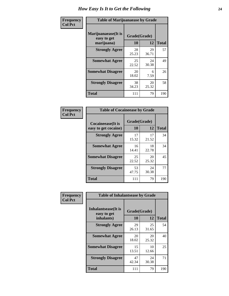| Frequency      | <b>Table of Marijuanaease by Grade</b>           |                    |             |              |  |  |  |
|----------------|--------------------------------------------------|--------------------|-------------|--------------|--|--|--|
| <b>Col Pct</b> | Marijuanaease(It is<br>easy to get<br>marijuana) | Grade(Grade)<br>10 | 12          | <b>Total</b> |  |  |  |
|                | <b>Strongly Agree</b>                            | 28<br>25.23        | 29<br>36.71 | 57           |  |  |  |
|                | <b>Somewhat Agree</b>                            | 25<br>22.52        | 24<br>30.38 | 49           |  |  |  |
|                | <b>Somewhat Disagree</b>                         | 20<br>18.02        | 6<br>7.59   | 26           |  |  |  |
|                | <b>Strongly Disagree</b>                         | 38<br>34.23        | 20<br>25.32 | 58           |  |  |  |
|                | <b>Total</b>                                     | 111                | 79          | 190          |  |  |  |

| <b>Table of Cocaineease by Grade</b>      |                    |             |              |  |  |  |  |  |
|-------------------------------------------|--------------------|-------------|--------------|--|--|--|--|--|
| Cocaineease(It is<br>easy to get cocaine) | Grade(Grade)<br>10 | 12          | <b>Total</b> |  |  |  |  |  |
| <b>Strongly Agree</b>                     | 17<br>15.32        | 17<br>21.52 | 34           |  |  |  |  |  |
| <b>Somewhat Agree</b>                     | 16<br>14.41        | 18<br>22.78 | 34           |  |  |  |  |  |
| <b>Somewhat Disagree</b>                  | 25<br>22.52        | 20<br>25.32 | 45           |  |  |  |  |  |
| <b>Strongly Disagree</b>                  | 53<br>47.75        | 24<br>30.38 | 77           |  |  |  |  |  |
| <b>Total</b>                              | 111                | 79          | 190          |  |  |  |  |  |

| Frequency      | <b>Table of Inhalantsease by Grade</b>           |                    |              |     |
|----------------|--------------------------------------------------|--------------------|--------------|-----|
| <b>Col Pct</b> | Inhalantsease(It is<br>easy to get<br>inhalants) | Grade(Grade)<br>10 | <b>Total</b> |     |
|                | <b>Strongly Agree</b>                            | 29<br>26.13        | 25<br>31.65  | 54  |
|                | <b>Somewhat Agree</b>                            | 20<br>18.02        | 20<br>25.32  | 40  |
|                | <b>Somewhat Disagree</b>                         | 15<br>13.51        | 10<br>12.66  | 25  |
|                | <b>Strongly Disagree</b>                         | 47<br>42.34        | 24<br>30.38  | 71  |
|                | <b>Total</b>                                     | 111                | 79           | 190 |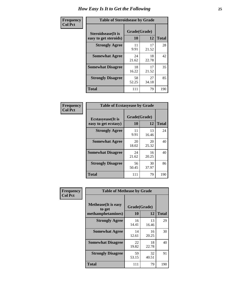| Frequency      |                                                     | <b>Table of Steroidsease by Grade</b> |              |     |  |  |  |  |  |  |  |  |
|----------------|-----------------------------------------------------|---------------------------------------|--------------|-----|--|--|--|--|--|--|--|--|
| <b>Col Pct</b> | <b>Steroidsease</b> (It is<br>easy to get steroids) | Grade(Grade)<br>10                    | <b>Total</b> |     |  |  |  |  |  |  |  |  |
|                | <b>Strongly Agree</b>                               | 11<br>9.91                            | 17<br>21.52  | 28  |  |  |  |  |  |  |  |  |
|                | <b>Somewhat Agree</b>                               | 24<br>21.62                           | 18<br>22.78  | 42  |  |  |  |  |  |  |  |  |
|                | <b>Somewhat Disagree</b>                            | 18<br>16.22                           | 17<br>21.52  | 35  |  |  |  |  |  |  |  |  |
|                | <b>Strongly Disagree</b>                            | 58<br>52.25                           | 27<br>34.18  | 85  |  |  |  |  |  |  |  |  |
|                | <b>Total</b>                                        | 111                                   | 79           | 190 |  |  |  |  |  |  |  |  |

| Frequency      | <b>Table of Ecstasyease by Grade</b>              |                           |              |     |  |  |  |  |  |  |  |
|----------------|---------------------------------------------------|---------------------------|--------------|-----|--|--|--|--|--|--|--|
| <b>Col Pct</b> | <b>Ecstasyease</b> (It is<br>easy to get ecstasy) | Grade(Grade)<br><b>10</b> | <b>Total</b> |     |  |  |  |  |  |  |  |
|                | <b>Strongly Agree</b>                             | 11<br>9.91                | 13<br>16.46  | 24  |  |  |  |  |  |  |  |
|                | <b>Somewhat Agree</b>                             | 20<br>18.02               | 20<br>25.32  | 40  |  |  |  |  |  |  |  |
|                | <b>Somewhat Disagree</b>                          | 24<br>21.62               | 16<br>20.25  | 40  |  |  |  |  |  |  |  |
|                | <b>Strongly Disagree</b>                          | 56<br>50.45               | 30<br>37.97  | 86  |  |  |  |  |  |  |  |
|                | <b>Total</b>                                      | 111                       | 79           | 190 |  |  |  |  |  |  |  |

| Frequency      | <b>Table of Methease by Grade</b>                          |                    |             |              |
|----------------|------------------------------------------------------------|--------------------|-------------|--------------|
| <b>Col Pct</b> | <b>Methease</b> (It is easy<br>to get<br>methamphetamines) | Grade(Grade)<br>10 | 12          | <b>Total</b> |
|                | <b>Strongly Agree</b>                                      | 16<br>14.41        | 13<br>16.46 | 29           |
|                | <b>Somewhat Agree</b>                                      | 14<br>12.61        | 16<br>20.25 | 30           |
|                | <b>Somewhat Disagree</b>                                   | 22<br>19.82        | 18<br>22.78 | 40           |
|                | <b>Strongly Disagree</b>                                   | 59<br>53.15        | 32<br>40.51 | 91           |
|                | <b>Total</b>                                               | 111                | 79          | 190          |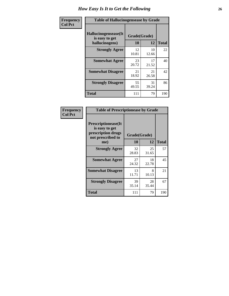| <b>Frequency</b> | <b>Table of Hallucinogensease by Grade</b>               |                    |             |              |  |  |  |  |  |  |
|------------------|----------------------------------------------------------|--------------------|-------------|--------------|--|--|--|--|--|--|
| <b>Col Pct</b>   | Hallucinogensease(It<br>is easy to get<br>hallucinogens) | Grade(Grade)<br>10 | 12          | <b>Total</b> |  |  |  |  |  |  |
|                  | <b>Strongly Agree</b>                                    | 12<br>10.81        | 10<br>12.66 | 22           |  |  |  |  |  |  |
|                  | <b>Somewhat Agree</b>                                    | 23<br>20.72        | 17<br>21.52 | 40           |  |  |  |  |  |  |
|                  | <b>Somewhat Disagree</b>                                 | 21<br>18.92        | 21<br>26.58 | 42           |  |  |  |  |  |  |
|                  | <b>Strongly Disagree</b>                                 | 55<br>49.55        | 31<br>39.24 | 86           |  |  |  |  |  |  |
|                  | <b>Total</b>                                             | 111                | 79          | 190          |  |  |  |  |  |  |

| Frequency<br>Col Pct |
|----------------------|
|                      |

| <b>Table of Prescriptionease by Grade</b>                                                |             |              |              |  |  |  |  |  |  |
|------------------------------------------------------------------------------------------|-------------|--------------|--------------|--|--|--|--|--|--|
| <b>Prescriptionease</b> (It<br>is easy to get<br>prescription drugs<br>not prescribed to |             | Grade(Grade) |              |  |  |  |  |  |  |
| me)                                                                                      | 10          | 12           | <b>Total</b> |  |  |  |  |  |  |
| <b>Strongly Agree</b>                                                                    | 32<br>28.83 | 25<br>31.65  | 57           |  |  |  |  |  |  |
| <b>Somewhat Agree</b>                                                                    | 27<br>24.32 | 18<br>22.78  | 45           |  |  |  |  |  |  |
| <b>Somewhat Disagree</b>                                                                 | 13<br>11.71 | 8<br>10.13   | 21           |  |  |  |  |  |  |
| <b>Strongly Disagree</b>                                                                 | 39<br>35.14 | 28<br>35.44  | 67           |  |  |  |  |  |  |
| Total                                                                                    | 111         | 79           | 190          |  |  |  |  |  |  |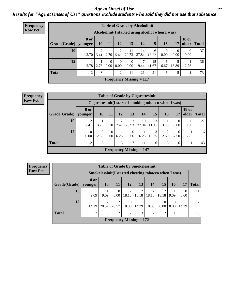#### *Age at Onset of Use* **27** *Results for "Age at Onset of Use" questions exclude students who said they did not use that substance*

| <b>Frequency</b> | <b>Table of Grade by Alcoholinit</b>             |             |           |                  |                      |                           |             |             |                        |                  |                       |              |
|------------------|--------------------------------------------------|-------------|-----------|------------------|----------------------|---------------------------|-------------|-------------|------------------------|------------------|-----------------------|--------------|
| <b>Row Pct</b>   | Alcoholinit (I started using alcohol when I was) |             |           |                  |                      |                           |             |             |                        |                  |                       |              |
|                  | Grade(Grade)   younger                           | <b>8 or</b> | <b>10</b> | 11               | <b>12</b>            | 13                        | 14          | 15          | <b>16</b>              | 17               | <b>18 or</b><br>older | <b>Total</b> |
|                  | 10                                               | 2.70        | 5.41      |                  | $2.70$ 5.41          | 11<br>29.73               | 14<br>37.84 | 6<br>16.22  | $\overline{0}$<br>0.00 | $\Omega$<br>0.00 | $\Omega$<br>0.00      | 37           |
|                  | 12                                               | 2.78        | 2.78      | $\Omega$<br>0.00 | $\Omega$<br>$0.00\,$ | $\theta$<br>$0.00\,$      | 7<br>19.44  | 15<br>41.67 | 6<br>16.67             | 13.89            | 2.78                  | 36           |
|                  | <b>Total</b>                                     | 2           | 3         |                  | 2                    | 11                        | 21          | 21          | 6                      | 5                |                       | 73           |
|                  |                                                  |             |           |                  |                      | Frequency Missing $= 117$ |             |             |                        |                  |                       |              |

#### **Frequency Row Pct**

| <b>Table of Grade by Cigarettesinit</b> |                                             |                                                      |                  |           |                  |             |            |            |            |                       |              |
|-----------------------------------------|---------------------------------------------|------------------------------------------------------|------------------|-----------|------------------|-------------|------------|------------|------------|-----------------------|--------------|
|                                         |                                             | Cigarettesinit(I started smoking tobacco when I was) |                  |           |                  |             |            |            |            |                       |              |
| Grade(Grade)   younger                  | 8 or                                        | <b>10</b>                                            | 11               | 12        | 13               | 14          | 15         | <b>16</b>  | 17         | <b>18 or</b><br>older | <b>Total</b> |
| 10                                      | 2<br>7.41                                   | 3.70                                                 | 3.70             | 2<br>7.41 | 7<br>25.93       | 10<br>37.04 | 3<br>11.11 | 3.70       | 0.00       | 0.00                  | 27           |
| 12                                      | $\theta$<br>0.00                            | 12.50                                                | $\Omega$<br>0.00 | 6.25      | $\Omega$<br>0.00 | 6.25        | 3<br>18.75 | റ<br>12.50 | 6<br>37.50 | 6.25                  | 16           |
| <b>Total</b>                            | 2                                           | 3                                                    |                  | 3         | 7                | 11          | 6          | 3          | 6          |                       | 43           |
|                                         | <b>Frequency Missing <math>= 147</math></b> |                                                      |                  |           |                  |             |            |            |            |                       |              |

**Frequency Row Pct**

| <b>Table of Grade by Smokelessinit</b> |                           |                                                     |                         |                |                         |                |                         |                  |       |              |
|----------------------------------------|---------------------------|-----------------------------------------------------|-------------------------|----------------|-------------------------|----------------|-------------------------|------------------|-------|--------------|
|                                        |                           | Smokelessinit(I started chewing tobacco when I was) |                         |                |                         |                |                         |                  |       |              |
| Grade(Grade)                           | 8 or<br>younger           | <b>10</b>                                           | <b>11</b>               | <b>12</b>      | 13                      | 14             | 15                      | 16               | 17    | <b>Total</b> |
| 10                                     | 9.09                      | 9.09                                                | 0.00                    | 2<br>18.18     | $\overline{2}$<br>18.18 | 2<br>18.18     | $\mathfrak{D}$<br>18.18 | 9.09             | 0.00  | 11           |
| 12                                     | 14.29                     | 28.57                                               | $\overline{c}$<br>28.57 | 0.00           | 14.29                   | 0<br>0.00      | $\Omega$<br>0.00        | $\theta$<br>0.00 | 14.29 |              |
| <b>Total</b>                           | $\overline{c}$            | 3                                                   | $\overline{c}$          | $\mathfrak{D}$ | 3                       | $\overline{2}$ | $\overline{2}$          |                  |       | 18           |
|                                        | Frequency Missing $= 172$ |                                                     |                         |                |                         |                |                         |                  |       |              |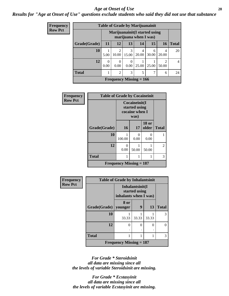#### *Age at Onset of Use* **28**

*Results for "Age at Onset of Use" questions exclude students who said they did not use that substance*

| Frequency      |              | <b>Table of Grade by Marijuanainit</b> |                           |                  |            |            |            |              |  |  |  |  |
|----------------|--------------|----------------------------------------|---------------------------|------------------|------------|------------|------------|--------------|--|--|--|--|
| <b>Row Pct</b> |              | Marijuanainit (I started using         |                           |                  |            |            |            |              |  |  |  |  |
|                | Grade(Grade) | 11                                     | 12                        | 13               | 14         | 15         | <b>16</b>  | <b>Total</b> |  |  |  |  |
|                | <b>10</b>    | 5.00                                   | 2<br>10.00                | 3<br>15.00       | 4<br>20.00 | 6<br>30.00 | 4<br>20.00 | 20           |  |  |  |  |
|                | 12           | 0<br>0.00                              | 0<br>0.00                 | $\Omega$<br>0.00 | 25.00      | 25.00      | 2<br>50.00 | 4            |  |  |  |  |
|                | <b>Total</b> |                                        | $\overline{2}$            | 3                | 5          | 7          | 6          | 24           |  |  |  |  |
|                |              |                                        | Frequency Missing $= 166$ |                  |            |            |            |              |  |  |  |  |

| <b>Frequency</b> | <b>Table of Grade by Cocaineinit</b> |                           |                                                          |                       |              |  |  |  |  |  |  |
|------------------|--------------------------------------|---------------------------|----------------------------------------------------------|-----------------------|--------------|--|--|--|--|--|--|
| <b>Row Pct</b>   |                                      |                           | Cocaineinit(I<br>started using<br>cocaine when I<br>was) |                       |              |  |  |  |  |  |  |
|                  | Grade(Grade)                         | <b>16</b>                 | 17                                                       | <b>18 or</b><br>older | <b>Total</b> |  |  |  |  |  |  |
|                  | 10                                   | 100.00                    | 0<br>0.00                                                | 0<br>0.00             |              |  |  |  |  |  |  |
|                  | 12                                   | 0<br>0.00                 | 50.00                                                    | 50.00                 | 2            |  |  |  |  |  |  |
|                  | <b>Total</b>                         | 1                         |                                                          |                       | 3            |  |  |  |  |  |  |
|                  |                                      | Frequency Missing $= 187$ |                                                          |                       |              |  |  |  |  |  |  |

| <b>Frequency</b> | <b>Table of Grade by Inhalantsinit</b> |                                                           |          |          |              |  |
|------------------|----------------------------------------|-----------------------------------------------------------|----------|----------|--------------|--|
| <b>Row Pct</b>   |                                        | Inhalantsinit(I<br>started using<br>inhalants when I was) |          |          |              |  |
|                  | Grade(Grade)                           | 8 or<br>younger                                           | 9        | 13       | <b>Total</b> |  |
|                  | 10                                     | 33.33                                                     | 33.33    | 33.33    | 3            |  |
|                  | 12                                     | 0                                                         | $\Omega$ | $\theta$ | $\Omega$     |  |
|                  | <b>Total</b>                           |                                                           |          |          | 3            |  |
|                  |                                        | Frequency Missing $= 187$                                 |          |          |              |  |

*For Grade \* Steroidsinit all data are missing since all the levels of variable Steroidsinit are missing.*

*For Grade \* Ecstasyinit all data are missing since all the levels of variable Ecstasyinit are missing.*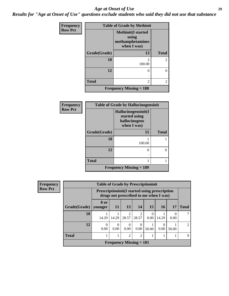#### *Age at Onset of Use* **29**

*Results for "Age at Onset of Use" questions exclude students who said they did not use that substance*

| Frequency      | <b>Table of Grade by Methinit</b> |                                                                       |              |  |
|----------------|-----------------------------------|-----------------------------------------------------------------------|--------------|--|
| <b>Row Pct</b> |                                   | <b>Methinit(I started</b><br>using<br>methamphetamines<br>when I was) |              |  |
|                | Grade(Grade)                      | 13                                                                    | <b>Total</b> |  |
|                | 10                                | 2<br>100.00                                                           | 2            |  |
|                | 12                                | 0                                                                     | 0            |  |
|                | <b>Total</b>                      | 2                                                                     | 2            |  |
|                |                                   | <b>Frequency Missing = 188</b>                                        |              |  |

| <b>Frequency</b> | <b>Table of Grade by Hallucinogensinit</b> |                                                                      |              |  |
|------------------|--------------------------------------------|----------------------------------------------------------------------|--------------|--|
| <b>Row Pct</b>   |                                            | Hallucinogensinit(I<br>started using<br>hallucinogens<br>when I was) |              |  |
|                  | Grade(Grade)                               | 15                                                                   | <b>Total</b> |  |
|                  | 10                                         | 100.00                                                               |              |  |
|                  | 12                                         | 0                                                                    | 0            |  |
|                  | <b>Total</b>                               |                                                                      |              |  |
|                  |                                            | <b>Frequency Missing = 189</b>                                       |              |  |

| Frequency      |                        | <b>Table of Grade by Prescriptioninit</b> |                                                                                                 |                  |                  |       |           |       |                |
|----------------|------------------------|-------------------------------------------|-------------------------------------------------------------------------------------------------|------------------|------------------|-------|-----------|-------|----------------|
| <b>Row Pct</b> |                        |                                           | <b>Prescriptioninit (I started using prescription</b><br>drugs not prescribed to me when I was) |                  |                  |       |           |       |                |
|                | Grade(Grade)   younger | 8 or                                      | 11                                                                                              | 13               | 14               | 15    | <b>16</b> | 17    | <b>Total</b>   |
|                | 10                     | 14.29                                     | 14.29                                                                                           | 2<br>28.57       | 28.57            | 0.00  | 14.29     | 0.00  |                |
|                | 12                     | $\Omega$<br>0.00                          | 0<br>0.00                                                                                       | $\Omega$<br>0.00 | $\theta$<br>0.00 | 50.00 | 0.00      | 50.00 | $\mathfrak{D}$ |
|                | <b>Total</b>           |                                           |                                                                                                 | $\overline{2}$   | $\overline{2}$   |       |           |       | 9              |
|                |                        |                                           | Frequency Missing $= 181$                                                                       |                  |                  |       |           |       |                |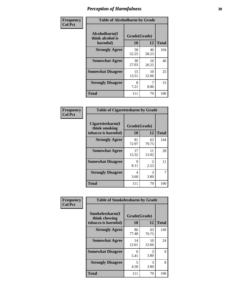| Frequency      | <b>Table of Alcoholharm by Grade</b>          |                    |             |              |
|----------------|-----------------------------------------------|--------------------|-------------|--------------|
| <b>Col Pct</b> | Alcoholharm(I<br>think alcohol is<br>harmful) | Grade(Grade)<br>10 | 12          | <b>Total</b> |
|                | <b>Strongly Agree</b>                         | 58<br>52.25        | 46<br>58.23 | 104          |
|                | <b>Somewhat Agree</b>                         | 30<br>27.03        | 16<br>20.25 | 46           |
|                | <b>Somewhat Disagree</b>                      | 15<br>13.51        | 10<br>12.66 | 25           |
|                | <b>Strongly Disagree</b>                      | 8<br>7.21          | 7<br>8.86   | 15           |
|                | <b>Total</b>                                  | 111                | 79          | 190          |

| <b>Table of Cigarettesharm by Grade</b>                  |                    |             |              |  |  |
|----------------------------------------------------------|--------------------|-------------|--------------|--|--|
| Cigarettesharm(I<br>think smoking<br>tobacco is harmful) | Grade(Grade)<br>10 | 12          | <b>Total</b> |  |  |
| <b>Strongly Agree</b>                                    | 81<br>72.97        | 63<br>79.75 | 144          |  |  |
| <b>Somewhat Agree</b>                                    | 17<br>15.32        | 11<br>13.92 | 28           |  |  |
| <b>Somewhat Disagree</b>                                 | 9<br>8.11          | 2<br>2.53   | 11           |  |  |
| <b>Strongly Disagree</b>                                 | 4<br>3.60          | 3<br>3.80   | 7            |  |  |
| <b>Total</b>                                             | 111                | 79          | 190          |  |  |

| Frequency      | <b>Table of Smokelessharm by Grade</b>                  |                           |             |              |
|----------------|---------------------------------------------------------|---------------------------|-------------|--------------|
| <b>Col Pct</b> | Smokelessharm(I<br>think chewing<br>tobacco is harmful) | Grade(Grade)<br><b>10</b> | 12          | <b>Total</b> |
|                | <b>Strongly Agree</b>                                   | 86<br>77.48               | 63<br>79.75 | 149          |
|                | <b>Somewhat Agree</b>                                   | 14<br>12.61               | 10<br>12.66 | 24           |
|                | <b>Somewhat Disagree</b>                                | 6<br>5.41                 | 3<br>3.80   | 9            |
|                | <b>Strongly Disagree</b>                                | 5<br>4.50                 | 3<br>3.80   | 8            |
|                | <b>Total</b>                                            | 111                       | 79          | 190          |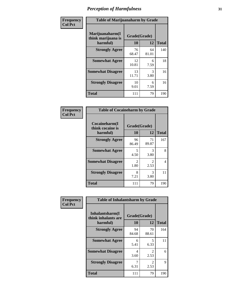| Frequency      | <b>Table of Marijuanaharm by Grade</b>            |                    |             |              |
|----------------|---------------------------------------------------|--------------------|-------------|--------------|
| <b>Col Pct</b> | Marijuanaharm(I<br>think marijuana is<br>harmful) | Grade(Grade)<br>10 | 12          | <b>Total</b> |
|                | <b>Strongly Agree</b>                             | 76<br>68.47        | 64<br>81.01 | 140          |
|                | <b>Somewhat Agree</b>                             | 12<br>10.81        | 6<br>7.59   | 18           |
|                | <b>Somewhat Disagree</b>                          | 13<br>11.71        | 3<br>3.80   | 16           |
|                | <b>Strongly Disagree</b>                          | 10<br>9.01         | 6<br>7.59   | 16           |
|                | <b>Total</b>                                      | 111                | 79          | 190          |

| <b>Table of Cocaineharm by Grade</b>          |                        |                        |     |  |  |  |
|-----------------------------------------------|------------------------|------------------------|-----|--|--|--|
| Cocaineharm(I<br>think cocaine is<br>harmful) | Grade(Grade)<br>10     | <b>Total</b>           |     |  |  |  |
| <b>Strongly Agree</b>                         | 96<br>86.49            | 71<br>89.87            | 167 |  |  |  |
| <b>Somewhat Agree</b>                         | 5<br>4.50              | 3<br>3.80              | 8   |  |  |  |
| <b>Somewhat Disagree</b>                      | $\mathfrak{D}$<br>1.80 | $\mathfrak{D}$<br>2.53 | 4   |  |  |  |
| <b>Strongly Disagree</b>                      | 8<br>7.21              | 3<br>3.80              | 11  |  |  |  |
| <b>Total</b>                                  | 111                    | 79                     | 190 |  |  |  |

| Frequency      | <b>Table of Inhalantsharm by Grade</b>             |                           |                                     |              |
|----------------|----------------------------------------------------|---------------------------|-------------------------------------|--------------|
| <b>Col Pct</b> | Inhalantsharm(I<br>think inhalants are<br>harmful) | Grade(Grade)<br><b>10</b> | 12                                  | <b>Total</b> |
|                | <b>Strongly Agree</b>                              | 94<br>84.68               | 70<br>88.61                         | 164          |
|                | <b>Somewhat Agree</b>                              | 6<br>5.41                 | 5<br>6.33                           | 11           |
|                | <b>Somewhat Disagree</b>                           | 4<br>3.60                 | $\mathcal{L}$<br>2.53               | 6            |
|                | <b>Strongly Disagree</b>                           | 7<br>6.31                 | $\mathcal{D}_{\mathcal{L}}$<br>2.53 | 9            |
|                | <b>Total</b>                                       | 111                       | 79                                  | 190          |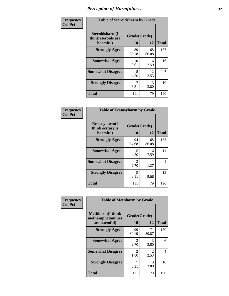| Frequency      | <b>Table of Steroidsharm by Grade</b>            |                    |                        |              |
|----------------|--------------------------------------------------|--------------------|------------------------|--------------|
| <b>Col Pct</b> | Steroidsharm(I<br>think steroids are<br>harmful) | Grade(Grade)<br>10 | 12                     | <b>Total</b> |
|                | <b>Strongly Agree</b>                            | 89<br>80.18        | 68<br>86.08            | 157          |
|                | <b>Somewhat Agree</b>                            | 10<br>9.01         | 6<br>7.59              | 16           |
|                | <b>Somewhat Disagree</b>                         | 5<br>4.50          | $\mathfrak{D}$<br>2.53 | 7            |
|                | <b>Strongly Disagree</b>                         | 6.31               | 3<br>3.80              | 10           |
|                | <b>Total</b>                                     | 111                | 79                     | 190          |

| <b>Table of Ecstasyharm by Grade</b>          |                    |              |     |  |  |
|-----------------------------------------------|--------------------|--------------|-----|--|--|
| Ecstasyharm(I<br>think ecstasy is<br>harmful) | Grade(Grade)<br>10 | <b>Total</b> |     |  |  |
| <b>Strongly Agree</b>                         | 94<br>84.68        | 68<br>86.08  | 162 |  |  |
| <b>Somewhat Agree</b>                         | 5<br>4.50          | 6<br>7.59    | 11  |  |  |
| <b>Somewhat Disagree</b>                      | 3<br>2.70          | 1.27         | 4   |  |  |
| <b>Strongly Disagree</b>                      | 9<br>8.11          | 4<br>5.06    | 13  |  |  |
| <b>Total</b>                                  | 111                | 79           | 190 |  |  |

| Frequency      | <b>Table of Methharm by Grade</b>                            |                    |                       |              |
|----------------|--------------------------------------------------------------|--------------------|-----------------------|--------------|
| <b>Col Pct</b> | <b>Methharm</b> (I think<br>methamphetamines<br>are harmful) | Grade(Grade)<br>10 | 12                    | <b>Total</b> |
|                | <b>Strongly Agree</b>                                        | 99<br>89.19        | 71<br>89.87           | 170          |
|                | <b>Somewhat Agree</b>                                        | 3<br>2.70          | 3<br>3.80             | 6            |
|                | <b>Somewhat Disagree</b>                                     | 2<br>1.80          | $\mathcal{L}$<br>2.53 | 4            |
|                | <b>Strongly Disagree</b>                                     | 7<br>6.31          | 3<br>3.80             | 10           |
|                | <b>Total</b>                                                 | 111                | 79                    | 190          |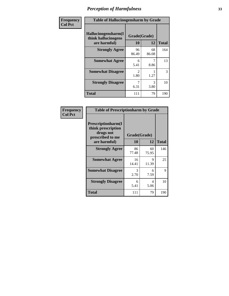| Frequency      | <b>Table of Hallucinogensharm by Grade</b>                 |                        |             |              |
|----------------|------------------------------------------------------------|------------------------|-------------|--------------|
| <b>Col Pct</b> | Hallucinogensharm(I<br>think hallucinogens<br>are harmful) | Grade(Grade)<br>10     | 12          | <b>Total</b> |
|                | <b>Strongly Agree</b>                                      | 96<br>86.49            | 68<br>86.08 | 164          |
|                | <b>Somewhat Agree</b>                                      | 6<br>5.41              | 7<br>8.86   | 13           |
|                | <b>Somewhat Disagree</b>                                   | $\mathfrak{D}$<br>1.80 | 1.27        | 3            |
|                | <b>Strongly Disagree</b>                                   | 6.31                   | 3<br>3.80   | 10           |
|                | <b>Total</b>                                               | 111                    | 79          | 190          |

| <b>Table of Prescriptionharm by Grade</b>                                                         |                    |             |              |  |  |  |
|---------------------------------------------------------------------------------------------------|--------------------|-------------|--------------|--|--|--|
| <b>Prescriptionharm</b> (I<br>think prescription<br>drugs not<br>prescribed to me<br>are harmful) | Grade(Grade)<br>10 | 12          | <b>Total</b> |  |  |  |
| <b>Strongly Agree</b>                                                                             | 86<br>77.48        | 60<br>75.95 | 146          |  |  |  |
| <b>Somewhat Agree</b>                                                                             | 16<br>14.41        | 9<br>11.39  | 25           |  |  |  |
| <b>Somewhat Disagree</b>                                                                          | 3<br>2.70          | 6<br>7.59   | 9            |  |  |  |
| <b>Strongly Disagree</b>                                                                          | 6<br>5.41          | 4<br>5.06   | 10           |  |  |  |
| <b>Total</b>                                                                                      | 111                | 79          | 190          |  |  |  |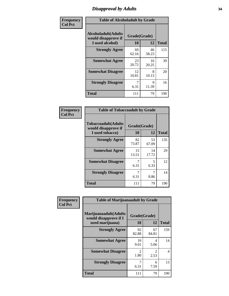### *Disapproval by Adults* **34**

| Frequency      | <b>Table of Alcoholadult by Grade</b>                                 |                    |             |              |
|----------------|-----------------------------------------------------------------------|--------------------|-------------|--------------|
| <b>Col Pct</b> | <b>Alcoholadult</b> (Adults<br>would disapprove if<br>I used alcohol) | Grade(Grade)<br>10 | 12          | <b>Total</b> |
|                | <b>Strongly Agree</b>                                                 | 69<br>62.16        | 46<br>58.23 | 115          |
|                | <b>Somewhat Agree</b>                                                 | 23<br>20.72        | 16<br>20.25 | 39           |
|                | <b>Somewhat Disagree</b>                                              | 12<br>10.81        | 8<br>10.13  | 20           |
|                | <b>Strongly Disagree</b>                                              | 7<br>6.31          | 9<br>11.39  | 16           |
|                | <b>Total</b>                                                          | 111                | 79          | 190          |

| <b>Table of Tobaccoadult by Grade</b>                                |                    |             |              |  |  |  |
|----------------------------------------------------------------------|--------------------|-------------|--------------|--|--|--|
| <b>Tobaccoadult(Adults</b><br>would disapprove if<br>I used tobacco) | Grade(Grade)<br>10 | 12          | <b>Total</b> |  |  |  |
| <b>Strongly Agree</b>                                                | 82<br>73.87        | 53<br>67.09 | 135          |  |  |  |
| <b>Somewhat Agree</b>                                                | 15<br>13.51        | 14<br>17.72 | 29           |  |  |  |
| <b>Somewhat Disagree</b>                                             | 6.31               | 5<br>6.33   | 12           |  |  |  |
| <b>Strongly Disagree</b>                                             | 6.31               | 8.86        | 14           |  |  |  |
| Total                                                                | 111                | 79          | 190          |  |  |  |

| Frequency      | <b>Table of Marijuanaadult by Grade</b>                           |                    |             |              |
|----------------|-------------------------------------------------------------------|--------------------|-------------|--------------|
| <b>Col Pct</b> | Marijuanaadult(Adults<br>would disapprove if I<br>used marijuana) | Grade(Grade)<br>10 | 12          | <b>Total</b> |
|                | <b>Strongly Agree</b>                                             | 92<br>82.88        | 67<br>84.81 | 159          |
|                | <b>Somewhat Agree</b>                                             | 10<br>9.01         | 4<br>5.06   | 14           |
|                | <b>Somewhat Disagree</b>                                          | 2<br>1.80          | 2<br>2.53   | 4            |
|                | <b>Strongly Disagree</b>                                          | 7<br>6.31          | 6<br>7.59   | 13           |
|                | <b>Total</b>                                                      | 111                | 79          | 190          |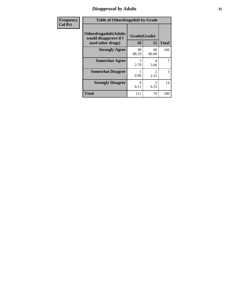### *Disapproval by Adults* **35**

| Frequency      | <b>Table of Otherdrugadult by Grade</b>                                     |                    |                                     |              |
|----------------|-----------------------------------------------------------------------------|--------------------|-------------------------------------|--------------|
| <b>Col Pct</b> | <b>Otherdrugadult</b> (Adults<br>would disapprove if I<br>used other drugs) | Grade(Grade)<br>10 | 12                                  | <b>Total</b> |
|                | <b>Strongly Agree</b>                                                       | 98<br>88.29        | 68<br>86.08                         | 166          |
|                | <b>Somewhat Agree</b>                                                       | 3<br>2.70          | 4<br>5.06                           | 7            |
|                | <b>Somewhat Disagree</b>                                                    | 0.90               | $\mathcal{D}_{\mathcal{L}}$<br>2.53 | 3            |
|                | <b>Strongly Disagree</b>                                                    | 9<br>8.11          | 5<br>6.33                           | 14           |
|                | <b>Total</b>                                                                | 111                | 79                                  | 190          |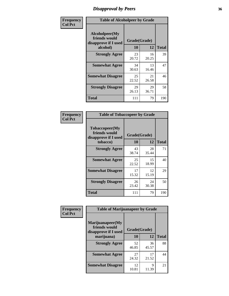### *Disapproval by Peers* **36**

| Frequency      | <b>Table of Alcoholpeer by Grade</b>                    |              |             |              |
|----------------|---------------------------------------------------------|--------------|-------------|--------------|
| <b>Col Pct</b> | Alcoholpeer(My<br>friends would<br>disapprove if I used | Grade(Grade) |             |              |
|                | alcohol)                                                | 10           | 12          | <b>Total</b> |
|                | <b>Strongly Agree</b>                                   | 23<br>20.72  | 16<br>20.25 | 39           |
|                | <b>Somewhat Agree</b>                                   | 34<br>30.63  | 13<br>16.46 | 47           |
|                | <b>Somewhat Disagree</b>                                | 25<br>22.52  | 21<br>26.58 | 46           |
|                | <b>Strongly Disagree</b>                                | 29<br>26.13  | 29<br>36.71 | 58           |
|                | Total                                                   | 111          | 79          | 190          |

| Frequency      | <b>Table of Tobaccopeer by Grade</b>                    |              |             |              |
|----------------|---------------------------------------------------------|--------------|-------------|--------------|
| <b>Col Pct</b> | Tobaccopeer(My<br>friends would<br>disapprove if I used | Grade(Grade) |             |              |
|                | tobacco)                                                | 10           | 12          | <b>Total</b> |
|                | <b>Strongly Agree</b>                                   | 43<br>38.74  | 28<br>35.44 | 71           |
|                | <b>Somewhat Agree</b>                                   | 25<br>22.52  | 15<br>18.99 | 40           |
|                | <b>Somewhat Disagree</b>                                | 17<br>15.32  | 12<br>15.19 | 29           |
|                | <b>Strongly Disagree</b>                                | 26<br>23.42  | 24<br>30.38 | 50           |
|                | Total                                                   | 111          | 79          | 190          |

| Frequency      | <b>Table of Marijuanapeer by Grade</b>                    |              |             |              |
|----------------|-----------------------------------------------------------|--------------|-------------|--------------|
| <b>Col Pct</b> | Marijuanapeer(My<br>friends would<br>disapprove if I used | Grade(Grade) |             |              |
|                | marijuana)                                                | 10           | 12          | <b>Total</b> |
|                | <b>Strongly Agree</b>                                     | 52<br>46.85  | 36<br>45.57 | 88           |
|                | <b>Somewhat Agree</b>                                     | 27<br>24.32  | 17<br>21.52 | 44           |
|                | <b>Somewhat Disagree</b>                                  | 12<br>10.81  | 9<br>11.39  | 21           |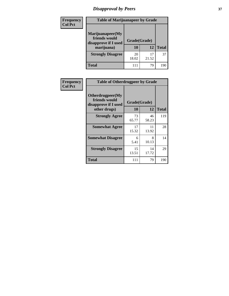# *Disapproval by Peers* **37**

| Frequency<br><b>Col Pct</b> | <b>Table of Marijuanapeer by Grade</b>                                  |                    |       |              |  |
|-----------------------------|-------------------------------------------------------------------------|--------------------|-------|--------------|--|
|                             | Marijuanapeer(My<br>friends would<br>disapprove if I used<br>marijuana) | Grade(Grade)<br>10 | 12    | <b>Total</b> |  |
|                             | <b>Strongly Disagree</b>                                                | 20<br>18.02        | 21.52 | 37           |  |
|                             | Total                                                                   | 111                | 79    | 190          |  |

| <b>Frequency</b> | <b>Table of Otherdrugpeer by Grade</b>                                    |                    |             |              |
|------------------|---------------------------------------------------------------------------|--------------------|-------------|--------------|
| <b>Col Pct</b>   | Otherdrugpeer(My<br>friends would<br>disapprove if I used<br>other drugs) | Grade(Grade)<br>10 | 12          | <b>Total</b> |
|                  |                                                                           |                    |             |              |
|                  | <b>Strongly Agree</b>                                                     | 73<br>65.77        | 46<br>58.23 | 119          |
|                  | <b>Somewhat Agree</b>                                                     | 17<br>15.32        | 11<br>13.92 | 28           |
|                  | <b>Somewhat Disagree</b>                                                  | 6<br>5.41          | 8<br>10.13  | 14           |
|                  | <b>Strongly Disagree</b>                                                  | 15<br>13.51        | 14<br>17.72 | 29           |
|                  | <b>Total</b>                                                              | 111                | 79          | 190          |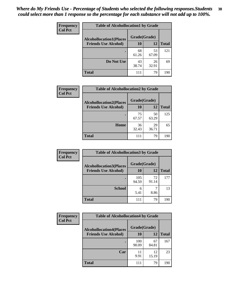| Frequency<br><b>Col Pct</b> | <b>Table of Alcohollocation1 by Grade</b> |              |             |              |  |
|-----------------------------|-------------------------------------------|--------------|-------------|--------------|--|
|                             | <b>Alcohollocation1(Places</b>            | Grade(Grade) |             |              |  |
|                             | <b>Friends Use Alcohol)</b>               | 10           | 12          | <b>Total</b> |  |
|                             |                                           | 68<br>61.26  | 53<br>67.09 | 121          |  |
|                             | Do Not Use                                | 43<br>38.74  | 26<br>32.91 | 69           |  |
|                             | <b>Total</b>                              | 111          | 79          | 190          |  |

| Frequency      | <b>Table of Alcohollocation2 by Grade</b> |              |             |              |
|----------------|-------------------------------------------|--------------|-------------|--------------|
| <b>Col Pct</b> | <b>Alcohollocation2(Places</b>            | Grade(Grade) |             |              |
|                | <b>Friends Use Alcohol)</b>               | 10           | 12          | <b>Total</b> |
|                |                                           | 75<br>67.57  | 50<br>63.29 | 125          |
|                | Home                                      | 36<br>32.43  | 29<br>36.71 | 65           |
|                | <b>Total</b>                              | 111          | 79          | 190          |

| Frequency<br><b>Col Pct</b> | <b>Table of Alcohollocation 3 by Grade</b>                    |                    |             |              |  |
|-----------------------------|---------------------------------------------------------------|--------------------|-------------|--------------|--|
|                             | <b>Alcohollocation3(Places</b><br><b>Friends Use Alcohol)</b> | Grade(Grade)<br>10 | 12          | <b>Total</b> |  |
|                             |                                                               | 105<br>94.59       | 72<br>91.14 | 177          |  |
|                             | <b>School</b>                                                 | 6<br>5.41          | 8.86        | 13           |  |
|                             | <b>Total</b>                                                  | 111                | 79          | 190          |  |

| <b>Frequency</b> | <b>Table of Alcohollocation4 by Grade</b> |              |             |              |
|------------------|-------------------------------------------|--------------|-------------|--------------|
| <b>Col Pct</b>   | <b>Alcohollocation4(Places</b>            | Grade(Grade) |             |              |
|                  | <b>Friends Use Alcohol)</b>               | 10           | 12          | <b>Total</b> |
|                  |                                           | 100<br>90.09 | 67<br>84.81 | 167          |
|                  | Car                                       | 11<br>9.91   | 12<br>15.19 | 23           |
|                  | <b>Total</b>                              | 111          | 79          | 190          |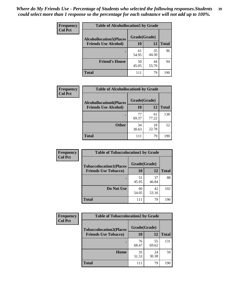| Frequency<br><b>Col Pct</b> | <b>Table of Alcohollocation5 by Grade</b>      |             |             |              |  |
|-----------------------------|------------------------------------------------|-------------|-------------|--------------|--|
|                             | Grade(Grade)<br><b>Alcohollocation5(Places</b> |             |             |              |  |
|                             | <b>Friends Use Alcohol)</b>                    | 10          | 12          | <b>Total</b> |  |
|                             |                                                | 61<br>54.95 | 35<br>44.30 | 96           |  |
|                             | <b>Friend's House</b>                          | 50<br>45.05 | 44<br>55.70 | 94           |  |
|                             | <b>Total</b>                                   | 111         | 79          | 190          |  |

| <b>Frequency</b> | <b>Table of Alcohollocation6 by Grade</b> |              |             |              |
|------------------|-------------------------------------------|--------------|-------------|--------------|
| <b>Col Pct</b>   | <b>Alcohollocation6(Places</b>            | Grade(Grade) |             |              |
|                  | <b>Friends Use Alcohol)</b>               | <b>10</b>    | 12          | <b>Total</b> |
|                  |                                           | 77<br>69.37  | 61<br>77.22 | 138          |
|                  | <b>Other</b>                              | 34<br>30.63  | 18<br>22.78 | 52           |
|                  | <b>Total</b>                              | 111          | 79          | 190          |

| <b>Frequency</b> | <b>Table of Tobaccolocation1 by Grade</b> |              |             |              |
|------------------|-------------------------------------------|--------------|-------------|--------------|
| <b>Col Pct</b>   | <b>Tobaccolocation1(Places</b>            | Grade(Grade) |             |              |
|                  | <b>Friends Use Tobacco)</b>               | 10           | 12          | <b>Total</b> |
|                  |                                           | 51<br>45.95  | 37<br>46.84 | 88           |
|                  | <b>Do Not Use</b>                         | 60<br>54.05  | 42<br>53.16 | 102          |
|                  | <b>Total</b>                              | 111          | 79          | 190          |

| <b>Frequency</b> | <b>Table of Tobaccolocation2 by Grade</b> |              |             |              |
|------------------|-------------------------------------------|--------------|-------------|--------------|
| <b>Col Pct</b>   | <b>Tobaccolocation2(Places</b>            | Grade(Grade) |             |              |
|                  | <b>Friends Use Tobacco)</b>               | 10           | 12          | <b>Total</b> |
|                  |                                           | 76<br>68.47  | 55<br>69.62 | 131          |
|                  | Home                                      | 35<br>31.53  | 24<br>30.38 | 59           |
|                  | <b>Total</b>                              | 111          | 79          | 190          |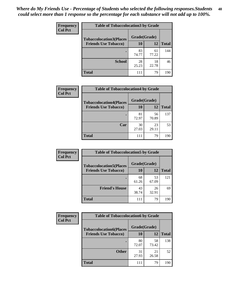| Frequency      | <b>Table of Tobaccolocation 3 by Grade</b> |              |             |              |
|----------------|--------------------------------------------|--------------|-------------|--------------|
| <b>Col Pct</b> | <b>Tobaccolocation3(Places</b>             | Grade(Grade) |             |              |
|                | <b>Friends Use Tobacco)</b>                | 10           | <b>12</b>   | <b>Total</b> |
|                |                                            | 83<br>74.77  | 61<br>77.22 | 144          |
|                | <b>School</b>                              | 28<br>25.23  | 18<br>22.78 | 46           |
|                | <b>Total</b>                               | 111          | 79          | 190          |

| <b>Frequency</b> | <b>Table of Tobaccolocation4 by Grade</b> |              |             |              |
|------------------|-------------------------------------------|--------------|-------------|--------------|
| <b>Col Pct</b>   | <b>Tobaccolocation4(Places</b>            | Grade(Grade) |             |              |
|                  | <b>Friends Use Tobacco)</b>               | 10           | 12          | <b>Total</b> |
|                  |                                           | 81<br>72.97  | 56<br>70.89 | 137          |
|                  | Car                                       | 30<br>27.03  | 23<br>29.11 | 53           |
|                  | <b>Total</b>                              | 111          | 79          | 190          |

| <b>Frequency</b>            | <b>Table of Tobaccolocation5 by Grade</b> |              |              |     |
|-----------------------------|-------------------------------------------|--------------|--------------|-----|
| <b>Col Pct</b>              | <b>Tobaccolocation5(Places</b>            | Grade(Grade) |              |     |
| <b>Friends Use Tobacco)</b> | 10                                        | 12           | <b>Total</b> |     |
|                             |                                           | 68<br>61.26  | 53<br>67.09  | 121 |
|                             | <b>Friend's House</b>                     | 43<br>38.74  | 26<br>32.91  | 69  |
|                             | <b>Total</b>                              | 111          | 79           | 190 |

| Frequency      | <b>Table of Tobaccolocation6 by Grade</b> |              |             |              |  |
|----------------|-------------------------------------------|--------------|-------------|--------------|--|
| <b>Col Pct</b> | <b>Tobaccolocation6(Places</b>            | Grade(Grade) |             |              |  |
|                | <b>Friends Use Tobacco)</b>               | 10           | 12          | <b>Total</b> |  |
|                |                                           | 80<br>72.07  | 58<br>73.42 | 138          |  |
|                | <b>Other</b>                              | 31<br>27.93  | 21<br>26.58 | 52           |  |
|                | <b>Total</b>                              | 111          | 79          | 190          |  |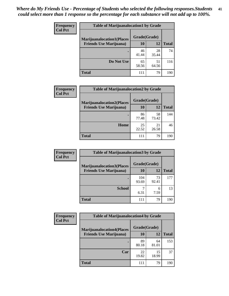| <b>Frequency</b> | <b>Table of Marijuanalocation1 by Grade</b> |              |             |              |
|------------------|---------------------------------------------|--------------|-------------|--------------|
| <b>Col Pct</b>   | <b>Marijuanalocation1(Places</b>            | Grade(Grade) |             |              |
|                  | <b>Friends Use Marijuana</b> )              | <b>10</b>    | 12          | <b>Total</b> |
|                  |                                             | 46<br>41.44  | 28<br>35.44 | 74           |
|                  | Do Not Use                                  | 65<br>58.56  | 51<br>64.56 | 116          |
|                  | <b>Total</b>                                | 111          | 79          | 190          |

| <b>Frequency</b><br><b>Col Pct</b> | <b>Table of Marijuanalocation2 by Grade</b>                        |                    |             |              |  |
|------------------------------------|--------------------------------------------------------------------|--------------------|-------------|--------------|--|
|                                    | <b>Marijuanalocation2(Places</b><br><b>Friends Use Marijuana</b> ) | Grade(Grade)<br>10 | 12          | <b>Total</b> |  |
|                                    |                                                                    | 86<br>77.48        | 58<br>73.42 | 144          |  |
|                                    | Home                                                               | 25<br>22.52        | 21<br>26.58 | 46           |  |
|                                    | <b>Total</b>                                                       | 111                | 79          | 190          |  |

| Frequency<br><b>Col Pct</b> | <b>Table of Marijuanalocation3 by Grade</b> |              |             |              |  |
|-----------------------------|---------------------------------------------|--------------|-------------|--------------|--|
|                             | <b>Marijuanalocation3</b> (Places           | Grade(Grade) |             |              |  |
|                             | <b>Friends Use Marijuana</b> )              | 10           | 12          | <b>Total</b> |  |
|                             |                                             | 104<br>93.69 | 73<br>92.41 | 177          |  |
|                             | <b>School</b>                               | 6.31         | 6<br>7.59   | 13           |  |
|                             | <b>Total</b>                                | 111          | 79          | 190          |  |

| <b>Frequency</b> | <b>Table of Marijuanalocation4 by Grade</b> |              |             |              |  |  |
|------------------|---------------------------------------------|--------------|-------------|--------------|--|--|
| <b>Col Pct</b>   | <b>Marijuanalocation4(Places</b>            | Grade(Grade) |             |              |  |  |
|                  | <b>Friends Use Marijuana</b> )              | <b>10</b>    | 12          | <b>Total</b> |  |  |
|                  |                                             | 89<br>80.18  | 64<br>81.01 | 153          |  |  |
|                  | Car                                         | 22<br>19.82  | 15<br>18.99 | 37           |  |  |
|                  | <b>Total</b>                                | 111          | 79          | 190          |  |  |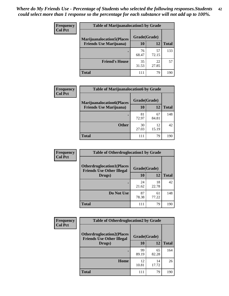| <b>Frequency</b> | <b>Table of Marijuanalocation5 by Grade</b>                         |              |             |              |
|------------------|---------------------------------------------------------------------|--------------|-------------|--------------|
| <b>Col Pct</b>   | <b>Marijuanalocation5</b> (Places<br><b>Friends Use Marijuana</b> ) | Grade(Grade) |             |              |
|                  |                                                                     | 10           | 12          | <b>Total</b> |
|                  |                                                                     | 76<br>68.47  | 57<br>72.15 | 133          |
|                  | <b>Friend's House</b>                                               | 35<br>31.53  | 22<br>27.85 | 57           |
|                  | <b>Total</b>                                                        | 111          | 79          | 190          |

| <b>Frequency</b> | <b>Table of Marijuanalocation6 by Grade</b>                        |                    |             |              |
|------------------|--------------------------------------------------------------------|--------------------|-------------|--------------|
| <b>Col Pct</b>   | <b>Marijuanalocation6(Places</b><br><b>Friends Use Marijuana</b> ) | Grade(Grade)<br>10 | 12          | <b>Total</b> |
|                  |                                                                    | 81<br>72.97        | 67<br>84.81 | 148          |
|                  | <b>Other</b>                                                       | 30<br>27.03        | 12<br>15.19 | 42           |
|                  | <b>Total</b>                                                       | 111                | 79          | 190          |

| <b>Frequency</b> | <b>Table of Otherdruglocation1 by Grade</b>                          |              |             |              |  |
|------------------|----------------------------------------------------------------------|--------------|-------------|--------------|--|
| <b>Col Pct</b>   | <b>Otherdruglocation1(Places</b><br><b>Friends Use Other Illegal</b> | Grade(Grade) |             |              |  |
|                  | Drugs)                                                               | 10           | 12          | <b>Total</b> |  |
|                  |                                                                      | 24<br>21.62  | 18<br>22.78 | 42           |  |
|                  | Do Not Use                                                           | 87<br>78.38  | 61<br>77.22 | 148          |  |
|                  | <b>Total</b>                                                         | 111          | 79          | 190          |  |

| <b>Frequency</b> | <b>Table of Otherdruglocation2 by Grade</b>                          |              |             |              |
|------------------|----------------------------------------------------------------------|--------------|-------------|--------------|
| <b>Col Pct</b>   | <b>Otherdruglocation2(Places</b><br><b>Friends Use Other Illegal</b> | Grade(Grade) |             |              |
|                  | Drugs)                                                               | 10           | 12          | <b>Total</b> |
|                  |                                                                      | 99<br>89.19  | 65<br>82.28 | 164          |
|                  | Home                                                                 | 12<br>10.81  | 14<br>17.72 | 26           |
|                  | <b>Total</b>                                                         | 111          | 79          | 190          |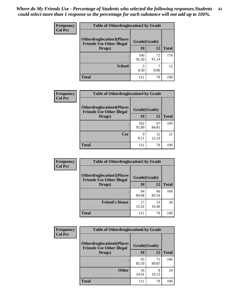| <b>Frequency</b> | <b>Table of Otherdruglocation 3 by Grade</b>                         |              |             |              |
|------------------|----------------------------------------------------------------------|--------------|-------------|--------------|
| <b>Col Pct</b>   | <b>Otherdruglocation3(Places</b><br><b>Friends Use Other Illegal</b> | Grade(Grade) |             |              |
|                  | Drugs)                                                               | 10           | 12          | <b>Total</b> |
|                  |                                                                      | 106<br>95.50 | 72<br>91.14 | 178          |
|                  | <b>School</b>                                                        | 4.50         | 8.86        | 12           |
|                  | <b>Total</b>                                                         | 111          | 79          | 190          |

| Frequency      | <b>Table of Otherdruglocation4 by Grade</b>                          |              |             |              |
|----------------|----------------------------------------------------------------------|--------------|-------------|--------------|
| <b>Col Pct</b> | <b>Otherdruglocation4(Places</b><br><b>Friends Use Other Illegal</b> | Grade(Grade) |             |              |
|                | Drugs)                                                               | 10           | 12          | <b>Total</b> |
|                |                                                                      | 102<br>91.89 | 67<br>84.81 | 169          |
|                | Car                                                                  | Q<br>8.11    | 12<br>15.19 | 21           |
|                | <b>Total</b>                                                         | 111          | 79          | 190          |

| Frequency      | <b>Table of Otherdruglocation5 by Grade</b>                          |              |             |              |
|----------------|----------------------------------------------------------------------|--------------|-------------|--------------|
| <b>Col Pct</b> | <b>Otherdruglocation5(Places</b><br><b>Friends Use Other Illegal</b> | Grade(Grade) |             |              |
|                | Drugs)                                                               | 10           | 12          | <b>Total</b> |
|                |                                                                      | 94<br>84.68  | 66<br>83.54 | 160          |
|                | <b>Friend's House</b>                                                | 17<br>15.32  | 13<br>16.46 | 30           |
|                | <b>Total</b>                                                         | 111          | 79          | 190          |

| <b>Frequency</b> | <b>Table of Otherdruglocation6 by Grade</b>                          |              |             |              |
|------------------|----------------------------------------------------------------------|--------------|-------------|--------------|
| <b>Col Pct</b>   | <b>Otherdruglocation6(Places</b><br><b>Friends Use Other Illegal</b> | Grade(Grade) |             |              |
|                  | Drugs)                                                               | <b>10</b>    | 12          | <b>Total</b> |
|                  |                                                                      | 95<br>85.59  | 71<br>89.87 | 166          |
|                  | <b>Other</b>                                                         | 16<br>14.41  | 8<br>10.13  | 24           |
|                  | <b>Total</b>                                                         | 111          | 79          | 190          |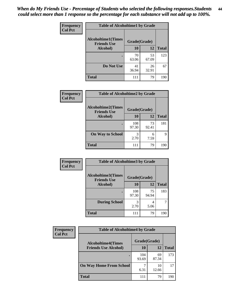| Frequency      | <b>Table of Alcoholtime1 by Grade</b> |              |             |              |
|----------------|---------------------------------------|--------------|-------------|--------------|
| <b>Col Pct</b> | <b>Alcoholtime1(Times</b>             | Grade(Grade) |             |              |
|                | <b>Friends Use</b><br>Alcohol)        | 10           | 12          | <b>Total</b> |
|                |                                       | 70<br>63.06  | 53<br>67.09 | 123          |
|                | Do Not Use                            | 41<br>36.94  | 26<br>32.91 | 67           |
|                | <b>Total</b>                          | 111          | 79          | 190          |

| Frequency      | <b>Table of Alcoholtime2 by Grade</b>           |              |             |              |
|----------------|-------------------------------------------------|--------------|-------------|--------------|
| <b>Col Pct</b> | <b>Alcoholtime2(Times</b><br><b>Friends Use</b> | Grade(Grade) |             |              |
|                | Alcohol)                                        | 10           | 12          | <b>Total</b> |
|                |                                                 | 108<br>97.30 | 73<br>92.41 | 181          |
|                | <b>On Way to School</b>                         | 3<br>2.70    | 6<br>7.59   | 9            |
|                | <b>Total</b>                                    | 111          | 79          | 190          |

| Frequency<br><b>Col Pct</b> | <b>Table of Alcoholtime3 by Grade</b>                           |              |             |              |  |
|-----------------------------|-----------------------------------------------------------------|--------------|-------------|--------------|--|
|                             | <b>Alcoholtime3(Times</b><br>Grade(Grade)<br><b>Friends Use</b> |              |             |              |  |
|                             | Alcohol)                                                        | 10           | 12          | <b>Total</b> |  |
|                             |                                                                 | 108<br>97.30 | 75<br>94.94 | 183          |  |
|                             | <b>During School</b>                                            | 3<br>2.70    | 4<br>5.06   | 7            |  |
|                             | <b>Total</b>                                                    | 111          | 79          | 190          |  |

| <b>Frequency</b><br><b>Col Pct</b> | <b>Table of Alcoholtime4 by Grade</b> |              |             |              |  |
|------------------------------------|---------------------------------------|--------------|-------------|--------------|--|
|                                    | <b>Alcoholtime4(Times</b>             | Grade(Grade) |             |              |  |
|                                    | <b>Friends Use Alcohol)</b>           | 10           | 12          | <b>Total</b> |  |
|                                    |                                       | 104<br>93.69 | 69<br>87.34 | 173          |  |
|                                    | <b>On Way Home From School</b>        | 6.31         | 10<br>12.66 | 17           |  |
|                                    | <b>Total</b>                          | 111          | 79          | 190          |  |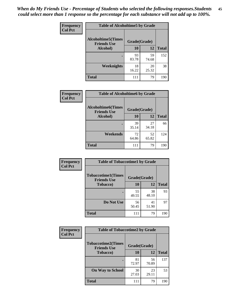*When do My Friends Use - Percentage of Students who selected the following responses.Students could select more than 1 response so the percentage for each substance will not add up to 100%.* **45**

| Frequency      | <b>Table of Alcoholtime5 by Grade</b> |              |             |              |
|----------------|---------------------------------------|--------------|-------------|--------------|
| <b>Col Pct</b> | <b>Alcoholtime5(Times</b>             | Grade(Grade) |             |              |
|                | <b>Friends Use</b><br>Alcohol)        | 10           | 12          | <b>Total</b> |
|                |                                       | 93<br>83.78  | 59<br>74.68 | 152          |
|                | Weeknights                            | 18<br>16.22  | 20<br>25.32 | 38           |
|                | <b>Total</b>                          | 111          | 79          | 190          |

| <b>Frequency</b> | <b>Table of Alcoholtime6 by Grade</b>           |              |             |              |
|------------------|-------------------------------------------------|--------------|-------------|--------------|
| <b>Col Pct</b>   | <b>Alcoholtime6(Times</b><br><b>Friends Use</b> | Grade(Grade) |             |              |
|                  | Alcohol)                                        | 10           | 12          | <b>Total</b> |
|                  |                                                 | 39<br>35.14  | 27<br>34.18 | 66           |
|                  | Weekends                                        | 72<br>64.86  | 52<br>65.82 | 124          |
|                  | <b>Total</b>                                    | 111          | 79          | 190          |

| <b>Frequency</b> | <b>Table of Tobaccotime1 by Grade</b>           |              |             |              |
|------------------|-------------------------------------------------|--------------|-------------|--------------|
| <b>Col Pct</b>   | <b>Tobaccotime1(Times</b><br><b>Friends Use</b> | Grade(Grade) |             |              |
|                  | <b>Tobacco</b> )                                | 10           | 12          | <b>Total</b> |
|                  | $\bullet$                                       | 55<br>49.55  | 38<br>48.10 | 93           |
|                  | Do Not Use                                      | 56<br>50.45  | 41<br>51.90 | 97           |
|                  | <b>Total</b>                                    | 111          | 79          | 190          |

| <b>Frequency</b> | <b>Table of Tobaccotime2 by Grade</b>                           |             |             |              |
|------------------|-----------------------------------------------------------------|-------------|-------------|--------------|
| <b>Col Pct</b>   | <b>Tobaccotime2(Times</b><br>Grade(Grade)<br><b>Friends Use</b> |             |             |              |
|                  | <b>Tobacco</b> )                                                | 10          | 12          | <b>Total</b> |
|                  |                                                                 | 81<br>72.97 | 56<br>70.89 | 137          |
|                  | <b>On Way to School</b>                                         | 30<br>27.03 | 23<br>29.11 | 53           |
|                  | <b>Total</b>                                                    | 111         | 79          | 190          |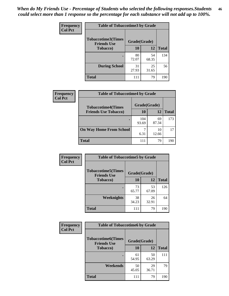| <b>Frequency</b> | <b>Table of Tobaccotime3 by Grade</b>           |              |             |              |
|------------------|-------------------------------------------------|--------------|-------------|--------------|
| <b>Col Pct</b>   | <b>Tobaccotime3(Times</b><br><b>Friends Use</b> | Grade(Grade) |             |              |
|                  | <b>Tobacco</b> )                                | 10           | 12          | <b>Total</b> |
|                  | ٠                                               | 80<br>72.07  | 54<br>68.35 | 134          |
|                  | <b>During School</b>                            | 31<br>27.93  | 25<br>31.65 | 56           |
|                  | <b>Total</b>                                    | 111          | 79          | 190          |

| Frequency<br><b>Col Pct</b> | <b>Table of Tobaccotime4 by Grade</b> |              |             |              |  |
|-----------------------------|---------------------------------------|--------------|-------------|--------------|--|
|                             | <b>Tobaccotime4(Times</b>             | Grade(Grade) |             |              |  |
|                             | <b>Friends Use Tobacco)</b>           | 10           | 12          | <b>Total</b> |  |
|                             |                                       | 104<br>93.69 | 69<br>87.34 | 173          |  |
|                             | <b>On Way Home From School</b>        | 6.31         | 10<br>12.66 | 17           |  |
|                             | <b>Total</b>                          | 111          | 79          | 190          |  |

| Frequency      | <b>Table of Tobaccotime5 by Grade</b>                           |             |             |              |
|----------------|-----------------------------------------------------------------|-------------|-------------|--------------|
| <b>Col Pct</b> | <b>Tobaccotime5(Times</b><br>Grade(Grade)<br><b>Friends Use</b> |             |             |              |
|                | <b>Tobacco</b> )                                                | 10          | 12          | <b>Total</b> |
|                |                                                                 | 73<br>65.77 | 53<br>67.09 | 126          |
|                | Weeknights                                                      | 38<br>34.23 | 26<br>32.91 | 64           |
|                | <b>Total</b>                                                    | 111         | 79          | 190          |

| <b>Frequency</b> | <b>Table of Tobaccotime6 by Grade</b>           |              |             |              |
|------------------|-------------------------------------------------|--------------|-------------|--------------|
| <b>Col Pct</b>   | <b>Tobaccotime6(Times</b><br><b>Friends Use</b> | Grade(Grade) |             |              |
|                  | <b>Tobacco</b> )                                | 10           | 12          | <b>Total</b> |
|                  | ٠                                               | 61<br>54.95  | 50<br>63.29 | 111          |
|                  | Weekends                                        | 50<br>45.05  | 29<br>36.71 | 79           |
|                  | <b>Total</b>                                    | 111          | 79          | 190          |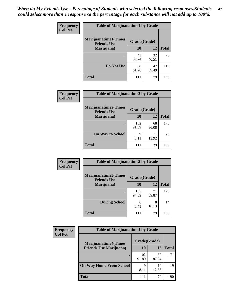| Frequency      | <b>Table of Marijuanatime1 by Grade</b>           |              |             |              |  |
|----------------|---------------------------------------------------|--------------|-------------|--------------|--|
| <b>Col Pct</b> | <b>Marijuanatime1(Times</b><br><b>Friends Use</b> | Grade(Grade) |             |              |  |
|                | Marijuana)                                        | 10           | 12          | <b>Total</b> |  |
|                |                                                   | 43<br>38.74  | 32<br>40.51 | 75           |  |
|                | Do Not Use                                        | 68<br>61.26  | 47<br>59.49 | 115          |  |
|                | <b>Total</b>                                      | 111          | 79          | 190          |  |

| Frequency      | <b>Table of Marijuanatime2 by Grade</b>           |              |             |              |
|----------------|---------------------------------------------------|--------------|-------------|--------------|
| <b>Col Pct</b> | <b>Marijuanatime2(Times</b><br><b>Friends Use</b> | Grade(Grade) |             |              |
|                | Marijuana)                                        | 10           | 12          | <b>Total</b> |
|                |                                                   | 102<br>91.89 | 68<br>86.08 | 170          |
|                | <b>On Way to School</b>                           | 9<br>8.11    | 11<br>13.92 | 20           |
|                | <b>Total</b>                                      | 111          | 79          | 190          |

| Frequency      | <b>Table of Marijuanatime3 by Grade</b>    |              |             |              |
|----------------|--------------------------------------------|--------------|-------------|--------------|
| <b>Col Pct</b> | Marijuanatime3(Times<br><b>Friends Use</b> | Grade(Grade) |             |              |
|                | Marijuana)                                 | 10           | 12          | <b>Total</b> |
|                |                                            | 105<br>94.59 | 71<br>89.87 | 176          |
|                | <b>During School</b>                       | 6<br>5.41    | 8<br>10.13  | 14           |
|                | <b>Total</b>                               | 111          | 79          | 190          |

| <b>Frequency</b> | <b>Table of Marijuanatime4 by Grade</b> |              |             |              |
|------------------|-----------------------------------------|--------------|-------------|--------------|
| <b>Col Pct</b>   | <b>Marijuanatime4(Times</b>             | Grade(Grade) |             |              |
|                  | <b>Friends Use Marijuana</b> )          | 10           | 12          | <b>Total</b> |
|                  |                                         | 102<br>91.89 | 69<br>87.34 | 171          |
|                  | <b>On Way Home From School</b>          | 9<br>8.11    | 10<br>12.66 | 19           |
|                  | <b>Total</b>                            | 111          | 79          | 190          |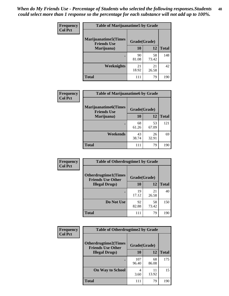| Frequency      | <b>Table of Marijuanatime5 by Grade</b>            |              |             |              |
|----------------|----------------------------------------------------|--------------|-------------|--------------|
| <b>Col Pct</b> | <b>Marijuanatime5</b> (Times<br><b>Friends Use</b> | Grade(Grade) |             |              |
|                | Marijuana)                                         | 10           | 12          | <b>Total</b> |
|                |                                                    | 90<br>81.08  | 58<br>73.42 | 148          |
|                | Weeknights                                         | 21<br>18.92  | 21<br>26.58 | 42           |
|                | <b>Total</b>                                       | 111          | 79          | 190          |

| Frequency      | <b>Table of Marijuanatime6 by Grade</b>    |              |             |              |
|----------------|--------------------------------------------|--------------|-------------|--------------|
| <b>Col Pct</b> | Marijuanatime6(Times<br><b>Friends Use</b> | Grade(Grade) |             |              |
|                | Marijuana)                                 | 10           | 12          | <b>Total</b> |
|                |                                            | 68<br>61.26  | 53<br>67.09 | 121          |
|                | Weekends                                   | 43<br>38.74  | 26<br>32.91 | 69           |
|                | <b>Total</b>                               | 111          | 79          | 190          |

| Frequency      | <b>Table of Otherdrugtime1 by Grade</b>                 |              |             |              |  |
|----------------|---------------------------------------------------------|--------------|-------------|--------------|--|
| <b>Col Pct</b> | <b>Otherdrugtime1(Times</b><br><b>Friends Use Other</b> | Grade(Grade) |             |              |  |
|                | <b>Illegal Drugs</b> )                                  | 10           | 12          | <b>Total</b> |  |
|                |                                                         | 19<br>17.12  | 21<br>26.58 | 40           |  |
|                | Do Not Use                                              | 92<br>82.88  | 58<br>73.42 | 150          |  |
|                | Total                                                   | 111          | 79          | 190          |  |

| Frequency      | <b>Table of Otherdrugtime2 by Grade</b>                 |              |             |              |
|----------------|---------------------------------------------------------|--------------|-------------|--------------|
| <b>Col Pct</b> | <b>Otherdrugtime2(Times</b><br><b>Friends Use Other</b> | Grade(Grade) |             |              |
|                | <b>Illegal Drugs</b> )                                  | 10           | 12          | <b>Total</b> |
|                |                                                         | 107<br>96.40 | 68<br>86.08 | 175          |
|                | <b>On Way to School</b>                                 | 4<br>3.60    | 11<br>13.92 | 15           |
|                | Total                                                   | 111          | 79          | 190          |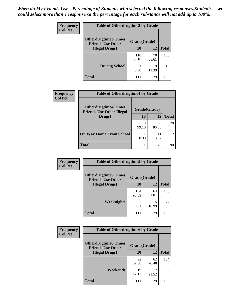| <b>Frequency</b> | <b>Table of Otherdrugtime3 by Grade</b>          |              |             |              |
|------------------|--------------------------------------------------|--------------|-------------|--------------|
| <b>Col Pct</b>   | Otherdrugtime3(Times<br><b>Friends Use Other</b> | Grade(Grade) |             |              |
|                  | <b>Illegal Drugs</b> )                           | 10           | 12          | <b>Total</b> |
|                  |                                                  | 110<br>99.10 | 70<br>88.61 | 180          |
|                  | <b>During School</b>                             | 0.90         | q<br>11.39  | 10           |
|                  | Total                                            | 111          | 79          | 190          |

| Frequency      | <b>Table of Otherdrugtime4 by Grade</b>                         |              |             |              |
|----------------|-----------------------------------------------------------------|--------------|-------------|--------------|
| <b>Col Pct</b> | <b>Otherdrugtime4(Times</b><br><b>Friends Use Other Illegal</b> | Grade(Grade) |             |              |
|                | Drugs)                                                          | 10           | 12          | <b>Total</b> |
|                | $\bullet$                                                       | 110<br>99.10 | 68<br>86.08 | 178          |
|                | <b>On Way Home From School</b>                                  | 0.90         | 11<br>13.92 | 12           |
|                | <b>Total</b>                                                    | 111          | 79          | 190          |

| Frequency      | <b>Table of Otherdrugtime5 by Grade</b>                  |              |             |              |  |  |
|----------------|----------------------------------------------------------|--------------|-------------|--------------|--|--|
| <b>Col Pct</b> | <b>Otherdrugtime5</b> (Times<br><b>Friends Use Other</b> | Grade(Grade) |             |              |  |  |
|                | <b>Illegal Drugs</b> )                                   | 10           | 12          | <b>Total</b> |  |  |
|                |                                                          | 104<br>93.69 | 64<br>81.01 | 168          |  |  |
|                | Weeknights                                               | 6.31         | 15<br>18.99 | 22           |  |  |
|                | Total                                                    | 111          | 79          | 190          |  |  |

| <b>Frequency</b> | <b>Table of Otherdrugtime6 by Grade</b>                 |              |             |              |  |  |  |
|------------------|---------------------------------------------------------|--------------|-------------|--------------|--|--|--|
| <b>Col Pct</b>   | <b>Otherdrugtime6(Times</b><br><b>Friends Use Other</b> | Grade(Grade) |             |              |  |  |  |
|                  | <b>Illegal Drugs</b> )                                  | 10           | 12          | <b>Total</b> |  |  |  |
|                  |                                                         | 92<br>82.88  | 62<br>78.48 | 154          |  |  |  |
|                  | Weekends                                                | 19<br>17.12  | 17<br>21.52 | 36           |  |  |  |
|                  | Total                                                   | 111          | 79          | 190          |  |  |  |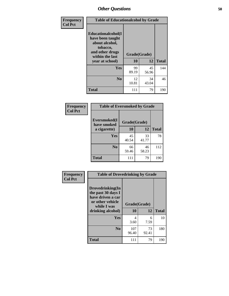| Frequency      | <b>Table of Educationalcohol by Grade</b>                                                                  |              |             |              |  |  |
|----------------|------------------------------------------------------------------------------------------------------------|--------------|-------------|--------------|--|--|
| <b>Col Pct</b> | Educationalcohol(I<br>have been taught<br>about alcohol,<br>tobacco,<br>and other drugs<br>within the last | Grade(Grade) |             |              |  |  |
|                | year at school)                                                                                            | 10           | 12          | <b>Total</b> |  |  |
|                | Yes                                                                                                        | 99<br>89.19  | 45<br>56.96 | 144          |  |  |
|                | N <sub>0</sub>                                                                                             | 12<br>10.81  | 34<br>43.04 | 46           |  |  |
|                | <b>Total</b>                                                                                               | 111          | 79          | 190          |  |  |

| Frequency      | <b>Table of Eversmoked by Grade</b> |              |             |              |  |  |
|----------------|-------------------------------------|--------------|-------------|--------------|--|--|
| <b>Col Pct</b> | Eversmoked(I<br>have smoked         | Grade(Grade) |             |              |  |  |
|                | a cigarette)                        | <b>10</b>    | 12          | <b>Total</b> |  |  |
|                | <b>Yes</b>                          | 45<br>40.54  | 33<br>41.77 | 78           |  |  |
|                | N <sub>0</sub>                      | 66<br>59.46  | 46<br>58.23 | 112          |  |  |
|                | <b>Total</b>                        | 111          | 79          | 190          |  |  |

| Frequency      | <b>Table of Drovedrinking by Grade</b>                                                                              |                    |              |     |  |  |
|----------------|---------------------------------------------------------------------------------------------------------------------|--------------------|--------------|-----|--|--|
| <b>Col Pct</b> | Drovedrinking(In<br>the past 30 days I<br>have driven a car<br>or other vehicle<br>while I was<br>drinking alcohol) | Grade(Grade)<br>10 | <b>Total</b> |     |  |  |
|                | Yes                                                                                                                 | 4<br>3.60          | 6<br>7.59    | 10  |  |  |
|                | N <sub>0</sub>                                                                                                      | 107<br>96.40       | 73<br>92.41  | 180 |  |  |
|                | <b>Total</b>                                                                                                        | 111                | 79           | 190 |  |  |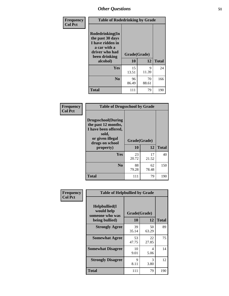| Frequency      | <b>Table of Rodedrinking by Grade</b>                                                                                  |                    |             |              |  |  |
|----------------|------------------------------------------------------------------------------------------------------------------------|--------------------|-------------|--------------|--|--|
| <b>Col Pct</b> | Rodedrinking(In<br>the past 30 days<br>I have ridden in<br>a car with a<br>driver who had<br>been drinking<br>alcohol) | Grade(Grade)<br>10 | 12          | <b>Total</b> |  |  |
|                | <b>Yes</b>                                                                                                             | 15<br>13.51        | 9<br>11.39  | 24           |  |  |
|                | N <sub>0</sub>                                                                                                         | 96<br>86.49        | 70<br>88.61 | 166          |  |  |
|                | <b>Total</b>                                                                                                           | 111                | 79          | 190          |  |  |

## **Frequency Col Pct**

| <b>Table of Drugsschool by Grade</b>                                                                                      |              |             |              |  |  |  |
|---------------------------------------------------------------------------------------------------------------------------|--------------|-------------|--------------|--|--|--|
| <b>Drugsschool</b> (During<br>the past 12 months,<br>I have been offered,<br>sold,<br>or given illegal<br>drugs on school | Grade(Grade) |             |              |  |  |  |
| property)                                                                                                                 | 10           | 12          | <b>Total</b> |  |  |  |
| Yes                                                                                                                       | 23<br>20.72  | 17<br>21.52 | 40           |  |  |  |
| N <sub>0</sub>                                                                                                            | 88           | 62          | 150          |  |  |  |
|                                                                                                                           | 79.28        | 78.48       |              |  |  |  |

| Frequency      | <b>Table of Helpbullied by Grade</b>           |              |             |              |  |  |  |
|----------------|------------------------------------------------|--------------|-------------|--------------|--|--|--|
| <b>Col Pct</b> | Helpbullied(I<br>would help<br>someone who was | Grade(Grade) |             |              |  |  |  |
|                | being bullied)                                 | 10           | 12          | <b>Total</b> |  |  |  |
|                | <b>Strongly Agree</b>                          | 39<br>35.14  | 50<br>63.29 | 89           |  |  |  |
|                | <b>Somewhat Agree</b>                          | 53<br>47.75  | 22<br>27.85 | 75           |  |  |  |
|                | <b>Somewhat Disagree</b>                       | 10<br>9.01   | 4<br>5.06   | 14           |  |  |  |
|                | <b>Strongly Disagree</b>                       | 9<br>8.11    | 3<br>3.80   | 12           |  |  |  |
|                | <b>Total</b>                                   | 111          | 79          | 190          |  |  |  |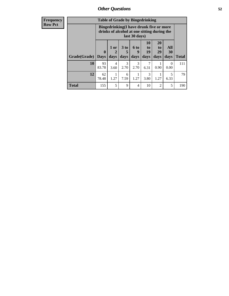| Frequency      | <b>Table of Grade by Bingedrinking</b> |                         |              |                         |                   |                                                                                        |                               |                   |              |
|----------------|----------------------------------------|-------------------------|--------------|-------------------------|-------------------|----------------------------------------------------------------------------------------|-------------------------------|-------------------|--------------|
| <b>Row Pct</b> |                                        |                         |              |                         | last 30 days)     | Bingedrinking(I have drunk five or more<br>drinks of alcohol at one sitting during the |                               |                   |              |
|                | Grade(Grade)                           | $\bf{0}$<br><b>Days</b> | 1 or<br>days | 3 <sub>to</sub><br>days | 6 to<br>9<br>days | 10<br>to<br>19<br>days                                                                 | <b>20</b><br>to<br>29<br>days | All<br>30<br>days | <b>Total</b> |
|                | <b>10</b>                              | 93<br>83.78             | 4<br>3.60    | 3<br>2.70               | 3<br>2.70         | 6.31                                                                                   | 0.90                          | $\Omega$<br>0.00  | 111          |
|                | 12                                     | 62<br>78.48             | 1.27         | 6<br>7.59               | 1.27              | 3<br>3.80                                                                              | 1.27                          | 5<br>6.33         | 79           |
|                | <b>Total</b>                           | 155                     | 5            | 9                       | 4                 | 10                                                                                     | $\overline{2}$                | 5                 | 190          |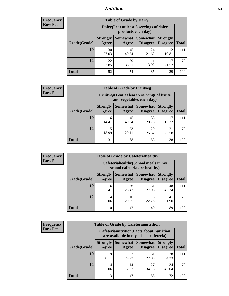## *Nutrition* **53**

| <b>Frequency</b><br>Row Pct |
|-----------------------------|
|                             |

| <b>Table of Grade by Dairy</b> |                          |                                                                 |                             |                                    |       |  |  |
|--------------------------------|--------------------------|-----------------------------------------------------------------|-----------------------------|------------------------------------|-------|--|--|
|                                |                          | Dairy (I eat at least 3 servings of dairy<br>products each day) |                             |                                    |       |  |  |
| Grade(Grade)                   | <b>Strongly</b><br>Agree | Somewhat<br>Agree                                               | <b>Somewhat</b><br>Disagree | <b>Strongly</b><br><b>Disagree</b> | Total |  |  |
| 10                             | 30<br>27.03              | 45<br>40.54                                                     | 24<br>21.62                 | 12<br>10.81                        | 111   |  |  |
| 12                             | 22<br>27.85              | 29<br>36.71                                                     | 11<br>13.92                 | 17<br>21.52                        | 79    |  |  |
| <b>Total</b>                   | 52                       | 74                                                              | 35                          | 29                                 | 190   |  |  |

| <b>Frequency</b> |  |
|------------------|--|
| <b>Row Pct</b>   |  |

| <b>Table of Grade by Fruitveg</b> |                          |                                                                          |                                        |                                    |              |  |
|-----------------------------------|--------------------------|--------------------------------------------------------------------------|----------------------------------------|------------------------------------|--------------|--|
|                                   |                          | Fruitveg(I eat at least 5 servings of fruits<br>and vegetables each day) |                                        |                                    |              |  |
| Grade(Grade)                      | <b>Strongly</b><br>Agree | Agree                                                                    | <b>Somewhat   Somewhat</b><br>Disagree | <b>Strongly</b><br><b>Disagree</b> | <b>Total</b> |  |
| 10                                | 16<br>14.41              | 45<br>40.54                                                              | 33<br>29.73                            | 17<br>15.32                        | 111          |  |
| 12                                | 15<br>18.99              | 23<br>29.11                                                              | 20<br>25.32                            | 21<br>26.58                        | 79           |  |
| <b>Total</b>                      | 31                       | 68                                                                       | 53                                     | 38                                 | 190          |  |

| <b>Frequency</b> | <b>Table of Grade by Cafeteriahealthy</b> |                          |                                                                       |                                      |                                    |              |  |  |  |
|------------------|-------------------------------------------|--------------------------|-----------------------------------------------------------------------|--------------------------------------|------------------------------------|--------------|--|--|--|
| <b>Row Pct</b>   |                                           |                          | Cafeteriahealthy (School meals in my<br>school cafeteria are healthy) |                                      |                                    |              |  |  |  |
|                  | Grade(Grade)                              | <b>Strongly</b><br>Agree | Agree                                                                 | Somewhat Somewhat<br><b>Disagree</b> | <b>Strongly</b><br><b>Disagree</b> | <b>Total</b> |  |  |  |
|                  | 10                                        | 6<br>5.41                | 26<br>23.42                                                           | 31<br>27.93                          | 48<br>43.24                        | 111          |  |  |  |
|                  | 12                                        | 5.06                     | 16<br>20.25                                                           | 18<br>22.78                          | 41<br>51.90                        | 79           |  |  |  |
|                  | Total                                     | 10                       | 42                                                                    | 49                                   | 89                                 | 190          |  |  |  |

| <b>Frequency</b> |
|------------------|
| <b>Row Pct</b>   |

| <b>Table of Grade by Cafeterianutrition</b> |                          |                                                                                           |                             |                                    |              |  |
|---------------------------------------------|--------------------------|-------------------------------------------------------------------------------------------|-----------------------------|------------------------------------|--------------|--|
|                                             |                          | <b>Cafeterianutrition</b> (Facts about nutrition<br>are available in my school cafeteria) |                             |                                    |              |  |
| Grade(Grade)                                | <b>Strongly</b><br>Agree | Somewhat<br>Agree                                                                         | <b>Somewhat</b><br>Disagree | <b>Strongly</b><br><b>Disagree</b> | <b>Total</b> |  |
| 10                                          | Q<br>8.11                | 33<br>29.73                                                                               | 31<br>27.93                 | 38<br>34.23                        | 111          |  |
| 12                                          | 4<br>5.06                | 14<br>17.72                                                                               | 27<br>34.18                 | 34<br>43.04                        | 79           |  |
| <b>Total</b>                                | 13                       | 47                                                                                        | 58                          | 72                                 | 190          |  |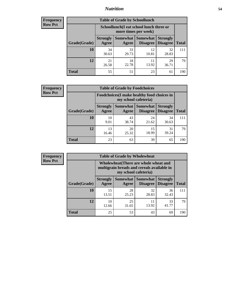## *Nutrition* **54**

| Frequency |
|-----------|
| Row Pct   |

| <b>Table of Grade by Schoollunch</b> |                                                                                                                                      |                                                                 |             |             |     |  |  |
|--------------------------------------|--------------------------------------------------------------------------------------------------------------------------------------|-----------------------------------------------------------------|-------------|-------------|-----|--|--|
|                                      |                                                                                                                                      | Schoollunch(I eat school lunch three or<br>more times per week) |             |             |     |  |  |
| Grade(Grade)                         | Somewhat  <br><b>Somewhat</b><br><b>Strongly</b><br><b>Strongly</b><br><b>Disagree</b><br>Disagree<br><b>Total</b><br>Agree<br>Agree |                                                                 |             |             |     |  |  |
| 10                                   | 34<br>30.63                                                                                                                          | 33<br>29.73                                                     | 12<br>10.81 | 32<br>28.83 | 111 |  |  |
| 12                                   | 21<br>26.58                                                                                                                          | 18<br>22.78                                                     | 11<br>13.92 | 29<br>36.71 | 79  |  |  |
| <b>Total</b>                         | 55                                                                                                                                   | 51                                                              | 23          | 61          | 190 |  |  |

| <b>Frequency</b> |  |
|------------------|--|
| <b>Row Pct</b>   |  |

| V | <b>Table of Grade by Foodchoices</b> |                          |                                                                     |                      |                                    |              |  |
|---|--------------------------------------|--------------------------|---------------------------------------------------------------------|----------------------|------------------------------------|--------------|--|
|   |                                      |                          | Foodchoices (I make healthy food choices in<br>my school cafeteria) |                      |                                    |              |  |
|   | Grade(Grade)                         | <b>Strongly</b><br>Agree | Somewhat  <br>Agree                                                 | Somewhat<br>Disagree | <b>Strongly</b><br><b>Disagree</b> | <b>Total</b> |  |
|   | 10                                   | 10<br>9.01               | 43<br>38.74                                                         | 24<br>21.62          | 34<br>30.63                        | 111          |  |
|   | 12                                   | 13<br>16.46              | 20<br>25.32                                                         | 15<br>18.99          | 31<br>39.24                        | 79           |  |
|   | <b>Total</b>                         | 23                       | 63                                                                  | 39                   | 65                                 | 190          |  |

| <b>Frequency</b> | <b>Table of Grade by Wholewheat</b> |                                                                                                             |             |                                      |                                    |              |  |  |
|------------------|-------------------------------------|-------------------------------------------------------------------------------------------------------------|-------------|--------------------------------------|------------------------------------|--------------|--|--|
| <b>Row Pct</b>   |                                     | Wholewheat (There are whole wheat and<br>multigrain breads and cereals available in<br>my school cafeteria) |             |                                      |                                    |              |  |  |
|                  | Grade(Grade)                        | <b>Strongly</b><br>Agree                                                                                    | Agree       | Somewhat Somewhat<br><b>Disagree</b> | <b>Strongly</b><br><b>Disagree</b> | <b>Total</b> |  |  |
|                  | 10                                  | 15<br>13.51                                                                                                 | 28<br>25.23 | 32<br>28.83                          | 36<br>32.43                        | 111          |  |  |
|                  | 12                                  | 10<br>12.66                                                                                                 | 25<br>31.65 | 11<br>13.92                          | 33<br>41.77                        | 79           |  |  |
|                  | <b>Total</b>                        | 25                                                                                                          | 53          | 43                                   | 69                                 | 190          |  |  |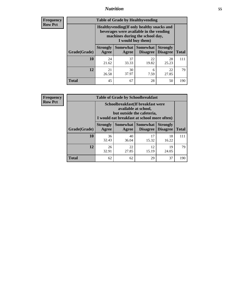## *Nutrition* **55**

**Frequency Row Pct**

| <b>Table of Grade by Healthyvending</b> |                                                                                                                                               |                   |                                    |                                    |              |  |  |  |
|-----------------------------------------|-----------------------------------------------------------------------------------------------------------------------------------------------|-------------------|------------------------------------|------------------------------------|--------------|--|--|--|
|                                         | Healthyvending (If only healthy snacks and<br>beverages were available in the vending<br>machines during the school day,<br>I would buy them) |                   |                                    |                                    |              |  |  |  |
| Grade(Grade)                            | <b>Strongly</b><br>Agree                                                                                                                      | Somewhat<br>Agree | <b>Somewhat</b><br><b>Disagree</b> | <b>Strongly</b><br><b>Disagree</b> | <b>Total</b> |  |  |  |
| 10                                      | 24<br>21.62                                                                                                                                   | 37<br>33.33       | 22<br>19.82                        | 28<br>25.23                        | 111          |  |  |  |
| 12                                      | 21<br>26.58                                                                                                                                   | 30<br>37.97       | 6<br>7.59                          | 22<br>27.85                        | 79           |  |  |  |
| <b>Total</b>                            | 45                                                                                                                                            | 67                | 28                                 | 50                                 | 190          |  |  |  |

**Frequency Row Pct**

| <b>Table of Grade by Schoolbreakfast</b> |                                                                                                                                         |             |                                            |                 |              |  |  |
|------------------------------------------|-----------------------------------------------------------------------------------------------------------------------------------------|-------------|--------------------------------------------|-----------------|--------------|--|--|
|                                          | Schoolbreakfast (If breakfast were<br>available at school,<br>but outside the cafeteria,<br>I would eat breakfast at school more often) |             |                                            |                 |              |  |  |
| Grade(Grade)                             | <b>Strongly</b><br>Agree                                                                                                                | Agree       | Somewhat   Somewhat<br>Disagree   Disagree | <b>Strongly</b> | <b>Total</b> |  |  |
| 10                                       | 36<br>32.43                                                                                                                             | 40<br>36.04 | 17<br>15.32                                | 18<br>16.22     | 111          |  |  |
| 12                                       | 26<br>32.91                                                                                                                             | 22<br>27.85 | 12<br>15.19                                | 19<br>24.05     | 79           |  |  |
| <b>Total</b>                             | 62                                                                                                                                      | 62          | 29                                         | 37              | 190          |  |  |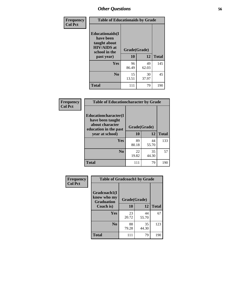| Frequency<br><b>Col Pct</b> | <b>Table of Educationaids by Grade</b>                                                                    |                    |                   |     |  |  |
|-----------------------------|-----------------------------------------------------------------------------------------------------------|--------------------|-------------------|-----|--|--|
|                             | <b>Educationaids</b> (I<br>have been<br>taught about<br><b>HIV/AIDS</b> at<br>school in the<br>past year) | Grade(Grade)<br>10 | <b>Total</b>      |     |  |  |
|                             | <b>Yes</b>                                                                                                | 96<br>86.49        | 12<br>49<br>62.03 | 145 |  |  |
|                             | N <sub>0</sub>                                                                                            | 15<br>13.51        | 30<br>37.97       | 45  |  |  |
|                             | <b>Total</b>                                                                                              | 111                | 79                | 190 |  |  |

| Frequency      | <b>Table of Educationcharacter by Grade</b>                                                  |              |             |              |  |  |
|----------------|----------------------------------------------------------------------------------------------|--------------|-------------|--------------|--|--|
| <b>Col Pct</b> | <b>Educationcharacter(I)</b><br>have been taught<br>about character<br>education in the past | Grade(Grade) |             |              |  |  |
|                | year at school)                                                                              | 10           | 12          | <b>Total</b> |  |  |
|                | Yes                                                                                          | 89<br>80.18  | 44<br>55.70 | 133          |  |  |
|                | N <sub>0</sub>                                                                               | 22<br>19.82  | 35<br>44.30 | 57           |  |  |
|                | <b>Total</b>                                                                                 | 111          | 79          | 190          |  |  |

| Frequency      | <b>Table of Gradcoach1 by Grade</b> |              |             |              |  |
|----------------|-------------------------------------|--------------|-------------|--------------|--|
| <b>Col Pct</b> | Gradcoach1(I<br>know who my         | Grade(Grade) |             |              |  |
|                | <b>Graduation</b><br>Coach is)      | 10           | 12          | <b>Total</b> |  |
|                | Yes                                 | 23<br>20.72  | 44<br>55.70 | 67           |  |
|                | N <sub>0</sub>                      | 88<br>79.28  | 35<br>44.30 | 123          |  |
|                | <b>Total</b>                        | 111          | 79          | 190          |  |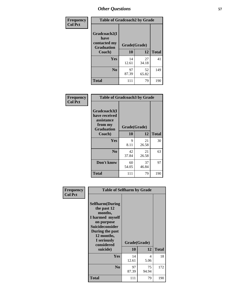| Frequency      | <b>Table of Gradcoach2 by Grade</b> |              |             |              |
|----------------|-------------------------------------|--------------|-------------|--------------|
| <b>Col Pct</b> | Gradcoach2(I<br>have                |              |             |              |
|                | contacted my<br><b>Graduation</b>   | Grade(Grade) |             |              |
|                | Coach)                              | 10           | 12          | <b>Total</b> |
|                | <b>Yes</b>                          | 14<br>12.61  | 27<br>34.18 | 41           |
|                | N <sub>0</sub>                      | 97<br>87.39  | 52<br>65.82 | 149          |
|                | <b>Total</b>                        | 111          | 79          | 190          |

| <b>Frequency</b><br><b>Col Pct</b> | <b>Table of Gradcoach3 by Grade</b>                                         |              |             |              |
|------------------------------------|-----------------------------------------------------------------------------|--------------|-------------|--------------|
|                                    | Gradcoach3(I<br>have received<br>assistance<br>from my<br><b>Graduation</b> | Grade(Grade) |             |              |
|                                    | Coach)                                                                      | 10           | 12          | <b>Total</b> |
|                                    | Yes                                                                         | 9<br>8.11    | 21<br>26.58 | 30           |
|                                    | N <sub>0</sub>                                                              | 42<br>37.84  | 21<br>26.58 | 63           |
|                                    | Don't know                                                                  | 60<br>54.05  | 37<br>46.84 | 97           |
|                                    | <b>Total</b>                                                                | 111          | 79          | 190          |

| Frequency      | <b>Table of Selfharm by Grade</b>                                                                                                                                                      |             |                    |              |
|----------------|----------------------------------------------------------------------------------------------------------------------------------------------------------------------------------------|-------------|--------------------|--------------|
| <b>Col Pct</b> | <b>Selfharm</b> (During<br>the past 12<br>months,<br>I harmed myself<br>on purpose<br><b>Suicideconsider</b><br>During the past<br>12 months,<br>I seriously<br>considered<br>suicide) | 10          | Grade(Grade)<br>12 | <b>Total</b> |
|                | Yes                                                                                                                                                                                    | 14<br>12.61 | 4<br>5.06          | 18           |
|                | N <sub>0</sub>                                                                                                                                                                         | 97<br>87.39 | 75<br>94.94        | 172          |
|                | Total                                                                                                                                                                                  | 111         | 79                 | 190          |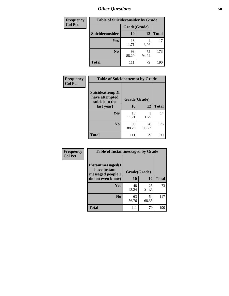| <b>Frequency</b> | <b>Table of Suicideconsider by Grade</b> |              |             |              |  |  |
|------------------|------------------------------------------|--------------|-------------|--------------|--|--|
| <b>Col Pct</b>   |                                          | Grade(Grade) |             |              |  |  |
|                  | <b>Suicideconsider</b>                   | 10           | 12          | <b>Total</b> |  |  |
|                  | <b>Yes</b>                               | 13<br>11.71  | 4<br>5.06   | 17           |  |  |
|                  | N <sub>0</sub>                           | 98<br>88.29  | 75<br>94.94 | 173          |  |  |
|                  | <b>Total</b>                             | 111          | 79          | 190          |  |  |

| Frequency      | <b>Table of Suicideattempt by Grade</b>              |              |             |              |
|----------------|------------------------------------------------------|--------------|-------------|--------------|
| <b>Col Pct</b> | Suicideattempt(I<br>have attempted<br>suicide in the | Grade(Grade) |             |              |
|                | last year)                                           | 10           | 12          | <b>Total</b> |
|                | Yes                                                  | 13<br>11.71  | 1.27        | 14           |
|                | $\bf No$                                             | 98<br>88.29  | 78<br>98.73 | 176          |
|                | <b>Total</b>                                         | 111          | 79          | 190          |

| Frequency      | <b>Table of Instantmessaged by Grade</b>               |              |             |              |  |  |
|----------------|--------------------------------------------------------|--------------|-------------|--------------|--|--|
| <b>Col Pct</b> | Instantmessaged(I<br>have instant<br>messaged people I | Grade(Grade) |             |              |  |  |
|                | do not even know)                                      | 10           | 12          | <b>Total</b> |  |  |
|                | Yes                                                    | 48<br>43.24  | 25<br>31.65 | 73           |  |  |
|                | N <sub>0</sub>                                         | 63<br>56.76  | 54<br>68.35 | 117          |  |  |
|                | <b>Total</b>                                           | 111          | 79          | 190          |  |  |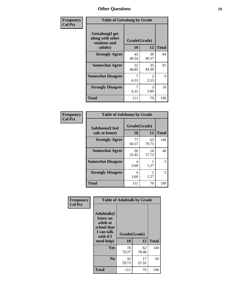| Frequency      | <b>Table of Getsalong by Grade</b>                          |              |             |              |  |
|----------------|-------------------------------------------------------------|--------------|-------------|--------------|--|
| <b>Col Pct</b> | <b>Getsalong</b> (I get<br>along with other<br>students and | Grade(Grade) |             |              |  |
|                | adults)                                                     | 10           | 12          | <b>Total</b> |  |
|                | <b>Strongly Agree</b>                                       | 45<br>40.54  | 39<br>49.37 | 84           |  |
|                | <b>Somewhat Agree</b>                                       | 52<br>46.85  | 35<br>44.30 | 87           |  |
|                | <b>Somewhat Disagree</b>                                    | 6.31         | 2<br>2.53   | 9            |  |
|                | <b>Strongly Disagree</b>                                    | 7<br>6.31    | 3<br>3.80   | 10           |  |
|                | <b>Total</b>                                                | 111          | 79          | 190          |  |

| Frequency      | <b>Table of Safehome by Grade</b> |                    |             |              |  |
|----------------|-----------------------------------|--------------------|-------------|--------------|--|
| <b>Col Pct</b> | Safehome(I feel<br>safe at home)  | Grade(Grade)<br>10 | 12          | <b>Total</b> |  |
|                | <b>Strongly Agree</b>             | 77<br>69.37        | 63<br>79.75 | 140          |  |
|                | <b>Somewhat Agree</b>             | 26<br>23.42        | 14<br>17.72 | 40           |  |
|                | <b>Somewhat Disagree</b>          | 4<br>3.60          | 1.27        | 5            |  |
|                | <b>Strongly Disagree</b>          | 4<br>3.60          | 1.27        | 5            |  |
|                | <b>Total</b>                      | 111                | 79          | 190          |  |

| Frequency      | <b>Table of Adulttalk by Grade</b>                                                   |              |             |              |  |
|----------------|--------------------------------------------------------------------------------------|--------------|-------------|--------------|--|
| <b>Col Pct</b> | <b>Adulttalk</b> (I<br>know an<br>adult at<br>school that<br>I can talk<br>with if I | Grade(Grade) |             |              |  |
|                | need help)                                                                           | 10           | 12          | <b>Total</b> |  |
|                | <b>Yes</b>                                                                           | 78<br>70.27  | 62<br>78.48 | 140          |  |
|                | N <sub>0</sub>                                                                       | 33<br>29.73  | 17<br>21.52 | 50           |  |
|                | Total                                                                                | 111          | 79          | 190          |  |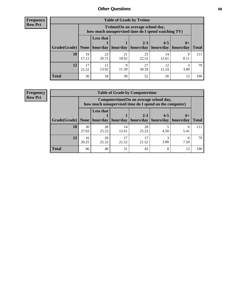**Frequency Row Pct**

| <b>Table of Grade by Tvtime</b> |             |                                                                                         |             |                       |             |           |              |
|---------------------------------|-------------|-----------------------------------------------------------------------------------------|-------------|-----------------------|-------------|-----------|--------------|
|                                 |             | Tytime (On an average school day,<br>how much unsupervised time do I spend watching TV) |             |                       |             |           |              |
|                                 |             | <b>Less that</b><br>$2 - 3$<br>$4 - 5$<br>$6+$                                          |             |                       |             |           |              |
| Grade(Grade)   None             |             | hour/day                                                                                | hour/day    | hours/day   hours/day |             | hours/day | <b>Total</b> |
| 10                              | 19<br>17.12 | 23<br>20.72                                                                             | 21<br>18.92 | 25<br>22.52           | 14<br>12.61 | 9<br>8.11 | 111          |
| 12                              | 17<br>21.52 | 11<br>13.92                                                                             | Q<br>11.39  | 27<br>34.18           | 12<br>15.19 | 3.80      | 79           |
| <b>Total</b>                    | 36          | 34                                                                                      | 30          | 52                    | 26          | 12        | 190          |

**Frequency Row Pct**

| <b>Table of Grade by Computertime</b> |             |                                                                                                                                           |             |             |           |           |     |  |
|---------------------------------------|-------------|-------------------------------------------------------------------------------------------------------------------------------------------|-------------|-------------|-----------|-----------|-----|--|
|                                       |             | Computertime (On an average school day,<br>how much unsupervised time do I spend on the computer)                                         |             |             |           |           |     |  |
| Grade(Grade)                          |             | <b>Less that</b><br>$2 - 3$<br>$4 - 5$<br>$6+$<br>hour/day<br>hours/day<br>hour/day<br>hours/day<br>hours/day<br>None $ $<br><b>Total</b> |             |             |           |           |     |  |
| 10                                    | 30<br>27.03 | 28<br>25.23                                                                                                                               | 14<br>12.61 | 28<br>25.23 | 4.50      | 6<br>5.41 | 111 |  |
| 12                                    | 16<br>20.25 | 20<br>25.32                                                                                                                               | 17<br>21.52 | 17<br>21.52 | 3<br>3.80 | 6<br>7.59 | 79  |  |
| <b>Total</b>                          | 46          | 48                                                                                                                                        | 31          | 45          | 8         | 12        | 190 |  |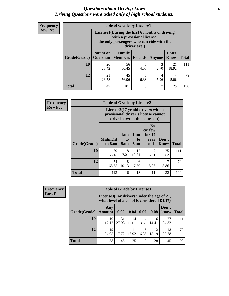## *Questions about Driving Laws* **61** *Driving Questions were asked only of high school students.*

| <b>Frequency</b> |
|------------------|
| <b>Row Pct</b>   |

| <b>Table of Grade by License1</b> |                                                                                                                                           |                          |                |           |               |              |  |  |  |
|-----------------------------------|-------------------------------------------------------------------------------------------------------------------------------------------|--------------------------|----------------|-----------|---------------|--------------|--|--|--|
|                                   | License1(During the first 6 months of driving<br>with a provisional license,<br>the only passengers who can ride with the<br>driver are:) |                          |                |           |               |              |  |  |  |
| Grade(Grade)                      | <b>Parent or</b><br><b>Guardian</b>                                                                                                       | Family<br><b>Members</b> | <b>Friends</b> | Anyone    | Don't<br>Know | <b>Total</b> |  |  |  |
| 10                                | 26<br>23.42                                                                                                                               | 56<br>50.45              | 5<br>4.50      | 3<br>2.70 | 21<br>18.92   | 111          |  |  |  |
| 12                                | 21<br>26.58                                                                                                                               | 45<br>56.96              | 5<br>6.33      | 4<br>5.06 | 4<br>5.06     | 79           |  |  |  |
| <b>Total</b>                      | 47                                                                                                                                        | 101                      | 10             | 7         | 25            | 190          |  |  |  |

| <b>Frequency</b> |              | <b>Table of Grade by License2</b> |                  |                              |                                                                                                          |                      |              |
|------------------|--------------|-----------------------------------|------------------|------------------------------|----------------------------------------------------------------------------------------------------------|----------------------|--------------|
| <b>Row Pct</b>   |              |                                   |                  |                              | License2(17 yr old drivers with a<br>provisional driver's license cannot<br>drive between the hours of:) |                      |              |
|                  | Grade(Grade) | <b>Midnight</b><br>to 6am         | 1am<br>to<br>5am | 1am<br>t <sub>0</sub><br>6am | N <sub>0</sub><br>curfew<br>for $17$<br>year<br>olds                                                     | Don't<br><b>Know</b> | <b>Total</b> |
|                  | 10           | 59<br>53.15                       | 8<br>7.21        | 12<br>10.81                  | 7<br>6.31                                                                                                | 25<br>22.52          | 111          |
|                  | 12           | 54<br>68.35                       | 8<br>10.13       | 6<br>7.59                    | 4<br>5.06                                                                                                | 7<br>8.86            | 79           |
|                  | <b>Total</b> | 113                               | 16               | 18                           | 11                                                                                                       | 32                   | 190          |

| Frequency      | <b>Table of Grade by License3</b> |                      |                                                                                        |             |           |             |               |              |
|----------------|-----------------------------------|----------------------|----------------------------------------------------------------------------------------|-------------|-----------|-------------|---------------|--------------|
| <b>Row Pct</b> |                                   |                      | License3(For drivers under the age of 21,<br>what level of alcohol is considered DUI?) |             |           |             |               |              |
|                | Grade(Grade)                      | Any<br><b>Amount</b> | 0.02                                                                                   | 0.04        | 0.06      | 0.08        | Don't<br>know | <b>Total</b> |
|                | 10                                | 19<br>17.12          | 31<br>27.93                                                                            | 14<br>12.61 | 4<br>3.60 | 16<br>14.41 | 27<br>24.32   | 111          |
|                | 12                                | 19<br>24.05          | 14<br>17.72                                                                            | 11<br>13.92 | 5<br>6.33 | 12<br>15.19 | 18<br>22.78   | 79           |
|                | <b>Total</b>                      | 38                   | 45                                                                                     | 25          | 9         | 28          | 45            | 190          |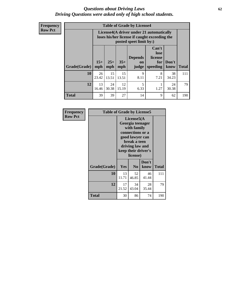## *Questions about Driving Laws* **62** *Driving Questions were asked only of high school students.*

**Frequency Row Pct**

| <b>Table of Grade by License4</b> |             |                                                                                                                                                                                                                                                                                       |             |           |           |             |     |  |
|-----------------------------------|-------------|---------------------------------------------------------------------------------------------------------------------------------------------------------------------------------------------------------------------------------------------------------------------------------------|-------------|-----------|-----------|-------------|-----|--|
|                                   |             | License4(A driver under 21 automatically<br>loses his/her license if caught exceeding the<br>posted speet limit by:)<br>Can't<br>lose<br><b>Depends</b><br>license<br>$15+$<br>$25+$<br>$35+$<br>Don't<br>for<br><b>on</b><br>speeding<br><b>Total</b><br>mph<br>know<br>mph<br>judge |             |           |           |             |     |  |
| Grade(Grade)                      | mph         |                                                                                                                                                                                                                                                                                       |             |           |           |             |     |  |
| 10                                | 26<br>23.42 | 15<br>13.51                                                                                                                                                                                                                                                                           | 15<br>13.51 | 9<br>8.11 | 8<br>7.21 | 38<br>34.23 | 111 |  |
| 12                                | 13<br>16.46 | 24<br>30.38                                                                                                                                                                                                                                                                           | 12<br>15.19 | 5<br>6.33 | 1.27      | 24<br>30.38 | 79  |  |
| <b>Total</b>                      | 39          | 39                                                                                                                                                                                                                                                                                    | 27          | 14        | 9         | 62          | 190 |  |

| Frequency      | <b>Table of Grade by License5</b> |             |                                                                                                                                      |                     |       |
|----------------|-----------------------------------|-------------|--------------------------------------------------------------------------------------------------------------------------------------|---------------------|-------|
| <b>Row Pct</b> |                                   |             | License5(A)<br>Georgia teenager<br>with family<br>connections or a<br>good lawyer can<br>break a teen<br>driving law and<br>license) | keep their driver's |       |
|                | Grade(Grade)                      | Yes         | N <sub>0</sub>                                                                                                                       | Don't<br>know       | Total |
|                | 10                                | 13<br>11.71 | 52<br>46.85                                                                                                                          | 46<br>41.44         | 111   |
|                | 12                                | 17<br>21.52 | 34<br>43.04                                                                                                                          | 28<br>35.44         | 79    |
|                | <b>Total</b>                      | 30          | 86                                                                                                                                   | 74                  | 190   |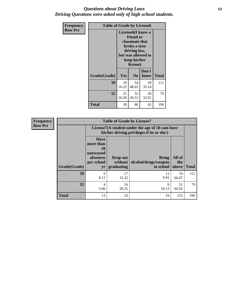## *Questions about Driving Laws* **63** *Driving Questions were asked only of high school students.*

| <b>Frequency</b> |              | <b>Table of Grade by License6</b>                                                                                                               |                |               |              |  |
|------------------|--------------|-------------------------------------------------------------------------------------------------------------------------------------------------|----------------|---------------|--------------|--|
| <b>Row Pct</b>   |              | License <sub>6</sub> (I know a<br>friend or<br>classmate that<br>broke a teen<br>driving law,<br>but was allowed to<br>keep his/her<br>license) |                |               |              |  |
|                  | Grade(Grade) | Yes                                                                                                                                             | N <sub>0</sub> | Don't<br>know | <b>Total</b> |  |
|                  | 10           | 18<br>16.22                                                                                                                                     | 54<br>48.65    | 39<br>35.14   | 111          |  |
|                  | 12           | 21<br>26.58                                                                                                                                     | 32<br>40.51    | 26<br>32.91   | 79           |  |
|                  | <b>Total</b> | 39                                                                                                                                              | 86             | 65            | 190          |  |

| Frequency      |              |                                                                                               | <b>Table of Grade by License7</b>   |                                                   |                        |              |  |  |
|----------------|--------------|-----------------------------------------------------------------------------------------------|-------------------------------------|---------------------------------------------------|------------------------|--------------|--|--|
| <b>Row Pct</b> |              | License7(A student under the age of 18 cam loser<br>his/her driving privileges if he or she:) |                                     |                                                   |                        |              |  |  |
|                | Grade(Grade) | <b>Have</b><br>more than<br>10<br>unexcused<br>absences<br>per school<br>yr                   | Drop out<br>without  <br>graduating | <b>Bring</b><br>alcohol/drugs/weapon<br>to school | All of<br>the<br>above | <b>Total</b> |  |  |
|                | 10           | 9<br>8.11                                                                                     | 17<br>15.32                         | 11<br>9.91                                        | 74<br>66.67            | 111          |  |  |
|                | 12           | 4<br>5.06                                                                                     | 16<br>20.25                         | 8<br>10.13                                        | 51<br>64.56            | 79           |  |  |
|                | <b>Total</b> | 13                                                                                            | 33                                  | 19                                                | 125                    | 190          |  |  |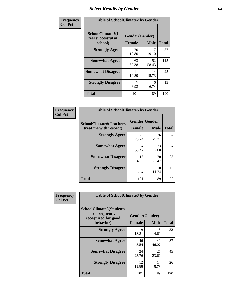# *Select Results by Gender* **64**

| Frequency      | <b>Table of SchoolClimate2 by Gender</b>          |                                 |                            |     |  |  |
|----------------|---------------------------------------------------|---------------------------------|----------------------------|-----|--|--|
| <b>Col Pct</b> | SchoolClimate2(I<br>feel successful at<br>school) | Gender(Gender)<br><b>Female</b> | <b>Total</b>               |     |  |  |
|                | <b>Strongly Agree</b>                             | 20<br>19.80                     | <b>Male</b><br>17<br>19.10 | 37  |  |  |
|                | <b>Somewhat Agree</b>                             | 63<br>62.38                     | 52<br>58.43                | 115 |  |  |
|                | <b>Somewhat Disagree</b>                          | 11<br>10.89                     | 14<br>15.73                | 25  |  |  |
|                | <b>Strongly Disagree</b>                          | 6.93                            | 6<br>6.74                  | 13  |  |  |
|                | <b>Total</b>                                      | 101                             | 89                         | 190 |  |  |

| Frequency      | <b>Table of SchoolClimate6 by Gender</b>                 |                                 |             |              |  |  |  |  |
|----------------|----------------------------------------------------------|---------------------------------|-------------|--------------|--|--|--|--|
| <b>Col Pct</b> | <b>SchoolClimate6(Teachers</b><br>treat me with respect) | Gender(Gender)<br><b>Female</b> | <b>Male</b> | <b>Total</b> |  |  |  |  |
|                | <b>Strongly Agree</b>                                    | 26<br>25.74                     | 26<br>29.21 | 52           |  |  |  |  |
|                | <b>Somewhat Agree</b>                                    | 54<br>53.47                     | 33<br>37.08 | 87           |  |  |  |  |
|                | <b>Somewhat Disagree</b>                                 | 15<br>14.85                     | 20<br>22.47 | 35           |  |  |  |  |
|                | <b>Strongly Disagree</b>                                 | 6<br>5.94                       | 10<br>11.24 | 16           |  |  |  |  |
|                | Total                                                    | 101                             | 89          | 190          |  |  |  |  |

| Frequency      | <b>Table of SchoolClimate8 by Gender</b>                                             |               |                               |              |  |  |  |  |  |  |
|----------------|--------------------------------------------------------------------------------------|---------------|-------------------------------|--------------|--|--|--|--|--|--|
| <b>Col Pct</b> | <b>SchoolClimate8(Students</b><br>are frequently<br>recognized for good<br>behavior) | <b>Female</b> | Gender(Gender)<br><b>Male</b> | <b>Total</b> |  |  |  |  |  |  |
|                | <b>Strongly Agree</b>                                                                | 19<br>18.81   | 13<br>14.61                   | 32           |  |  |  |  |  |  |
|                | <b>Somewhat Agree</b>                                                                | 46<br>45.54   | 41<br>46.07                   | 87           |  |  |  |  |  |  |
|                | <b>Somewhat Disagree</b>                                                             | 24<br>23.76   | 21<br>23.60                   | 45           |  |  |  |  |  |  |
|                | <b>Strongly Disagree</b>                                                             | 12<br>11.88   | 14<br>15.73                   | 26           |  |  |  |  |  |  |
|                | <b>Total</b>                                                                         | 101           | 89                            | 190          |  |  |  |  |  |  |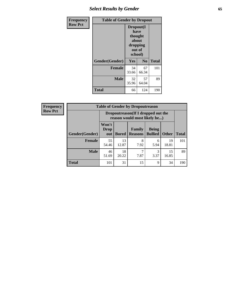# *Select Results by Gender* **65**

| <b>Frequency</b> | <b>Table of Gender by Dropout</b> |                                                                        |                |              |
|------------------|-----------------------------------|------------------------------------------------------------------------|----------------|--------------|
| <b>Row Pct</b>   |                                   | Dropout(I<br>have<br>thought<br>about<br>dropping<br>out of<br>school) |                |              |
|                  | Gender(Gender)                    | Yes                                                                    | N <sub>0</sub> | <b>Total</b> |
|                  | <b>Female</b>                     | 34<br>33.66                                                            | 67<br>66.34    | 101          |
|                  | <b>Male</b>                       | 32<br>35.96                                                            | 57<br>64.04    | 89           |
|                  | <b>Total</b>                      | 66                                                                     | 124            | 190          |

| <b>Frequency</b> | <b>Table of Gender by Dropoutreason</b> |                                                                    |              |                          |                                |              |              |
|------------------|-----------------------------------------|--------------------------------------------------------------------|--------------|--------------------------|--------------------------------|--------------|--------------|
| <b>Row Pct</b>   |                                         | Dropoutreason(If I dropped out the<br>reason would most likely be) |              |                          |                                |              |              |
|                  | Gender(Gender)                          | Won't<br><b>Drop</b><br>out                                        | <b>Bored</b> | Family<br><b>Reasons</b> | <b>Being</b><br><b>Bullied</b> | <b>Other</b> | <b>Total</b> |
|                  | <b>Female</b>                           | 55<br>54.46                                                        | 13<br>12.87  | 8<br>7.92                | 6<br>5.94                      | 19<br>18.81  | 101          |
|                  | <b>Male</b>                             | 46<br>51.69                                                        | 18<br>20.22  | 7.87                     | 3.37                           | 15<br>16.85  | 89           |
|                  | <b>Total</b>                            | 101                                                                | 31           | 15                       | 9                              | 34           | 190          |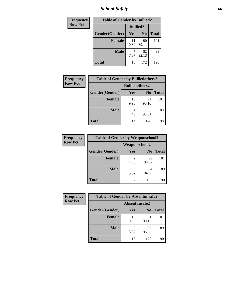*School Safety* **66**

| Frequency      | <b>Table of Gender by Bullied2</b> |                 |                |              |
|----------------|------------------------------------|-----------------|----------------|--------------|
| <b>Row Pct</b> |                                    | <b>Bullied2</b> |                |              |
|                | Gender(Gender)                     | Yes             | N <sub>0</sub> | <b>Total</b> |
|                | <b>Female</b>                      | 11<br>10.89     | 90<br>89.11    | 101          |
|                | <b>Male</b>                        | 7.87            | 82<br>92.13    | 89           |
|                | <b>Total</b>                       | 18              | 172            | 190          |

| Frequency      | <b>Table of Gender by Bulliedothers2</b> |                       |                |       |
|----------------|------------------------------------------|-----------------------|----------------|-------|
| <b>Row Pct</b> |                                          | <b>Bulliedothers2</b> |                |       |
|                | Gender(Gender)                           | Yes                   | N <sub>0</sub> | Total |
|                | <b>Female</b>                            | 10<br>9.90            | 91<br>90.10    | 101   |
|                | <b>Male</b>                              | 4<br>4.49             | 85<br>95.51    | 89    |
|                | Total                                    | 14                    | 176            | 190   |

| Frequency      | <b>Table of Gender by Weaponschool2</b> |               |                |              |
|----------------|-----------------------------------------|---------------|----------------|--------------|
| <b>Row Pct</b> |                                         | Weaponschool2 |                |              |
|                | Gender(Gender)                          | Yes           | N <sub>0</sub> | <b>Total</b> |
|                | <b>Female</b>                           | 2<br>1.98     | 99<br>98.02    | 101          |
|                | <b>Male</b>                             | 5<br>5.62     | 84<br>94.38    | 89           |
|                | <b>Total</b>                            |               | 183            | 190          |

| Frequency      | <b>Table of Gender by Absentunsafe2</b> |               |                |              |
|----------------|-----------------------------------------|---------------|----------------|--------------|
| <b>Row Pct</b> |                                         | Absentunsafe2 |                |              |
|                | Gender(Gender)                          | Yes           | N <sub>0</sub> | <b>Total</b> |
|                | <b>Female</b>                           | 10<br>9.90    | 91<br>90.10    | 101          |
|                | <b>Male</b>                             | 3.37          | 86<br>96.63    | 89           |
|                | <b>Total</b>                            | 13            | 177            | 190          |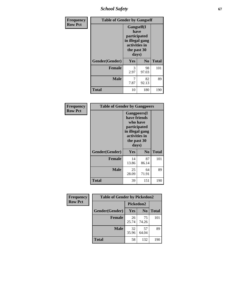*School Safety* **67**

| Frequency      | <b>Table of Gender by Gangself</b> |                                                                                                |                |              |
|----------------|------------------------------------|------------------------------------------------------------------------------------------------|----------------|--------------|
| <b>Row Pct</b> |                                    | Gangself(I<br>have<br>participated<br>in illegal gang<br>activities in<br>the past 30<br>days) |                |              |
|                | Gender(Gender)                     | Yes                                                                                            | N <sub>0</sub> | <b>Total</b> |
|                | <b>Female</b>                      | 3<br>2.97                                                                                      | 98<br>97.03    | 101          |
|                | <b>Male</b>                        | 7<br>7.87                                                                                      | 82<br>92.13    | 89           |
|                | <b>Total</b>                       | 10                                                                                             | 180            | 190          |

| Frequency      | <b>Table of Gender by Gangpeers</b> |                                                                                                                             |                |              |
|----------------|-------------------------------------|-----------------------------------------------------------------------------------------------------------------------------|----------------|--------------|
| <b>Row Pct</b> |                                     | <b>Gangpeers</b> (I<br>have friends<br>who have<br>participated<br>in illegal gang<br>activities in<br>the past 30<br>days) |                |              |
|                | Gender(Gender)                      | <b>Yes</b>                                                                                                                  | N <sub>0</sub> | <b>Total</b> |
|                | <b>Female</b>                       | 14<br>13.86                                                                                                                 | 87<br>86.14    | 101          |
|                | <b>Male</b>                         | 25<br>28.09                                                                                                                 | 64<br>71.91    | 89           |
|                | <b>Total</b>                        | 39                                                                                                                          | 151            | 190          |

| Frequency      | <b>Table of Gender by Pickedon2</b> |             |                |              |
|----------------|-------------------------------------|-------------|----------------|--------------|
| <b>Row Pct</b> |                                     | Pickedon2   |                |              |
|                | Gender(Gender)                      | Yes         | N <sub>0</sub> | <b>Total</b> |
|                | <b>Female</b>                       | 26<br>25.74 | 75<br>74.26    | 101          |
|                | <b>Male</b>                         | 32<br>35.96 | 57<br>64.04    | 89           |
|                | <b>Total</b>                        | 58          | 132            | 190          |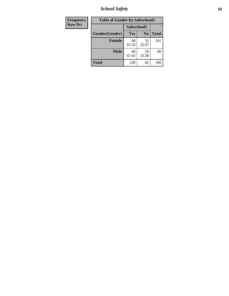*School Safety* **68**

| Frequency      | <b>Table of Gender by Safeschool2</b> |             |                |              |
|----------------|---------------------------------------|-------------|----------------|--------------|
| <b>Row Pct</b> |                                       | Safeschool2 |                |              |
|                | Gender(Gender)                        | <b>Yes</b>  | N <sub>0</sub> | <b>Total</b> |
|                | <b>Female</b>                         | 68<br>67.33 | 33<br>32.67    | 101          |
|                | <b>Male</b>                           | 60<br>67.42 | 29<br>32.58    | 89           |
|                | <b>Total</b>                          | 128         | 62             | 190          |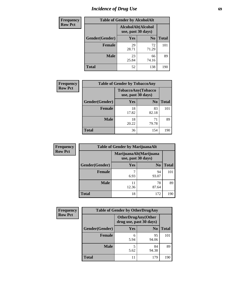# *Incidence of Drug Use* 69

| <b>Frequency</b> | <b>Table of Gender by AlcoholAlt</b>     |             |                |              |  |
|------------------|------------------------------------------|-------------|----------------|--------------|--|
| <b>Row Pct</b>   | AlcoholAlt(Alcohol<br>use, past 30 days) |             |                |              |  |
|                  | Gender(Gender)                           | <b>Yes</b>  | N <sub>0</sub> | <b>Total</b> |  |
|                  | <b>Female</b>                            | 29<br>28.71 | 72<br>71.29    | 101          |  |
|                  | <b>Male</b>                              | 23<br>25.84 | 66<br>74.16    | 89           |  |
|                  | <b>Total</b>                             | 52          | 138            | 190          |  |

| <b>Frequency</b> | <b>Table of Gender by TobaccoAny</b> |                                          |                |              |  |
|------------------|--------------------------------------|------------------------------------------|----------------|--------------|--|
| <b>Row Pct</b>   |                                      | TobaccoAny(Tobacco<br>use, past 30 days) |                |              |  |
|                  | Gender(Gender)                       | Yes                                      | N <sub>0</sub> | <b>Total</b> |  |
|                  | <b>Female</b>                        | 18<br>17.82                              | 83<br>82.18    | 101          |  |
|                  | <b>Male</b>                          | 18<br>20.22                              | 71<br>79.78    | 89           |  |
|                  | <b>Total</b>                         | 36                                       | 154            | 190          |  |

| <b>Frequency</b> | <b>Table of Gender by MarijuanaAlt</b> |                    |                        |              |  |
|------------------|----------------------------------------|--------------------|------------------------|--------------|--|
| <b>Row Pct</b>   |                                        | use, past 30 days) | MarijuanaAlt(Marijuana |              |  |
|                  | Gender(Gender)                         | <b>Yes</b>         | N <sub>0</sub>         | <b>Total</b> |  |
|                  | <b>Female</b>                          | 7<br>6.93          | 94<br>93.07            | 101          |  |
|                  | <b>Male</b>                            | 11<br>12.36        | 78<br>87.64            | 89           |  |
|                  | <b>Total</b>                           | 18                 | 172                    | 190          |  |

| <b>Frequency</b> |                | <b>Table of Gender by OtherDrugAny</b>               |                |              |
|------------------|----------------|------------------------------------------------------|----------------|--------------|
| <b>Row Pct</b>   |                | <b>OtherDrugAny(Other</b><br>drug use, past 30 days) |                |              |
|                  | Gender(Gender) | <b>Yes</b>                                           | N <sub>0</sub> | <b>Total</b> |
|                  | <b>Female</b>  | 6<br>5.94                                            | 95<br>94.06    | 101          |
|                  | <b>Male</b>    | 5<br>5.62                                            | 84<br>94.38    | 89           |
|                  | <b>Total</b>   | 11                                                   | 179            | 190          |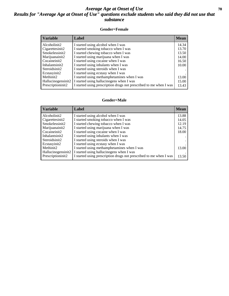## *Average Age at Onset of Use* **70** *Results for "Average Age at Onset of Use" questions exclude students who said they did not use that substance*

## **Gender=Female**

| <b>Variable</b>                 | <b>Label</b>                                                       | <b>Mean</b> |
|---------------------------------|--------------------------------------------------------------------|-------------|
| Alcoholinit2                    | I started using alcohol when I was                                 | 14.34       |
| Cigarettesinit2                 | I started smoking tobacco when I was                               | 13.70       |
| Smokelessinit2                  | I started chewing tobacco when I was                               | 13.50       |
| Marijuanainit2                  | I started using marijuana when I was                               | 14.00       |
| Cocaineinit2                    | I started using cocaine when I was                                 | 16.50       |
| Inhalantsinit2                  | I started using inhalants when I was                               | 10.00       |
| Steroidsinit2                   | I started using steroids when I was                                |             |
| Ecstasyinit2                    | I started using ecstasy when I was                                 |             |
| Methinit2                       | I started using methamphetamines when I was                        | 13.00       |
| Hallucinogensinit2              | I started using hallucinogens when I was                           | 15.00       |
| Prescription in it <sub>2</sub> | I started using prescription drugs not prescribed to me when I was | 13.43       |

### **Gender=Male**

| <b>Variable</b>                 | Label                                                              | <b>Mean</b> |
|---------------------------------|--------------------------------------------------------------------|-------------|
| Alcoholinit2                    | I started using alcohol when I was                                 | 13.88       |
| Cigarettesinit2                 | I started smoking tobacco when I was                               | 14.05       |
| Smokelessinit2                  | I started chewing tobacco when I was                               | 12.19       |
| Marijuanainit2                  | I started using marijuana when I was                               | 14.75       |
| Cocaineinit2                    | I started using cocaine when I was                                 | 18.00       |
| Inhalantsinit2                  | I started using inhalants when I was                               |             |
| Steroidsinit2                   | I started using steroids when I was                                |             |
| Ecstasyinit2                    | I started using ecstasy when I was                                 |             |
| Methinit2                       | I started using methamphetamines when I was                        | 13.00       |
| Hallucinogensinit2              | I started using hallucinogens when I was                           |             |
| Prescription in it <sub>2</sub> | I started using prescription drugs not prescribed to me when I was | 13.50       |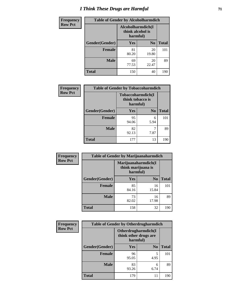# *I Think These Drugs are Harmful* **71**

| <b>Frequency</b> | <b>Table of Gender by Alcoholharmdich</b> |                                                   |                |              |
|------------------|-------------------------------------------|---------------------------------------------------|----------------|--------------|
| <b>Row Pct</b>   |                                           | Alcoholharmdich(I<br>think alcohol is<br>harmful) |                |              |
|                  | Gender(Gender)                            | Yes                                               | N <sub>0</sub> | <b>Total</b> |
|                  | <b>Female</b>                             | 81<br>80.20                                       | 20<br>19.80    | 101          |
|                  | <b>Male</b>                               | 69<br>77.53                                       | 20<br>22.47    | 89           |
|                  | <b>Total</b>                              | 150                                               | 40             | 190          |

| Frequency      | <b>Table of Gender by Tobaccoharmdich</b> |                  |                               |              |
|----------------|-------------------------------------------|------------------|-------------------------------|--------------|
| <b>Row Pct</b> |                                           | think tobacco is | Tobaccoharmdich(I<br>harmful) |              |
|                | Gender(Gender)                            | Yes              | N <sub>0</sub>                | <b>Total</b> |
|                | <b>Female</b>                             | 95<br>94.06      | 6<br>5.94                     | 101          |
|                | <b>Male</b>                               | 82<br>92.13      | 7.87                          | 89           |
|                | <b>Total</b>                              | 177              | 13                            | 190          |

| Frequency      | <b>Table of Gender by Marijuanaharmdich</b> |                                |                     |              |  |
|----------------|---------------------------------------------|--------------------------------|---------------------|--------------|--|
| <b>Row Pct</b> |                                             | think marijuana is<br>harmful) | Marijuanaharmdich(I |              |  |
|                | Gender(Gender)                              | <b>Yes</b>                     | N <sub>0</sub>      | <b>Total</b> |  |
|                | <b>Female</b>                               | 85<br>84.16                    | 16<br>15.84         | 101          |  |
|                | <b>Male</b>                                 | 73<br>82.02                    | 16<br>17.98         | 89           |  |
|                | <b>Total</b>                                | 158                            | 32                  | 190          |  |

| Frequency      | <b>Table of Gender by Otherdrugharmdich</b> |                                                          |                |              |
|----------------|---------------------------------------------|----------------------------------------------------------|----------------|--------------|
| <b>Row Pct</b> |                                             | Otherdrugharmdich(I<br>think other drugs are<br>harmful) |                |              |
|                | Gender(Gender)                              | <b>Yes</b>                                               | N <sub>0</sub> | <b>Total</b> |
|                | <b>Female</b>                               | 96<br>95.05                                              | 5<br>4.95      | 101          |
|                | <b>Male</b>                                 | 83<br>93.26                                              | 6<br>6.74      | 89           |
|                | <b>Total</b>                                | 179                                                      | 11             | 190          |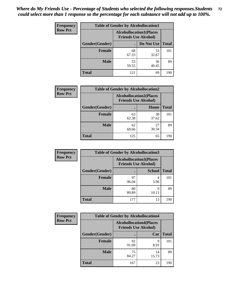| <b>Frequency</b> | <b>Table of Gender by Alcohollocation1</b> |                                                               |             |              |
|------------------|--------------------------------------------|---------------------------------------------------------------|-------------|--------------|
| <b>Row Pct</b>   |                                            | <b>Alcohollocation1(Places</b><br><b>Friends Use Alcohol)</b> |             |              |
|                  | Gender(Gender)                             |                                                               | Do Not Use  | <b>Total</b> |
|                  | <b>Female</b>                              | 68<br>67.33                                                   | 33<br>32.67 | 101          |
|                  | <b>Male</b>                                | 53<br>59.55                                                   | 36<br>40.45 | 89           |
|                  | <b>Total</b>                               | 121                                                           | 69          | 190          |

| <b>Frequency</b> | <b>Table of Gender by Alcohollocation2</b> |             |                                                               |              |
|------------------|--------------------------------------------|-------------|---------------------------------------------------------------|--------------|
| <b>Row Pct</b>   |                                            |             | <b>Alcohollocation2(Places</b><br><b>Friends Use Alcohol)</b> |              |
|                  | Gender(Gender)                             |             | Home                                                          | <b>Total</b> |
|                  | <b>Female</b>                              | 63<br>62.38 | 38<br>37.62                                                   | 101          |
|                  | <b>Male</b>                                | 62<br>69.66 | 27<br>30.34                                                   | 89           |
|                  | <b>Total</b>                               | 125         | 65                                                            | 190          |

| Frequency      | <b>Table of Gender by Alcohollocation3</b> |                                                               |               |              |
|----------------|--------------------------------------------|---------------------------------------------------------------|---------------|--------------|
| <b>Row Pct</b> |                                            | <b>Alcohollocation3(Places</b><br><b>Friends Use Alcohol)</b> |               |              |
|                | Gender(Gender)                             |                                                               | <b>School</b> | <b>Total</b> |
|                | <b>Female</b>                              | 97<br>96.04                                                   | 3.96          | 101          |
|                | <b>Male</b>                                | 80<br>89.89                                                   | Q<br>10.11    | 89           |
|                | <b>Total</b>                               | 177                                                           | 13            | 190          |

| Frequency      | <b>Table of Gender by Alcohollocation4</b> |                                                               |             |              |
|----------------|--------------------------------------------|---------------------------------------------------------------|-------------|--------------|
| <b>Row Pct</b> |                                            | <b>Alcohollocation4(Places</b><br><b>Friends Use Alcohol)</b> |             |              |
|                | Gender(Gender)                             |                                                               | Car         | <b>Total</b> |
|                | <b>Female</b>                              | 92<br>91.09                                                   | q<br>8.91   | 101          |
|                | <b>Male</b>                                | 75<br>84.27                                                   | 14<br>15.73 | 89           |
|                | <b>Total</b>                               | 167                                                           | 23          | 190          |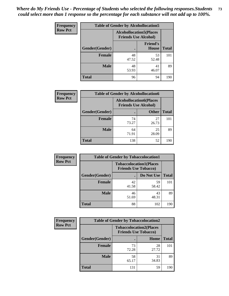| <b>Frequency</b> | <b>Table of Gender by Alcohollocation5</b> |                                                                |                                 |              |
|------------------|--------------------------------------------|----------------------------------------------------------------|---------------------------------|--------------|
| <b>Row Pct</b>   |                                            | <b>Alcohollocation5</b> (Places<br><b>Friends Use Alcohol)</b> |                                 |              |
|                  | Gender(Gender)                             |                                                                | <b>Friend's</b><br><b>House</b> | <b>Total</b> |
|                  | <b>Female</b>                              | 48<br>47.52                                                    | 53<br>52.48                     | 101          |
|                  | <b>Male</b>                                | 48<br>53.93                                                    | 41<br>46.07                     | 89           |
|                  | <b>Total</b>                               | 96                                                             | 94                              | 190          |

| Frequency      | <b>Table of Gender by Alcohollocation6</b> |                                                               |              |              |  |
|----------------|--------------------------------------------|---------------------------------------------------------------|--------------|--------------|--|
| <b>Row Pct</b> |                                            | <b>Alcohollocation6(Places</b><br><b>Friends Use Alcohol)</b> |              |              |  |
|                | Gender(Gender)                             |                                                               | <b>Other</b> | <b>Total</b> |  |
|                | <b>Female</b>                              | 74<br>73.27                                                   | 27<br>26.73  | 101          |  |
|                | <b>Male</b>                                | 64<br>71.91                                                   | 25<br>28.09  | 89           |  |
|                | <b>Total</b>                               | 138                                                           | 52           | 190          |  |

| Frequency      | <b>Table of Gender by Tobaccolocation1</b> |                                                               |             |              |  |
|----------------|--------------------------------------------|---------------------------------------------------------------|-------------|--------------|--|
| <b>Row Pct</b> |                                            | <b>Tobaccolocation1(Places</b><br><b>Friends Use Tobacco)</b> |             |              |  |
|                | Gender(Gender)                             |                                                               | Do Not Use  | <b>Total</b> |  |
|                | Female                                     | 42<br>41.58                                                   | 59<br>58.42 | 101          |  |
|                | <b>Male</b>                                | 46<br>51.69                                                   | 43<br>48.31 | 89           |  |
|                | <b>Total</b>                               | 88                                                            | 102         | 190          |  |

| <b>Frequency</b> | <b>Table of Gender by Tobaccolocation2</b> |                             |                                |              |
|------------------|--------------------------------------------|-----------------------------|--------------------------------|--------------|
| <b>Row Pct</b>   |                                            | <b>Friends Use Tobacco)</b> | <b>Tobaccolocation2(Places</b> |              |
|                  | Gender(Gender)                             |                             | Home                           | <b>Total</b> |
|                  | Female                                     | 73<br>72.28                 | 28<br>27.72                    | 101          |
|                  | <b>Male</b>                                | 58<br>65.17                 | 31<br>34.83                    | 89           |
|                  | <b>Total</b>                               | 131                         | 59                             | 190          |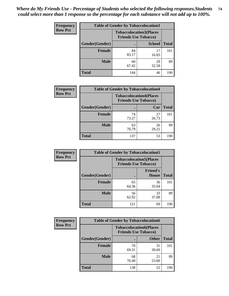| <b>Frequency</b> | <b>Table of Gender by Tobaccolocation3</b> |                             |                                |              |
|------------------|--------------------------------------------|-----------------------------|--------------------------------|--------------|
| <b>Row Pct</b>   |                                            | <b>Friends Use Tobacco)</b> | <b>Tobaccolocation3(Places</b> |              |
|                  | Gender(Gender)                             |                             | <b>School</b>                  | <b>Total</b> |
|                  | Female                                     | 84<br>83.17                 | 17<br>16.83                    | 101          |
|                  | <b>Male</b>                                | 60<br>67.42                 | 29<br>32.58                    | 89           |
|                  | <b>Total</b>                               | 144                         | 46                             | 190          |

| <b>Frequency</b> | <b>Table of Gender by Tobaccolocation4</b> |                             |                                |              |
|------------------|--------------------------------------------|-----------------------------|--------------------------------|--------------|
| <b>Row Pct</b>   |                                            | <b>Friends Use Tobacco)</b> | <b>Tobaccolocation4(Places</b> |              |
|                  | Gender(Gender)                             |                             | Car                            | <b>Total</b> |
|                  | <b>Female</b>                              | 74<br>73.27                 | 27<br>26.73                    | 101          |
|                  | <b>Male</b>                                | 63<br>70.79                 | 26<br>29.21                    | 89           |
|                  | <b>Total</b>                               | 137                         | 53                             | 190          |

| <b>Frequency</b> | <b>Table of Gender by Tobaccolocation5</b> |                                                               |                          |              |
|------------------|--------------------------------------------|---------------------------------------------------------------|--------------------------|--------------|
| <b>Row Pct</b>   |                                            | <b>Tobaccolocation5(Places</b><br><b>Friends Use Tobacco)</b> |                          |              |
|                  | <b>Gender(Gender)</b>                      |                                                               | <b>Friend's</b><br>House | <b>Total</b> |
|                  | <b>Female</b>                              | 65<br>64.36                                                   | 36<br>35.64              | 101          |
|                  | <b>Male</b>                                | 56<br>62.92                                                   | 33<br>37.08              | 89           |
|                  | <b>Total</b>                               | 121                                                           | 69                       | 190          |

| <b>Frequency</b> | <b>Table of Gender by Tobaccolocation6</b> |                                                               |              |              |
|------------------|--------------------------------------------|---------------------------------------------------------------|--------------|--------------|
| <b>Row Pct</b>   |                                            | <b>Tobaccolocation6(Places</b><br><b>Friends Use Tobacco)</b> |              |              |
|                  | Gender(Gender)                             |                                                               | <b>Other</b> | <b>Total</b> |
|                  | Female                                     | 70<br>69.31                                                   | 31<br>30.69  | 101          |
|                  | <b>Male</b>                                | 68<br>76.40                                                   | 21<br>23.60  | 89           |
|                  | <b>Total</b>                               | 138                                                           | 52           | 190          |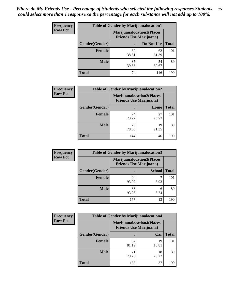| <b>Frequency</b> | <b>Table of Gender by Marijuanalocation1</b> |             |                                                                    |              |  |
|------------------|----------------------------------------------|-------------|--------------------------------------------------------------------|--------------|--|
| <b>Row Pct</b>   |                                              |             | <b>Marijuanalocation1(Places</b><br><b>Friends Use Marijuana</b> ) |              |  |
|                  | <b>Gender</b> (Gender)                       |             | Do Not Use                                                         | <b>Total</b> |  |
|                  | <b>Female</b>                                | 39<br>38.61 | 62<br>61.39                                                        | 101          |  |
|                  | <b>Male</b>                                  | 35<br>39.33 | 54<br>60.67                                                        | 89           |  |
|                  | <b>Total</b>                                 | 74          | 116                                                                | 190          |  |

| <b>Frequency</b> | <b>Table of Gender by Marijuanalocation2</b> |                                                                    |             |              |  |
|------------------|----------------------------------------------|--------------------------------------------------------------------|-------------|--------------|--|
| <b>Row Pct</b>   |                                              | <b>Marijuanalocation2(Places</b><br><b>Friends Use Marijuana</b> ) |             |              |  |
|                  | Gender(Gender)                               |                                                                    | Home        | <b>Total</b> |  |
|                  | Female                                       | 74<br>73.27                                                        | 27<br>26.73 | 101          |  |
|                  | <b>Male</b>                                  | 70<br>78.65                                                        | 19<br>21.35 | 89           |  |
|                  | <b>Total</b>                                 | 144                                                                | 46          | 190          |  |

| Frequency      | <b>Table of Gender by Marijuanalocation3</b> |                                                                    |               |              |
|----------------|----------------------------------------------|--------------------------------------------------------------------|---------------|--------------|
| <b>Row Pct</b> |                                              | <b>Marijuanalocation3(Places</b><br><b>Friends Use Marijuana</b> ) |               |              |
|                | Gender(Gender)                               |                                                                    | <b>School</b> | <b>Total</b> |
|                | Female                                       | 94<br>93.07                                                        | 6.93          | 101          |
|                | <b>Male</b>                                  | 83<br>93.26                                                        | 6<br>6.74     | 89           |
|                | <b>Total</b>                                 | 177                                                                | 13            | 190          |

| <b>Frequency</b> | <b>Table of Gender by Marijuanalocation4</b> |                                                                    |             |              |
|------------------|----------------------------------------------|--------------------------------------------------------------------|-------------|--------------|
| <b>Row Pct</b>   |                                              | <b>Marijuanalocation4(Places</b><br><b>Friends Use Marijuana</b> ) |             |              |
|                  | Gender(Gender)                               |                                                                    | Car         | <b>Total</b> |
|                  | Female                                       | 82<br>81.19                                                        | 19<br>18.81 | 101          |
|                  | <b>Male</b>                                  | 71<br>79.78                                                        | 18<br>20.22 | 89           |
|                  | <b>Total</b>                                 | 153                                                                | 37          | 190          |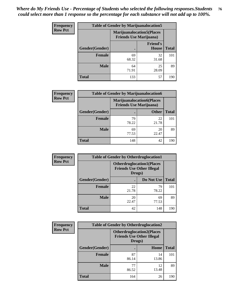| <b>Frequency</b> | <b>Table of Gender by Marijuanalocation5</b> |                                                                     |                          |              |
|------------------|----------------------------------------------|---------------------------------------------------------------------|--------------------------|--------------|
| <b>Row Pct</b>   |                                              | <b>Marijuanalocation5</b> (Places<br><b>Friends Use Marijuana</b> ) |                          |              |
|                  | Gender(Gender)                               |                                                                     | <b>Friend's</b><br>House | <b>Total</b> |
|                  | Female                                       | 69<br>68.32                                                         | 32<br>31.68              | 101          |
|                  | <b>Male</b>                                  | 64<br>71.91                                                         | 25<br>28.09              | 89           |
|                  | <b>Total</b>                                 | 133                                                                 | 57                       | 190          |

| <b>Frequency</b> | <b>Table of Gender by Marijuanalocation6</b> |                                                                     |              |              |
|------------------|----------------------------------------------|---------------------------------------------------------------------|--------------|--------------|
| <b>Row Pct</b>   |                                              | <b>Marijuanalocation6(Places)</b><br><b>Friends Use Marijuana</b> ) |              |              |
|                  | Gender(Gender)                               |                                                                     | <b>Other</b> | <b>Total</b> |
|                  | <b>Female</b>                                | 79<br>78.22                                                         | 22<br>21.78  | 101          |
|                  | <b>Male</b>                                  | 69<br>77.53                                                         | 20<br>22.47  | 89           |
|                  | <b>Total</b>                                 | 148                                                                 | 42           | 190          |

| <b>Frequency</b> | <b>Table of Gender by Otherdruglocation1</b> |                                                                                |             |              |
|------------------|----------------------------------------------|--------------------------------------------------------------------------------|-------------|--------------|
| <b>Row Pct</b>   |                                              | <b>Otherdruglocation1(Places</b><br><b>Friends Use Other Illegal</b><br>Drugs) |             |              |
|                  | Gender(Gender)                               |                                                                                | Do Not Use  | <b>Total</b> |
|                  | <b>Female</b>                                | 22<br>21.78                                                                    | 79<br>78.22 | 101          |
|                  | <b>Male</b>                                  | 20<br>22.47                                                                    | 69<br>77.53 | 89           |
|                  | <b>Total</b>                                 | 42                                                                             | 148         | 190          |

| Frequency      | <b>Table of Gender by Otherdruglocation2</b> |                                                                                |             |              |
|----------------|----------------------------------------------|--------------------------------------------------------------------------------|-------------|--------------|
| <b>Row Pct</b> |                                              | <b>Otherdruglocation2(Places</b><br><b>Friends Use Other Illegal</b><br>Drugs) |             |              |
|                | Gender(Gender)                               |                                                                                | Home        | <b>Total</b> |
|                | Female                                       | 87<br>86.14                                                                    | 14<br>13.86 | 101          |
|                | <b>Male</b>                                  | 77<br>86.52                                                                    | 12<br>13.48 | 89           |
|                | <b>Total</b>                                 | 164                                                                            | 26          | 190          |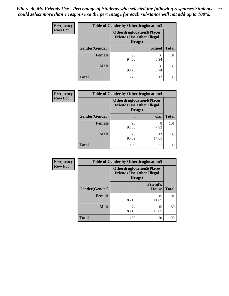| Frequency      | <b>Table of Gender by Otherdruglocation3</b> |                                                                                |               |              |
|----------------|----------------------------------------------|--------------------------------------------------------------------------------|---------------|--------------|
| <b>Row Pct</b> |                                              | <b>Otherdruglocation3(Places</b><br><b>Friends Use Other Illegal</b><br>Drugs) |               |              |
|                | Gender(Gender)                               |                                                                                | <b>School</b> | <b>Total</b> |
|                | <b>Female</b>                                | 95<br>94.06                                                                    | 6<br>5.94     | 101          |
|                | <b>Male</b>                                  | 83<br>93.26                                                                    | 6<br>6.74     | 89           |
|                | <b>Total</b>                                 | 178                                                                            | 12            | 190          |

| <b>Frequency</b> | <b>Table of Gender by Otherdruglocation4</b> |                                                                                |             |              |
|------------------|----------------------------------------------|--------------------------------------------------------------------------------|-------------|--------------|
| <b>Row Pct</b>   |                                              | <b>Otherdruglocation4(Places</b><br><b>Friends Use Other Illegal</b><br>Drugs) |             |              |
|                  | <b>Gender</b> (Gender)                       |                                                                                | Car         | <b>Total</b> |
|                  | <b>Female</b>                                | 93<br>92.08                                                                    | 8<br>7.92   | 101          |
|                  | <b>Male</b>                                  | 76<br>85.39                                                                    | 13<br>14.61 | 89           |
|                  | <b>Total</b>                                 | 169                                                                            | 21          | 190          |

| <b>Frequency</b> |                | <b>Table of Gender by Otherdruglocation5</b> |                                  |              |
|------------------|----------------|----------------------------------------------|----------------------------------|--------------|
| <b>Row Pct</b>   |                | <b>Friends Use Other Illegal</b><br>Drugs)   | <b>Otherdruglocation5(Places</b> |              |
|                  | Gender(Gender) |                                              | <b>Friend's</b><br><b>House</b>  | <b>Total</b> |
|                  | Female         | 86<br>85.15                                  | 15<br>14.85                      | 101          |
|                  | <b>Male</b>    | 74<br>83.15                                  | 15<br>16.85                      | 89           |
|                  | <b>Total</b>   | 160                                          | 30                               | 190          |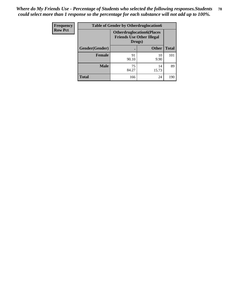| <b>Frequency</b> | <b>Table of Gender by Otherdruglocation6</b> |                                                                                |              |              |
|------------------|----------------------------------------------|--------------------------------------------------------------------------------|--------------|--------------|
| <b>Row Pct</b>   |                                              | <b>Otherdruglocation6(Places</b><br><b>Friends Use Other Illegal</b><br>Drugs) |              |              |
|                  | Gender(Gender)                               |                                                                                | <b>Other</b> | <b>Total</b> |
|                  | <b>Female</b>                                | 91<br>90.10                                                                    | 10<br>9.90   | 101          |
|                  | <b>Male</b>                                  | 75<br>84.27                                                                    | 14<br>15.73  | 89           |
|                  | <b>Total</b>                                 | 166                                                                            | 24           | 190          |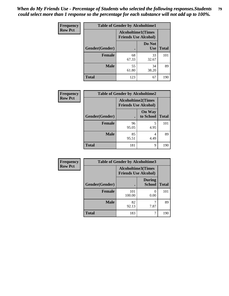| <b>Frequency</b> | <b>Table of Gender by Alcoholtime1</b> |                                                          |                      |              |
|------------------|----------------------------------------|----------------------------------------------------------|----------------------|--------------|
| <b>Row Pct</b>   |                                        | <b>Alcoholtime1(Times</b><br><b>Friends Use Alcohol)</b> |                      |              |
|                  | Gender(Gender)                         | $\bullet$                                                | Do Not<br><b>Use</b> | <b>Total</b> |
|                  | <b>Female</b>                          | 68<br>67.33                                              | 33<br>32.67          | 101          |
|                  | <b>Male</b>                            | 55<br>61.80                                              | 34<br>38.20          | 89           |
|                  | <b>Total</b>                           | 123                                                      | 67                   | 190          |

| Frequency      | <b>Table of Gender by Alcoholtime2</b> |                                                          |                            |              |
|----------------|----------------------------------------|----------------------------------------------------------|----------------------------|--------------|
| <b>Row Pct</b> |                                        | <b>Alcoholtime2(Times</b><br><b>Friends Use Alcohol)</b> |                            |              |
|                | Gender(Gender)                         |                                                          | <b>On Way</b><br>to School | <b>Total</b> |
|                | <b>Female</b>                          | 96<br>95.05                                              | 5<br>4.95                  | 101          |
|                | <b>Male</b>                            | 85<br>95.51                                              | 4<br>4.49                  | 89           |
|                | <b>Total</b>                           | 181                                                      | 9                          | 190          |

| Frequency      | <b>Table of Gender by Alcoholtime3</b> |                                                          |                                |              |
|----------------|----------------------------------------|----------------------------------------------------------|--------------------------------|--------------|
| <b>Row Pct</b> |                                        | <b>Alcoholtime3(Times</b><br><b>Friends Use Alcohol)</b> |                                |              |
|                | Gender(Gender)                         |                                                          | <b>During</b><br><b>School</b> | <b>Total</b> |
|                | Female                                 | 101<br>100.00                                            | 0<br>0.00                      | 101          |
|                | <b>Male</b>                            | 82<br>92.13                                              | 7.87                           | 89           |
|                | <b>Total</b>                           | 183                                                      | 7                              | 190          |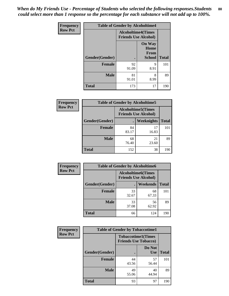*When do My Friends Use - Percentage of Students who selected the following responses.Students could select more than 1 response so the percentage for each substance will not add up to 100%.* **80**

| <b>Frequency</b> | <b>Table of Gender by Alcoholtime4</b> |                           |                                                       |              |
|------------------|----------------------------------------|---------------------------|-------------------------------------------------------|--------------|
| <b>Row Pct</b>   |                                        | <b>Alcoholtime4(Times</b> | <b>Friends Use Alcohol)</b>                           |              |
|                  |                                        |                           | <b>On Way</b><br>Home<br><b>From</b><br><b>School</b> | <b>Total</b> |
|                  | Gender(Gender)                         |                           |                                                       |              |
|                  | <b>Female</b>                          | 92<br>91.09               | 9<br>8.91                                             | 101          |
|                  | <b>Male</b>                            | 81<br>91.01               | 8<br>8.99                                             | 89           |
|                  | <b>Total</b>                           | 173                       | 17                                                    | 190          |

| <b>Frequency</b> | <b>Table of Gender by Alcoholtime5</b> |                                                          |                   |              |
|------------------|----------------------------------------|----------------------------------------------------------|-------------------|--------------|
| <b>Row Pct</b>   |                                        | <b>Alcoholtime5(Times</b><br><b>Friends Use Alcohol)</b> |                   |              |
|                  | Gender(Gender)                         |                                                          | <b>Weeknights</b> | <b>Total</b> |
|                  | <b>Female</b>                          | 84<br>83.17                                              | 17<br>16.83       | 101          |
|                  | <b>Male</b>                            | 68<br>76.40                                              | 21<br>23.60       | 89           |
|                  | <b>Total</b>                           | 152                                                      | 38                | 190          |

| <b>Frequency</b> | <b>Table of Gender by Alcoholtime6</b> |                                                           |             |              |  |
|------------------|----------------------------------------|-----------------------------------------------------------|-------------|--------------|--|
| <b>Row Pct</b>   |                                        | <b>Alcoholtime6</b> (Times<br><b>Friends Use Alcohol)</b> |             |              |  |
|                  | Gender(Gender)                         |                                                           | Weekends    | <b>Total</b> |  |
|                  | <b>Female</b>                          | 33<br>32.67                                               | 68<br>67.33 | 101          |  |
|                  | <b>Male</b>                            | 33<br>37.08                                               | 56<br>62.92 | 89           |  |
|                  | Total                                  | 66                                                        | 124         | 190          |  |

| Frequency      | <b>Table of Gender by Tobaccotime1</b> |                                                          |                      |              |
|----------------|----------------------------------------|----------------------------------------------------------|----------------------|--------------|
| <b>Row Pct</b> |                                        | <b>Tobaccotime1(Times</b><br><b>Friends Use Tobacco)</b> |                      |              |
|                | Gender(Gender)                         |                                                          | Do Not<br><b>Use</b> | <b>Total</b> |
|                | <b>Female</b>                          | 44<br>43.56                                              | 57<br>56.44          | 101          |
|                | <b>Male</b>                            | 49<br>55.06                                              | 40<br>44.94          | 89           |
|                | <b>Total</b>                           | 93                                                       | 97                   | 190          |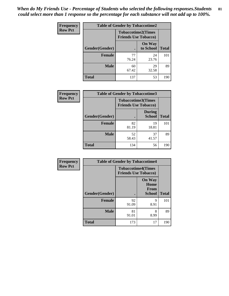*When do My Friends Use - Percentage of Students who selected the following responses.Students could select more than 1 response so the percentage for each substance will not add up to 100%.* **81**

| <b>Frequency</b> | <b>Table of Gender by Tobaccotime2</b> |                                                          |                            |              |
|------------------|----------------------------------------|----------------------------------------------------------|----------------------------|--------------|
| <b>Row Pct</b>   |                                        | <b>Tobaccotime2(Times</b><br><b>Friends Use Tobacco)</b> |                            |              |
|                  | Gender(Gender)                         | $\bullet$                                                | <b>On Way</b><br>to School | <b>Total</b> |
|                  | Female                                 | 77<br>76.24                                              | 24<br>23.76                | 101          |
|                  | <b>Male</b>                            | 60<br>67.42                                              | 29<br>32.58                | 89           |
|                  | <b>Total</b>                           | 137                                                      | 53                         | 190          |

| Frequency      | <b>Table of Gender by Tobaccotime3</b> |                                                          |                                |              |
|----------------|----------------------------------------|----------------------------------------------------------|--------------------------------|--------------|
| <b>Row Pct</b> |                                        | <b>Tobaccotime3(Times</b><br><b>Friends Use Tobacco)</b> |                                |              |
|                | Gender(Gender)                         |                                                          | <b>During</b><br><b>School</b> | <b>Total</b> |
|                | <b>Female</b>                          | 82<br>81.19                                              | 19<br>18.81                    | 101          |
|                | <b>Male</b>                            | 52<br>58.43                                              | 37<br>41.57                    | 89           |
|                | <b>Total</b>                           | 134                                                      | 56                             | 190          |

| Frequency      | <b>Table of Gender by Tobaccotime4</b> |                                                          |                               |              |
|----------------|----------------------------------------|----------------------------------------------------------|-------------------------------|--------------|
| <b>Row Pct</b> |                                        | <b>Tobaccotime4(Times</b><br><b>Friends Use Tobacco)</b> |                               |              |
|                |                                        |                                                          | <b>On Way</b><br>Home<br>From |              |
|                | Gender(Gender)                         |                                                          | <b>School</b>                 | <b>Total</b> |
|                | <b>Female</b>                          | 92<br>91.09                                              | 9<br>8.91                     | 101          |
|                | <b>Male</b>                            | 81<br>91.01                                              | 8<br>8.99                     | 89           |
|                | <b>Total</b>                           | 173                                                      | 17                            | 190          |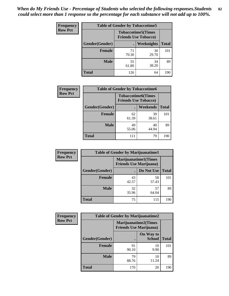| <b>Frequency</b> | <b>Table of Gender by Tobaccotime5</b> |                                                          |                   |              |  |
|------------------|----------------------------------------|----------------------------------------------------------|-------------------|--------------|--|
| <b>Row Pct</b>   |                                        | <b>Tobaccotime5(Times</b><br><b>Friends Use Tobacco)</b> |                   |              |  |
|                  | <b>Gender</b> (Gender)                 |                                                          | <b>Weeknights</b> | <b>Total</b> |  |
|                  | <b>Female</b>                          | 71<br>70.30                                              | 30<br>29.70       | 101          |  |
|                  | <b>Male</b>                            | 55<br>61.80                                              | 34<br>38.20       | 89           |  |
|                  | Total                                  | 126                                                      | 64                | 190          |  |

| <b>Frequency</b> | <b>Table of Gender by Tobaccotime6</b> |                                                          |             |              |  |
|------------------|----------------------------------------|----------------------------------------------------------|-------------|--------------|--|
| <b>Row Pct</b>   |                                        | <b>Tobaccotime6(Times</b><br><b>Friends Use Tobacco)</b> |             |              |  |
|                  | Gender(Gender)                         |                                                          | Weekends    | <b>Total</b> |  |
|                  | Female                                 | 62<br>61.39                                              | 39<br>38.61 | 101          |  |
|                  | <b>Male</b>                            | 49<br>55.06                                              | 40<br>44.94 | 89           |  |
|                  | <b>Total</b>                           |                                                          | 79          | 190          |  |

| Frequency      | <b>Table of Gender by Marijuanatime1</b> |                                |                             |              |
|----------------|------------------------------------------|--------------------------------|-----------------------------|--------------|
| <b>Row Pct</b> |                                          | <b>Friends Use Marijuana</b> ) | <b>Marijuanatime1(Times</b> |              |
|                | Gender(Gender)                           |                                | Do Not Use                  | <b>Total</b> |
|                | <b>Female</b>                            | 43<br>42.57                    | 58<br>57.43                 | 101          |
|                | <b>Male</b>                              | 32<br>35.96                    | 57<br>64.04                 | 89           |
|                | <b>Total</b>                             | 75                             | 115                         | 190          |

| <b>Frequency</b> | <b>Table of Gender by Marijuanatime2</b> |                                                               |                            |              |
|------------------|------------------------------------------|---------------------------------------------------------------|----------------------------|--------------|
| <b>Row Pct</b>   |                                          | <b>Marijuanatime2(Times</b><br><b>Friends Use Marijuana</b> ) |                            |              |
|                  | Gender(Gender)                           |                                                               | On Way to<br><b>School</b> | <b>Total</b> |
|                  | <b>Female</b>                            | 91<br>90.10                                                   | 10<br>9.90                 | 101          |
|                  | <b>Male</b>                              | 79<br>88.76                                                   | 10<br>11.24                | 89           |
|                  | <b>Total</b>                             | 170                                                           | 20                         | 190          |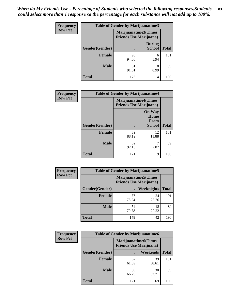*When do My Friends Use - Percentage of Students who selected the following responses.Students could select more than 1 response so the percentage for each substance will not add up to 100%.* **83**

| <b>Frequency</b> | <b>Table of Gender by Marijuanatime3</b> |                                                        |                                |              |
|------------------|------------------------------------------|--------------------------------------------------------|--------------------------------|--------------|
| <b>Row Pct</b>   |                                          | Marijuanatime3(Times<br><b>Friends Use Marijuana</b> ) |                                |              |
|                  | Gender(Gender)                           |                                                        | <b>During</b><br><b>School</b> | <b>Total</b> |
|                  | Female                                   | 95<br>94.06                                            | 6<br>5.94                      | 101          |
|                  | <b>Male</b>                              | 81<br>91.01                                            | 8<br>8.99                      | 89           |
|                  | <b>Total</b>                             | 176                                                    | 14                             | 190          |

| Frequency      | <b>Table of Gender by Marijuanatime4</b> |                                |                                                |              |
|----------------|------------------------------------------|--------------------------------|------------------------------------------------|--------------|
| <b>Row Pct</b> |                                          | <b>Friends Use Marijuana</b> ) | <b>Marijuanatime4(Times</b>                    |              |
|                | Gender(Gender)                           | $\bullet$                      | <b>On Way</b><br>Home<br>From<br><b>School</b> | <b>Total</b> |
|                | <b>Female</b>                            | 89<br>88.12                    | 12<br>11.88                                    | 101          |
|                | <b>Male</b>                              | 82<br>92.13                    | 7.87                                           | 89           |
|                | <b>Total</b>                             | 171                            | 19                                             | 190          |

| Frequency      | <b>Table of Gender by Marijuanatime5</b> |             |                                                                |              |  |
|----------------|------------------------------------------|-------------|----------------------------------------------------------------|--------------|--|
| <b>Row Pct</b> |                                          |             | <b>Marijuanatime5</b> (Times<br><b>Friends Use Marijuana</b> ) |              |  |
|                | Gender(Gender)                           |             | <b>Weeknights</b>                                              | <b>Total</b> |  |
|                | <b>Female</b>                            | 77<br>76.24 | 24<br>23.76                                                    | 101          |  |
|                | <b>Male</b>                              | 71<br>79.78 | 18<br>20.22                                                    | 89           |  |
|                | <b>Total</b>                             | 148         | 42                                                             | 190          |  |

| <b>Frequency</b> | <b>Table of Gender by Marijuanatime6</b> |                                                               |                 |              |  |
|------------------|------------------------------------------|---------------------------------------------------------------|-----------------|--------------|--|
| <b>Row Pct</b>   |                                          | <b>Marijuanatime6(Times</b><br><b>Friends Use Marijuana</b> ) |                 |              |  |
|                  | Gender(Gender)                           |                                                               | <b>Weekends</b> | <b>Total</b> |  |
|                  | Female                                   | 62<br>61.39                                                   | 39<br>38.61     | 101          |  |
|                  | <b>Male</b>                              | 59<br>66.29                                                   | 30<br>33.71     | 89           |  |
|                  | <b>Total</b>                             | 121                                                           | 69              | 190          |  |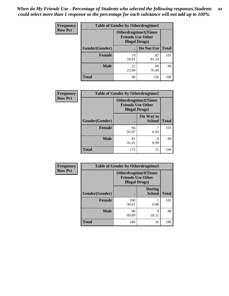| <b>Frequency</b> | <b>Table of Gender by Otherdrugtime1</b> |                                                                                    |             |              |  |
|------------------|------------------------------------------|------------------------------------------------------------------------------------|-------------|--------------|--|
| <b>Row Pct</b>   |                                          | <b>Otherdrugtime1</b> (Times<br><b>Friends Use Other</b><br><b>Illegal Drugs</b> ) |             |              |  |
|                  | Gender(Gender)                           |                                                                                    | Do Not Use  | <b>Total</b> |  |
|                  | <b>Female</b>                            | 19<br>18.81                                                                        | 82<br>81.19 | 101          |  |
|                  | <b>Male</b>                              | 21<br>23.60                                                                        | 68<br>76.40 | 89           |  |
|                  | <b>Total</b>                             | 40                                                                                 | 150         | 190          |  |

| Frequency      | <b>Table of Gender by Otherdrugtime2</b> |                                                                                   |                            |              |  |  |
|----------------|------------------------------------------|-----------------------------------------------------------------------------------|----------------------------|--------------|--|--|
| <b>Row Pct</b> |                                          | <b>Otherdrugtime2(Times</b><br><b>Friends Use Other</b><br><b>Illegal Drugs</b> ) |                            |              |  |  |
|                | <b>Gender</b> (Gender)                   |                                                                                   | On Way to<br><b>School</b> | <b>Total</b> |  |  |
|                | <b>Female</b>                            | 94<br>93.07                                                                       | 6.93                       | 101          |  |  |
|                | <b>Male</b>                              | 81<br>91.01                                                                       | 8<br>8.99                  | 89           |  |  |
|                | <b>Total</b>                             | 175                                                                               | 15                         | 190          |  |  |

| Frequency      | <b>Table of Gender by Otherdrugtime3</b> |                                                                                  |                                |              |  |
|----------------|------------------------------------------|----------------------------------------------------------------------------------|--------------------------------|--------------|--|
| <b>Row Pct</b> |                                          | <b>Otherdrugtime3(Times</b><br><b>Friends Use Other</b><br><b>Illegal Drugs)</b> |                                |              |  |
|                | Gender(Gender)                           |                                                                                  | <b>During</b><br><b>School</b> | <b>Total</b> |  |
|                | <b>Female</b>                            | 100<br>99.01                                                                     | 0.99                           | 101          |  |
|                | <b>Male</b>                              | 80<br>89.89                                                                      | $\mathbf Q$<br>10.11           | 89           |  |
|                | <b>Total</b>                             | 180                                                                              | 10                             | 190          |  |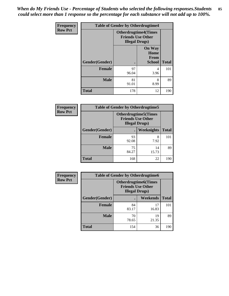*When do My Friends Use - Percentage of Students who selected the following responses.Students could select more than 1 response so the percentage for each substance will not add up to 100%.* **85**

| Frequency      | <b>Table of Gender by Otherdrugtime4</b> |                                                                                   |                                                |              |  |
|----------------|------------------------------------------|-----------------------------------------------------------------------------------|------------------------------------------------|--------------|--|
| <b>Row Pct</b> |                                          | <b>Otherdrugtime4(Times</b><br><b>Friends Use Other</b><br><b>Illegal Drugs</b> ) |                                                |              |  |
|                | Gender(Gender)                           |                                                                                   | <b>On Way</b><br>Home<br><b>From</b><br>School | <b>Total</b> |  |
|                | <b>Female</b>                            | 97<br>96.04                                                                       | 4<br>3.96                                      | 101          |  |
|                | <b>Male</b>                              | 81<br>91.01                                                                       | 8<br>8.99                                      | 89           |  |
|                | <b>Total</b>                             | 178                                                                               | 12                                             | 190          |  |

| Frequency      | <b>Table of Gender by Otherdrugtime5</b> |                                                                                    |                   |              |  |
|----------------|------------------------------------------|------------------------------------------------------------------------------------|-------------------|--------------|--|
| <b>Row Pct</b> |                                          | <b>Otherdrugtime5</b> (Times<br><b>Friends Use Other</b><br><b>Illegal Drugs</b> ) |                   |              |  |
|                | Gender(Gender)                           |                                                                                    | <b>Weeknights</b> | <b>Total</b> |  |
|                | Female                                   | 93<br>92.08                                                                        | 8<br>7.92         | 101          |  |
|                | <b>Male</b>                              | 75<br>84.27                                                                        | 14<br>15.73       | 89           |  |
|                | <b>Total</b>                             | 168                                                                                | 22                | 190          |  |

| <b>Frequency</b> | <b>Table of Gender by Otherdrugtime6</b> |                                                                                   |             |              |  |
|------------------|------------------------------------------|-----------------------------------------------------------------------------------|-------------|--------------|--|
| <b>Row Pct</b>   |                                          | <b>Otherdrugtime6(Times</b><br><b>Friends Use Other</b><br><b>Illegal Drugs</b> ) |             |              |  |
|                  | Gender(Gender)                           |                                                                                   | Weekends    | <b>Total</b> |  |
|                  | <b>Female</b>                            | 84<br>83.17                                                                       | 17<br>16.83 | 101          |  |
|                  | <b>Male</b>                              | 70<br>78.65                                                                       | 19<br>21.35 | 89           |  |
|                  | <b>Total</b>                             | 154                                                                               | 36          | 190          |  |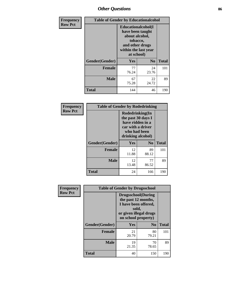# *Other Questions* **86**

| <b>Frequency</b> | <b>Table of Gender by Educationalcohol</b> |                                                                                                                                       |                |              |  |  |
|------------------|--------------------------------------------|---------------------------------------------------------------------------------------------------------------------------------------|----------------|--------------|--|--|
| <b>Row Pct</b>   |                                            | <b>Educationalcohol</b> (I<br>have been taught<br>about alcohol,<br>tobacco,<br>and other drugs<br>within the last year<br>at school) |                |              |  |  |
|                  | Gender(Gender)                             | <b>Yes</b>                                                                                                                            | N <sub>0</sub> | <b>Total</b> |  |  |
|                  | <b>Female</b>                              | 77<br>76.24                                                                                                                           | 24<br>23.76    | 101          |  |  |
|                  | <b>Male</b>                                | 67<br>75.28                                                                                                                           | 22<br>24.72    | 89           |  |  |
|                  | <b>Total</b>                               | 144                                                                                                                                   | 46             | 190          |  |  |

| Frequency      | <b>Table of Gender by Rodedrinking</b> |                                                                                                                     |             |              |  |
|----------------|----------------------------------------|---------------------------------------------------------------------------------------------------------------------|-------------|--------------|--|
| <b>Row Pct</b> |                                        | Rodedrinking(In<br>the past 30 days I<br>have ridden in a<br>car with a driver<br>who had been<br>drinking alcohol) |             |              |  |
|                | Gender(Gender)                         | Yes                                                                                                                 | $\bf N_0$   | <b>Total</b> |  |
|                | <b>Female</b>                          | 12<br>11.88                                                                                                         | 89<br>88.12 | 101          |  |
|                | <b>Male</b>                            | 12<br>13.48                                                                                                         | 77<br>86.52 | 89           |  |
|                | <b>Total</b>                           | 24                                                                                                                  | 166         | 190          |  |

| Frequency      | <b>Table of Gender by Drugsschool</b> |                                                                                                                                     |                |              |  |
|----------------|---------------------------------------|-------------------------------------------------------------------------------------------------------------------------------------|----------------|--------------|--|
| <b>Row Pct</b> |                                       | <b>Drugsschool</b> (During<br>the past 12 months,<br>I have been offered,<br>sold,<br>or given illegal drugs<br>on school property) |                |              |  |
|                | Gender(Gender)                        | Yes                                                                                                                                 | N <sub>0</sub> | <b>Total</b> |  |
|                | <b>Female</b>                         | 21<br>20.79                                                                                                                         | 80<br>79.21    | 101          |  |
|                | <b>Male</b>                           | 19<br>21.35                                                                                                                         | 70<br>78.65    | 89           |  |
|                | <b>Total</b>                          | 40                                                                                                                                  | 150            | 190          |  |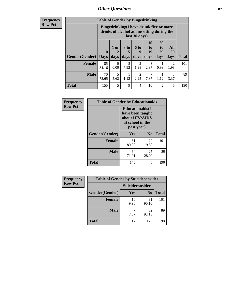## *Other Questions* **87**

**Frequency Row Pct**

| <b>Table of Gender by Bingedrinking</b> |                         |                                                                                                         |                   |                        |                               |                               |                        |              |
|-----------------------------------------|-------------------------|---------------------------------------------------------------------------------------------------------|-------------------|------------------------|-------------------------------|-------------------------------|------------------------|--------------|
|                                         |                         | Bingedrinking(I have drunk five or more<br>drinks of alcohol at one sitting during the<br>last 30 days) |                   |                        |                               |                               |                        |              |
| <b>Gender</b> (Gender)                  | $\bf{0}$<br><b>Days</b> | $1$ or<br>days                                                                                          | 3 to<br>5<br>days | 6 to<br>9<br>days      | <b>10</b><br>to<br>19<br>days | <b>20</b><br>to<br>29<br>days | All<br>30<br>days      | <b>Total</b> |
| <b>Female</b>                           | 85<br>84.16             | 0<br>0.00                                                                                               | 8<br>7.92         | $\overline{c}$<br>1.98 | 3<br>2.97                     | 0.99                          | $\mathfrak{D}$<br>1.98 | 101          |
| <b>Male</b>                             | 70<br>78.65             | 5<br>5.62                                                                                               | 1.12              | $\mathfrak{D}$<br>2.25 | 7.87                          | 1.12                          | 3<br>3.37              | 89           |
| <b>Total</b>                            | 155                     | 5                                                                                                       | 9                 | 4                      | 10                            | $\mathfrak{D}$                | 5                      | 190          |

| Frequency      | <b>Table of Gender by Educationaids</b> |                                                                                                 |             |              |
|----------------|-----------------------------------------|-------------------------------------------------------------------------------------------------|-------------|--------------|
| <b>Row Pct</b> |                                         | <b>Educationaids</b> (I<br>have been taught<br>about HIV/AIDS<br>at school in the<br>past year) |             |              |
|                | Gender(Gender)                          | Yes                                                                                             | $\bf N_0$   | <b>Total</b> |
|                | <b>Female</b>                           | 81<br>80.20                                                                                     | 20<br>19.80 | 101          |
|                | <b>Male</b>                             | 64<br>71.91                                                                                     | 25<br>28.09 | 89           |
|                | <b>Total</b>                            | 145                                                                                             | 45          | 190          |

| Frequency      | <b>Table of Gender by Suicideconsider</b> |                        |                |              |
|----------------|-------------------------------------------|------------------------|----------------|--------------|
| <b>Row Pct</b> |                                           | <b>Suicideconsider</b> |                |              |
|                | Gender(Gender)                            | Yes                    | N <sub>0</sub> | <b>Total</b> |
|                | <b>Female</b>                             | 10<br>9.90             | 91<br>90.10    | 101          |
|                | <b>Male</b>                               | 7.87                   | 82<br>92.13    | 89           |
|                | <b>Total</b>                              | 17                     | 173            | 190          |